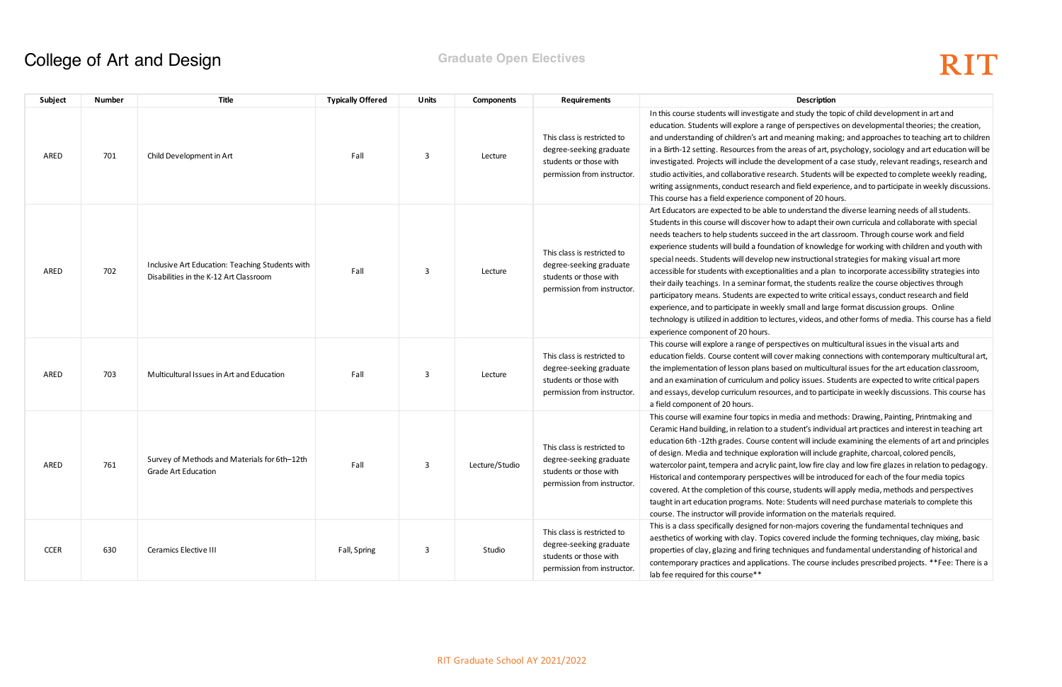In this could and study the topic of child development in art and ge of perspectives on developmental theories; the creation, d meaning making; and approaches to teaching art to children he areas of art, psychology, sociology and art education will be development of a case study, relevant readings, research and earch. Students will be expected to complete weekly reading, h and field experience, and to participate in weekly discussions. nponent of 20 hours.

to understand the diverse learning needs of all students. ow to adapt their own curricula and collaborate with special eed in the art classroom. Through course work and field ation of knowledge for working with children and youth with new instructional strategies for making visual art more alities and a plan to incorporate accessibility strategies into mat, the students realize the course objectives through pected to write critical essays, conduct research and field ly small and large format discussion groups. Online tures, videos, and other forms of media. This course has a field

spectives on multicultural issues in the visual arts and over making connections with contemporary multicultural art, ased on multicultural issues for the art education classroom, policy issues. Students are expected to write critical papers rces, and to participate in weekly discussions. This course has

media and methods: Drawing, Painting, Printmaking and student's individual art practices and interest in teaching art ontent will include examining the elements of art and principles ration will include graphite, charcoal, colored pencils, paint, low fire clay and low fire glazes in relation to pedagogy. ives will be introduced for each of the four media topics irse, students will apply media, methods and perspectives te: Students will need purchase materials to complete this ormation on the materials required.

mon-majors covering the fundamental techniques and s covered include the forming techniques, clay mixing, basic echniques and fundamental understanding of historical and ons. The course includes prescribed projects. \*\*Fee: There is a

### **College of Art and Design <b>Graduate Open Electives** College of Art and Design

| Subject     | <b>Number</b> | Title                                                                                     | <b>Typically Offered</b> | <b>Units</b> | <b>Components</b> | <b>Requirements</b>                                                                                             | <b>Description</b>                                                                                                                                                                                                                                                                                                                                                                                                                                                                                                                                                                                                                                 |
|-------------|---------------|-------------------------------------------------------------------------------------------|--------------------------|--------------|-------------------|-----------------------------------------------------------------------------------------------------------------|----------------------------------------------------------------------------------------------------------------------------------------------------------------------------------------------------------------------------------------------------------------------------------------------------------------------------------------------------------------------------------------------------------------------------------------------------------------------------------------------------------------------------------------------------------------------------------------------------------------------------------------------------|
| ARED        | 701           | Child Development in Art                                                                  | Fall                     | 3            | Lecture           | This class is restricted to<br>degree-seeking graduate<br>students or those with<br>permission from instructor. | In this course students will investigate and study the to<br>education. Students will explore a range of perspective<br>and understanding of children's art and meaning maki<br>in a Birth-12 setting. Resources from the areas of art, p<br>investigated. Projects will include the development of a<br>studio activities, and collaborative research. Students v<br>writing assignments, conduct research and field experi-<br>This course has a field experience component of 20 ho                                                                                                                                                             |
| ARED        | 702           | Inclusive Art Education: Teaching Students with<br>Disabilities in the K-12 Art Classroom | Fall                     | 3            | Lecture           | This class is restricted to<br>degree-seeking graduate<br>students or those with<br>permission from instructor. | Art Educators are expected to be able to understand th<br>Students in this course will discover how to adapt their<br>needs teachers to help students succeed in the art clas<br>experience students will build a foundation of knowled<br>special needs. Students will develop new instructional<br>accessible for students with exceptionalities and a plan<br>their daily teachings. In a seminar format, the students<br>participatory means. Students are expected to write cr<br>experience, and to participate in weekly small and larg<br>technology is utilized in addition to lectures, videos, and<br>experience component of 20 hours. |
| ARED        | 703           | Multicultural Issues in Art and Education                                                 | Fall                     | 3            | Lecture           | This class is restricted to<br>degree-seeking graduate<br>students or those with<br>permission from instructor. | This course will explore a range of perspectives on mul<br>education fields. Course content will cover making con<br>the implementation of lesson plans based on multicult<br>and an examination of curriculum and policy issues. Str<br>and essays, develop curriculum resources, and to partion<br>a field component of 20 hours.                                                                                                                                                                                                                                                                                                                |
| ARED        | 761           | Survey of Methods and Materials for 6th-12th<br>Grade Art Education                       | Fall                     | 3            | Lecture/Studio    | This class is restricted to<br>degree-seeking graduate<br>students or those with<br>permission from instructor. | This course will examine four topics in media and meth<br>Ceramic Hand building, in relation to a student's individ<br>education 6th -12th grades. Course content will include<br>of design. Media and technique exploration will include<br>watercolor paint, tempera and acrylic paint, low fire cla<br>Historical and contemporary perspectives will be introd<br>covered. At the completion of this course, students will<br>taught in art education programs. Note: Students will r<br>course. The instructor will provide information on the n                                                                                               |
| <b>CCER</b> | 630           | Ceramics Elective III                                                                     | Fall, Spring             | 3            | Studio            | This class is restricted to<br>degree-seeking graduate<br>students or those with<br>permission from instructor. | This is a class specifically designed for non-majors cove<br>aesthetics of working with clay. Topics covered include<br>properties of clay, glazing and firing techniques and fur<br>contemporary practices and applications. The course in<br>lab fee required for this course**                                                                                                                                                                                                                                                                                                                                                                  |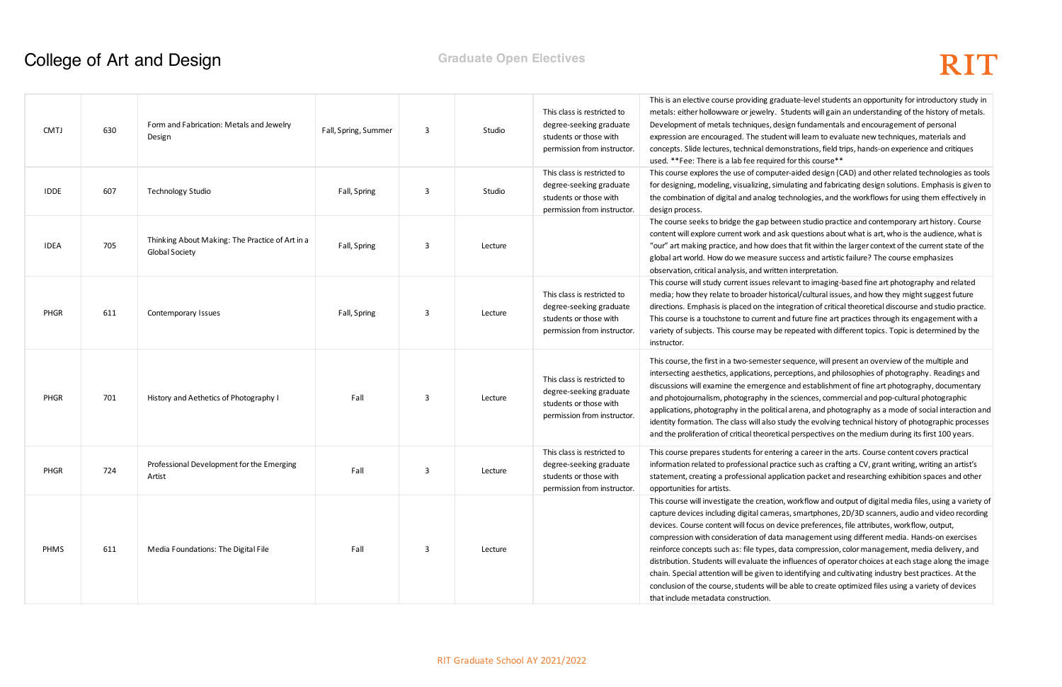aduate-level students an opportunity for introductory study in Students will gain an understanding of the history of metals. esign fundamentals and encouragement of personal ent will learn to evaluate new techniques, materials and nonstrations, field trips, hands-on experience and critiques ed for this course\*\*

tter-aided design (CAD) and other related technologies as tools mulating and fabricating design solutions. Emphasis is given to technologies, and the workflows for using them effectively in

tween studio practice and contemporary art history. Course ask questions about what is art, who is the audience, what is es that fit within the larger context of the current state of the success and artistic failure? The course emphasizes ten interpretation.

levant to imaging-based fine art photography and related torical/cultural issues, and how they might suggest future integration of critical theoretical discourse and studio practice. and future fine art practices through its engagement with a e repeated with different topics. Topic is determined by the

r sequence, will present an overview of the multiple and erceptions, and philosophies of photography. Readings and ce and establishment of fine art photography, documentary the sciences, commercial and pop-cultural photographic cal arena, and photography as a mode of social interaction and study the evolving technical history of photographic processes ical perspectives on the medium during its first 100 years.

ering a career in the arts. Course content covers practical actice such as crafting a CV, grant writing, writing an artist's plication packet and researching exhibition spaces and other

on, workflow and output of digital media files, using a variety of ras, smartphones, 2D/3D scanners, audio and video recording device preferences, file attributes, workflow, output, ta management using different media. Hands-on exercises data compression, color management, media delivery, and e influences of operator choices at each stage along the image co identifying and cultivating industry best practices. At the be able to create optimized files using a variety of devices

### **College of Art and Design <b>Graduate Open Electives** College of Art and Design

| <b>CMTJ</b> | 630 | Form and Fabrication: Metals and Jewelry<br>Design                       | Fall, Spring, Summer | 3 | Studio  | This class is restricted to<br>degree-seeking graduate<br>students or those with<br>permission from instructor. | This is an elective course providing gra<br>metals: either hollowware or jewelry.<br>Development of metals techniques, de<br>expression are encouraged. The stude<br>concepts. Slide lectures, technical dem<br>used. **Fee: There is a lab fee require                                                                                                                                      |
|-------------|-----|--------------------------------------------------------------------------|----------------------|---|---------|-----------------------------------------------------------------------------------------------------------------|----------------------------------------------------------------------------------------------------------------------------------------------------------------------------------------------------------------------------------------------------------------------------------------------------------------------------------------------------------------------------------------------|
| <b>IDDE</b> | 607 | <b>Technology Studio</b>                                                 | Fall, Spring         | 3 | Studio  | This class is restricted to<br>degree-seeking graduate<br>students or those with<br>permission from instructor. | This course explores the use of compu<br>for designing, modeling, visualizing, sir<br>the combination of digital and analog t<br>design process.                                                                                                                                                                                                                                             |
| <b>IDEA</b> | 705 | Thinking About Making: The Practice of Art in a<br><b>Global Society</b> | Fall, Spring         | 3 | Lecture |                                                                                                                 | The course seeks to bridge the gap be<br>content will explore current work and a<br>"our" art making practice, and how do<br>global art world. How do we measure<br>observation, critical analysis, and writt                                                                                                                                                                                |
| <b>PHGR</b> | 611 | Contemporary Issues                                                      | Fall, Spring         | 3 | Lecture | This class is restricted to<br>degree-seeking graduate<br>students or those with<br>permission from instructor. | This course will study current issues re<br>media; how they relate to broader hist<br>directions. Emphasis is placed on the in<br>This course is a touchstone to current a<br>variety of subjects. This course may be<br>instructor.                                                                                                                                                         |
| <b>PHGR</b> | 701 | History and Aethetics of Photography I                                   | Fall                 | 3 | Lecture | This class is restricted to<br>degree-seeking graduate<br>students or those with<br>permission from instructor. | This course, the first in a two-semester<br>intersecting aesthetics, applications, po<br>discussions will examine the emergen<br>and photojournalism, photography in t<br>applications, photography in the politic<br>identity formation. The class will also s<br>and the proliferation of critical theoreti                                                                                |
| <b>PHGR</b> | 724 | Professional Development for the Emerging<br>Artist                      | Fall                 | 3 | Lecture | This class is restricted to<br>degree-seeking graduate<br>students or those with<br>permission from instructor. | This course prepares students for ente<br>information related to professional pra<br>statement, creating a professional app<br>opportunities for artists.                                                                                                                                                                                                                                    |
| <b>PHMS</b> | 611 | Media Foundations: The Digital File                                      | Fall                 | 3 | Lecture |                                                                                                                 | This course will investigate the creatio<br>capture devices including digital came<br>devices. Course content will focus on c<br>compression with consideration of dat<br>reinforce concepts such as: file types,<br>distribution. Students will evaluate the<br>chain. Special attention will be given to<br>conclusion of the course, students will<br>that include metadata construction. |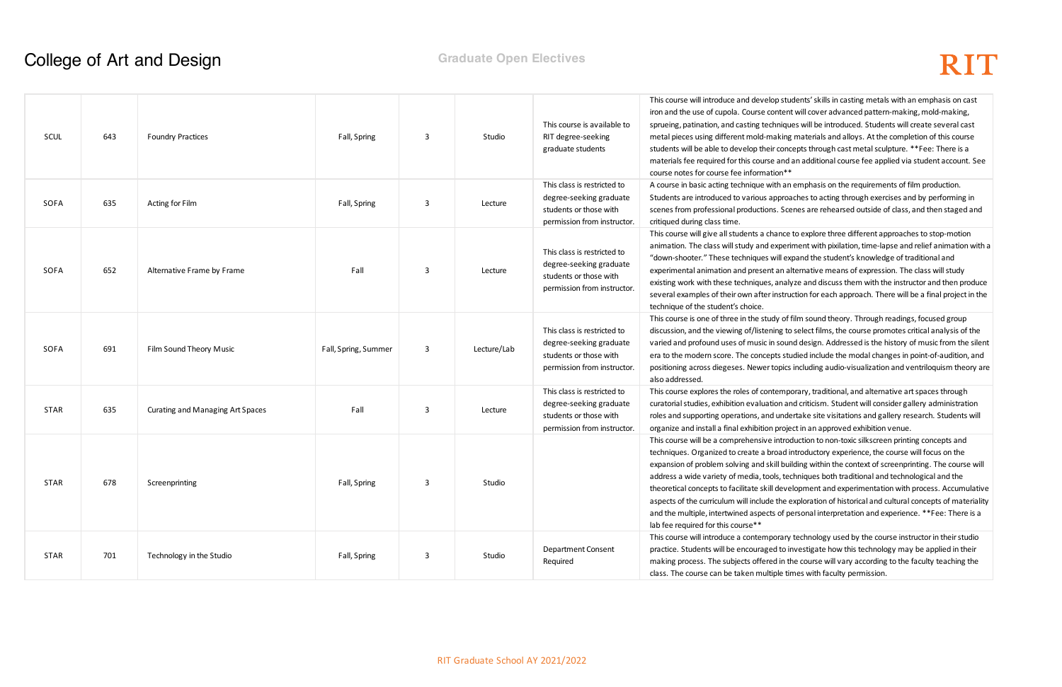o students' skills in casting metals with an emphasis on cast itent will cover advanced pattern-making, mold-making, niques will be introduced. Students will create several cast king materials and alloys. At the completion of this course concepts through cast metal sculpture. \*\*Fee: There is a and an additional course fee applied via student account. See

an emphasis on the requirements of film production. proaches to acting through exercises and by performing in . Scenes are rehearsed outside of class, and then staged and

nce to explore three different approaches to stop-motion periment with pixilation, time-lapse and relief animation with a ill expand the student's knowledge of traditional and an alternative means of expression. The class will study inalyze and discuss them with the instructor and then produce struction for each approach. There will be a final project in the

 $\eta$  of film sound theory. Through readings, focused group ig to select films, the course promotes critical analysis of the sound design. Addressed is the history of music from the silent s studied include the modal changes in point-of-audition, and pics including audio-visualization and ventriloquism theory are

mporary, traditional, and alternative art spaces through n and criticism. Student will consider gallery administration andertake site visitations and gallery research. Students will oroject in an approved exhibition venue.

Itroduction to non-toxic silkscreen printing concepts and ad introductory experience, the course will focus on the I building within the context of screenprinting. The course will techniques both traditional and technological and the levelopment and experimentation with process. Accumulative he exploration of historical and cultural concepts of materiality of personal interpretation and experience. \*\*Fee: There is a

rary technology used by the course instructor in their studio to investigate how this technology may be applied in their in the course will vary according to the faculty teaching the le times with faculty permission.

### **College of Art and Design <b>Graduate Open Electives** College of Art and Design

| SCUL        | 643 | <b>Foundry Practices</b>                | Fall, Spring         | $\mathbf{3}$ | Studio      | This course is available to<br>RIT degree-seeking<br>graduate students                                          | This course will introduce and develop stu<br>iron and the use of cupola. Course content<br>sprueing, patination, and casting techniqu<br>metal pieces using different mold-making<br>students will be able to develop their cond<br>materials fee required for this course and<br>course notes for course fee information**                                                |
|-------------|-----|-----------------------------------------|----------------------|--------------|-------------|-----------------------------------------------------------------------------------------------------------------|-----------------------------------------------------------------------------------------------------------------------------------------------------------------------------------------------------------------------------------------------------------------------------------------------------------------------------------------------------------------------------|
| SOFA        | 635 | Acting for Film                         | Fall, Spring         | $\mathbf{3}$ | Lecture     | This class is restricted to<br>degree-seeking graduate<br>students or those with<br>permission from instructor. | A course in basic acting technique with an<br>Students are introduced to various approa<br>scenes from professional productions. Sce<br>critiqued during class time.                                                                                                                                                                                                        |
| SOFA        | 652 | Alternative Frame by Frame              | Fall                 | 3            | Lecture     | This class is restricted to<br>degree-seeking graduate<br>students or those with<br>permission from instructor. | This course will give all students a chance<br>animation. The class will study and experi<br>"down-shooter." These techniques will ex<br>experimental animation and present an al<br>existing work with these techniques, analy<br>several examples of their own after instru<br>technique of the student's choice.                                                         |
| SOFA        | 691 | Film Sound Theory Music                 | Fall, Spring, Summer | 3            | Lecture/Lab | This class is restricted to<br>degree-seeking graduate<br>students or those with<br>permission from instructor. | This course is one of three in the study of 1<br>discussion, and the viewing of/listening to<br>varied and profound uses of music in sour<br>era to the modern score. The concepts stu<br>positioning across diegeses. Newer topics<br>also addressed.                                                                                                                      |
| <b>STAR</b> | 635 | <b>Curating and Managing Art Spaces</b> | Fall                 | 3            | Lecture     | This class is restricted to<br>degree-seeking graduate<br>students or those with<br>permission from instructor. | This course explores the roles of contemp<br>curatorial studies, exhibition evaluation ar<br>roles and supporting operations, and unde<br>organize and install a final exhibition proje                                                                                                                                                                                     |
| <b>STAR</b> | 678 | Screenprinting                          | Fall, Spring         | 3            | Studio      |                                                                                                                 | This course will be a comprehensive introd<br>techniques. Organized to create a broad in<br>expansion of problem solving and skill bui<br>address a wide variety of media, tools, ted<br>theoretical concepts to facilitate skill deve<br>aspects of the curriculum will include the e<br>and the multiple, intertwined aspects of po<br>lab fee required for this course** |
| <b>STAR</b> | 701 | Technology in the Studio                | Fall, Spring         | 3            | Studio      | Department Consent<br>Required                                                                                  | This course will introduce a contemporary<br>practice. Students will be encouraged to ir<br>making process. The subjects offered in th<br>class. The course can be taken multiple tir                                                                                                                                                                                       |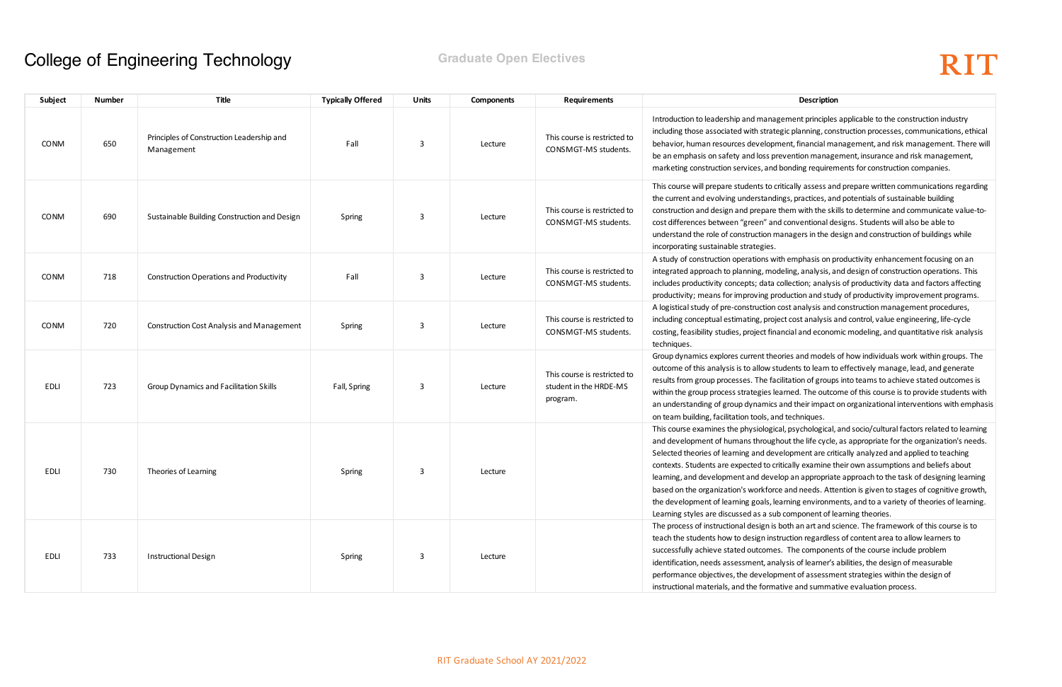gement principles applicable to the construction industry egic planning, construction processes, communications, ethical hent, financial management, and risk management. There will evention management, insurance and risk management, bonding requirements for construction companies.

ritically assess and prepare written communications regarding ings, practices, and potentials of sustainable building them with the skills to determine and communicate value-tod conventional designs. Students will also be able to anagers in the design and construction of buildings while

th emphasis on productivity enhancement focusing on an deling, analysis, and design of construction operations. This collection; analysis of productivity data and factors affecting oduction and study of productivity improvement programs. cost analysis and construction management procedures, ect cost analysis and control, value engineering, life-cycle ancial and economic modeling, and quantitative risk analysis

ories and models of how individuals work within groups. The udents to learn to effectively manage, lead, and generate cilitation of groups into teams to achieve stated outcomes is earned. The outcome of this course is to provide students with and their impact on organizational interventions with emphasis nd techniques.

al, psychological, and socio/cultural factors related to learning hout the life cycle, as appropriate for the organization's needs. elopment are critically analyzed and applied to teaching itically examine their own assumptions and beliefs about lop an appropriate approach to the task of designing learning e and needs. Attention is given to stages of cognitive growth, earning environments, and to a variety of theories of learning. b component of learning theories.

both an art and science. The framework of this course is to truction regardless of content area to allow learners to s. The components of the course include problem alysis of learner's abilities, the design of measurable ment of assessment strategies within the design of ative and summative evaluation process.

| Subject     | <b>Number</b> | Title                                                   | <b>Typically Offered</b> | Units | <b>Components</b> | <b>Requirements</b>                                                | Description                                                                                                                                                                                                                                                                                                                                                                                                                                                              |
|-------------|---------------|---------------------------------------------------------|--------------------------|-------|-------------------|--------------------------------------------------------------------|--------------------------------------------------------------------------------------------------------------------------------------------------------------------------------------------------------------------------------------------------------------------------------------------------------------------------------------------------------------------------------------------------------------------------------------------------------------------------|
| <b>CONM</b> | 650           | Principles of Construction Leadership and<br>Management | Fall                     | 3     | Lecture           | This course is restricted to<br>CONSMGT-MS students.               | Introduction to leadership and management principles<br>including those associated with strategic planning, con:<br>behavior, human resources development, financial ma<br>be an emphasis on safety and loss prevention manage<br>marketing construction services, and bonding requirem                                                                                                                                                                                  |
| CONM        | 690           | Sustainable Building Construction and Design            | Spring                   | 3     | Lecture           | This course is restricted to<br>CONSMGT-MS students.               | This course will prepare students to critically assess and<br>the current and evolving understandings, practices, and<br>construction and design and prepare them with the ski<br>cost differences between "green" and conventional de<br>understand the role of construction managers in the de<br>incorporating sustainable strategies.                                                                                                                                |
| <b>CONM</b> | 718           | <b>Construction Operations and Productivity</b>         | Fall                     | 3     | Lecture           | This course is restricted to<br>CONSMGT-MS students.               | A study of construction operations with emphasis on pr<br>integrated approach to planning, modeling, analysis, ar<br>includes productivity concepts; data collection; analysi<br>productivity; means for improving production and stud                                                                                                                                                                                                                                   |
| <b>CONM</b> | 720           | <b>Construction Cost Analysis and Management</b>        | Spring                   | 3     | Lecture           | This course is restricted to<br>CONSMGT-MS students.               | A logistical study of pre-construction cost analysis and<br>including conceptual estimating, project cost analysis a<br>costing, feasibility studies, project financial and econon<br>techniques.                                                                                                                                                                                                                                                                        |
| EDLI        | 723           | Group Dynamics and Facilitation Skills                  | Fall, Spring             | 3     | Lecture           | This course is restricted to<br>student in the HRDE-MS<br>program. | Group dynamics explores current theories and models<br>outcome of this analysis is to allow students to learn to<br>results from group processes. The facilitation of groups<br>within the group process strategies learned. The outco<br>an understanding of group dynamics and their impact<br>on team building, facilitation tools, and techniques.                                                                                                                   |
| EDLI        | 730           | Theories of Learning                                    | Spring                   | 3     | Lecture           |                                                                    | This course examines the physiological, psychological,<br>and development of humans throughout the life cycle,<br>Selected theories of learning and development are crit<br>contexts. Students are expected to critically examine th<br>learning, and development and develop an appropriate<br>based on the organization's workforce and needs. Atte<br>the development of learning goals, learning environme<br>Learning styles are discussed as a sub component of le |
| EDLI        | 733           | <b>Instructional Design</b>                             | Spring                   | 3     | Lecture           |                                                                    | The process of instructional design is both an art and so<br>teach the students how to design instruction regardles.<br>successfully achieve stated outcomes. The componen<br>identification, needs assessment, analysis of learner's a<br>performance objectives, the development of assessme<br>instructional materials, and the formative and summat                                                                                                                  |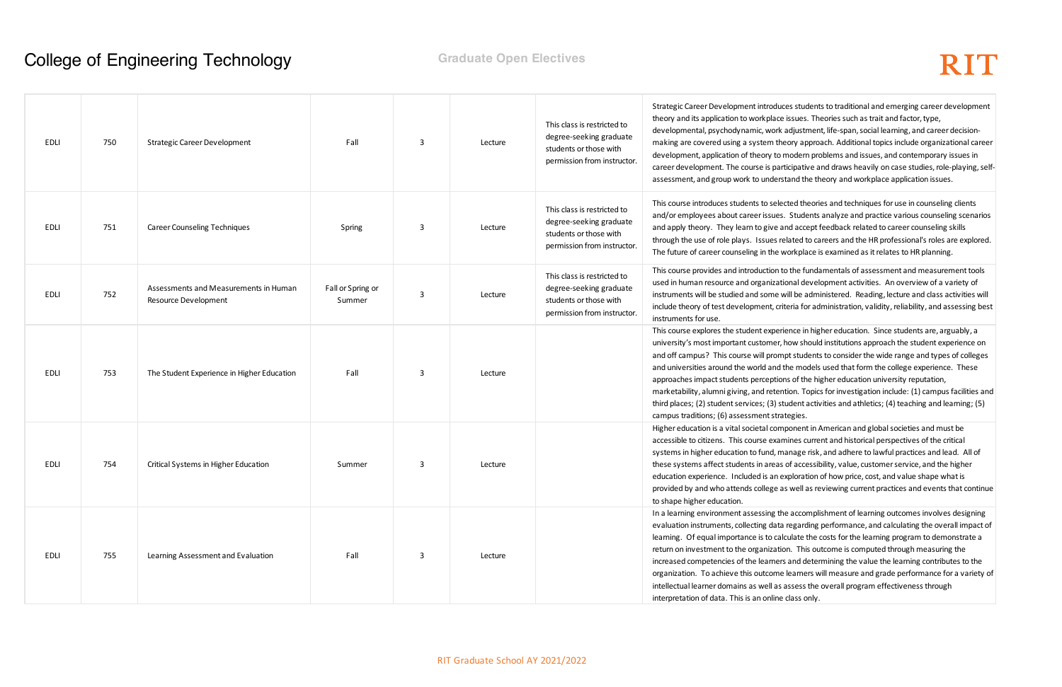Ices students to traditional and emerging career development theory and factor, type, theories such as trait and factor, type, adjustment, life-span, social learning, and career decisionheory approach. Additional topics include organizational career modern problems and issues, and contemporary issues in rticipative and draws heavily on case studies, role-playing, selfrstand the theory and work place application issues.

lected theories and techniques for use in counseling clients es. Students analyze and practice various counseling scenarios and accept feedback related to career counseling skills related to careers and the HR professional's roles are explored. workplace is examined as it relates to HR planning.

to the fundamentals of assessment and measurement tools itional development activities. An overview of a variety of will be administered. Reading, lecture and class activities will riteria for administration, validity, reliability, and assessing best

rience in higher education. Since students are, arguably, a , how should institutions approach the student experience on mpt students to consider the wide range and types of colleges the models used that form the college experience. These ons of the higher education university reputation,

ntion. Topics for investigation include: (1) campus facilities and student activities and athletics; (4) teaching and learning; (5) rategies.

mponent in American and global societies and must be amines current and historical perspectives of the critical nanage risk, and adhere to lawful practices and lead. All of as of accessibility, value, customer service, and the higher exploration of how price, cost, and value shape what is as well as reviewing current practices and events that continue

the accomplishment of learning outcomes involves designing ta regarding performance, and calculating the overall impact of lculate the costs for the learning program to demonstrate a ion. This outcome is computed through measuring the ers and determining the value the learning contributes to the ne learners will measure and grade performance for a variety of assess the overall program effectiveness through ie class only.

| EDLI        | 750 | <b>Strategic Career Development</b>                                  | Fall                        | 3 | Lecture | This class is restricted to<br>degree-seeking graduate<br>students or those with<br>permission from instructor. | Strategic Career Development introdu<br>theory and its application to workplac<br>developmental, psychodynamic, work<br>making are covered using a system th<br>development, application of theory to<br>career development. The course is pa<br>assessment, and group work to under                                                       |
|-------------|-----|----------------------------------------------------------------------|-----------------------------|---|---------|-----------------------------------------------------------------------------------------------------------------|--------------------------------------------------------------------------------------------------------------------------------------------------------------------------------------------------------------------------------------------------------------------------------------------------------------------------------------------|
| EDLI        | 751 | <b>Career Counseling Techniques</b>                                  | Spring                      | 3 | Lecture | This class is restricted to<br>degree-seeking graduate<br>students or those with<br>permission from instructor. | This course introduces students to seld<br>and/or employees about career issue<br>and apply theory. They learn to give<br>through the use of role plays. Issues<br>The future of career counseling in the                                                                                                                                  |
| <b>EDLI</b> | 752 | Assessments and Measurements in Human<br><b>Resource Development</b> | Fall or Spring or<br>Summer | 3 | Lecture | This class is restricted to<br>degree-seeking graduate<br>students or those with<br>permission from instructor. | This course provides and introduction<br>used in human resource and organiza<br>instruments will be studied and some<br>include theory of test development, cr<br>instruments for use.                                                                                                                                                     |
| EDLI        | 753 | The Student Experience in Higher Education                           | Fall                        | 3 | Lecture |                                                                                                                 | This course explores the student expe<br>university's most important customer<br>and off campus? This course will pror<br>and universities around the world and<br>approaches impact students perceptic<br>marketability, alumni giving, and rete<br>third places; (2) student services; (3) s<br>campus traditions; (6) assessment str    |
| EDLI        | 754 | Critical Systems in Higher Education                                 | Summer                      | 3 | Lecture |                                                                                                                 | Higher education is a vital societal cor<br>accessible to citizens. This course exa<br>systems in higher education to fund, r<br>these systems affect students in area<br>education experience. Included is an<br>provided by and who attends college<br>to shape higher education.                                                        |
| EDLI        | 755 | Learning Assessment and Evaluation                                   | Fall                        | 3 | Lecture |                                                                                                                 | In a learning environment assessing t<br>evaluation instruments, collecting dat<br>learning. Of equal importance is to ca<br>return on investment to the organizat<br>increased competencies of the learne<br>organization. To achieve this outcom<br>intellectual learner domains as well as<br>interpretation of data. This is an online |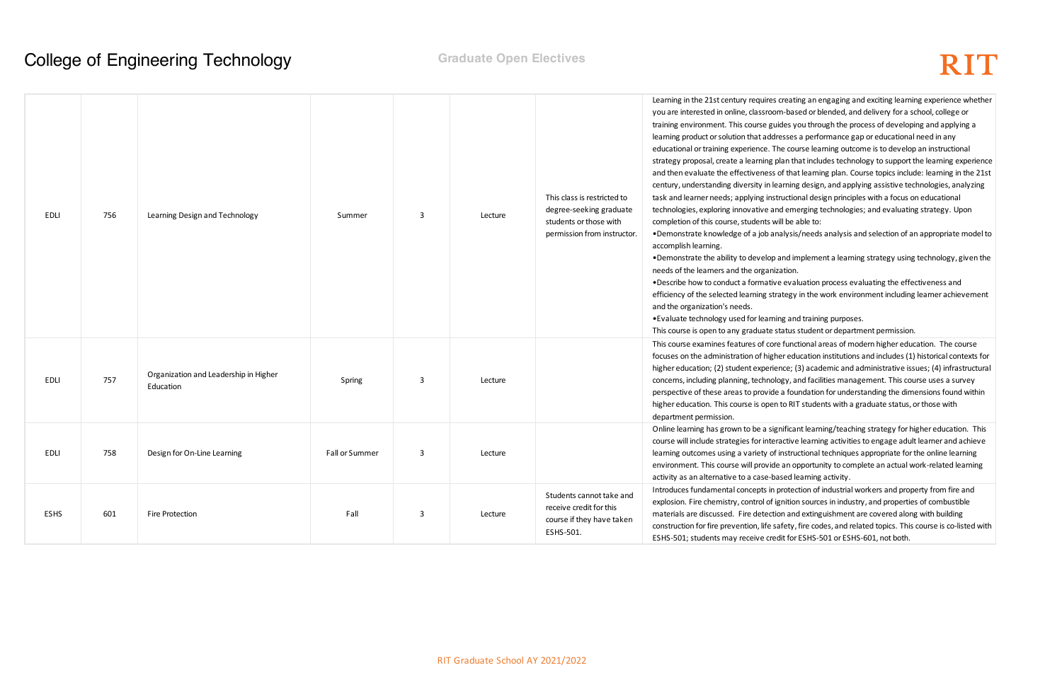creating an engaging and exciting learning experience whether m-based or blended, and delivery for a school, college or ides you through the process of developing and applying a lesses a performance gap or educational need in any he course learning outcome is to develop an instructional blan that includes technology to support the learning experience of that learning plan. Course topics include: learning in the 21st arning design, and applying assistive technologies, analyzing ructional design principles with a focus on educational id emerging technologies; and evaluating strategy. Upon ill be able to:

halysis/needs analysis and selection of an appropriate model to

and implement a learning strategy using technology, given the zation.

e evaluation process evaluating the effectiveness and ategy in the work environment including learner achievement

ng and training purposes.

tatus student or department permission.

e functional areas of modern higher education. The course ier education institutions and includes (1) historical contexts for nce; (3) academic and administrative issues; (4) infrastructural ogy, and facilities management. This course uses a survey extee foundation for understanding the dimensions found within to RIT students with a graduate status, or those with

nificant learning/teaching strategy for higher education. This active learning activities to engage adult learner and achieve instructional techniques appropriate for the online learning e an opportunity to complete an actual work-related learning ased learning activity.

protection of industrial workers and property from fire and gnition sources in industry, and properties of combustible on and extinguishment are covered along with building afety, fire codes, and related topics. This course is co-listed with dit for ESHS-501 or ESHS-601, not both.

| EDLI        | 756 | Learning Design and Technology                     | Summer         | 3            | Lecture | This class is restricted to<br>degree-seeking graduate<br>students or those with<br>permission from instructor. | Learning in the 21st century requires<br>you are interested in online, classroor<br>training environment. This course gui<br>learning product or solution that addr<br>educational or training experience. Th<br>strategy proposal, create a learning p<br>and then evaluate the effectiveness<br>century, understanding diversity in le<br>task and learner needs; applying inst<br>technologies, exploring innovative an<br>completion of this course, students w<br>•Demonstrate knowledge of a job an<br>accomplish learning.<br>. Demonstrate the ability to develop<br>needs of the learners and the organiz<br>. Describe how to conduct a formative<br>efficiency of the selected learning stra<br>and the organization's needs.<br>• Evaluate technology used for learni<br>This course is open to any graduate s |
|-------------|-----|----------------------------------------------------|----------------|--------------|---------|-----------------------------------------------------------------------------------------------------------------|----------------------------------------------------------------------------------------------------------------------------------------------------------------------------------------------------------------------------------------------------------------------------------------------------------------------------------------------------------------------------------------------------------------------------------------------------------------------------------------------------------------------------------------------------------------------------------------------------------------------------------------------------------------------------------------------------------------------------------------------------------------------------------------------------------------------------|
| EDLI        | 757 | Organization and Leadership in Higher<br>Education | Spring         | $\mathbf{3}$ | Lecture |                                                                                                                 | This course examines features of core<br>focuses on the administration of high<br>higher education; (2) student experie<br>concerns, including planning, technold<br>perspective of these areas to provide<br>higher education. This course is open<br>department permission.                                                                                                                                                                                                                                                                                                                                                                                                                                                                                                                                              |
| EDLI        | 758 | Design for On-Line Learning                        | Fall or Summer | 3            | Lecture |                                                                                                                 | Online learning has grown to be a sig<br>course will include strategies for inter<br>learning outcomes using a variety of<br>environment. This course will provide<br>activity as an alternative to a case-ba                                                                                                                                                                                                                                                                                                                                                                                                                                                                                                                                                                                                              |
| <b>ESHS</b> | 601 | Fire Protection                                    | Fall           | 3            | Lecture | Students cannot take and<br>receive credit for this<br>course if they have taken<br>ESHS-501.                   | Introduces fundamental concepts in p<br>explosion. Fire chemistry, control of ig<br>materials are discussed. Fire detectio<br>construction for fire prevention, life sa<br>ESHS-501; students may receive cred                                                                                                                                                                                                                                                                                                                                                                                                                                                                                                                                                                                                             |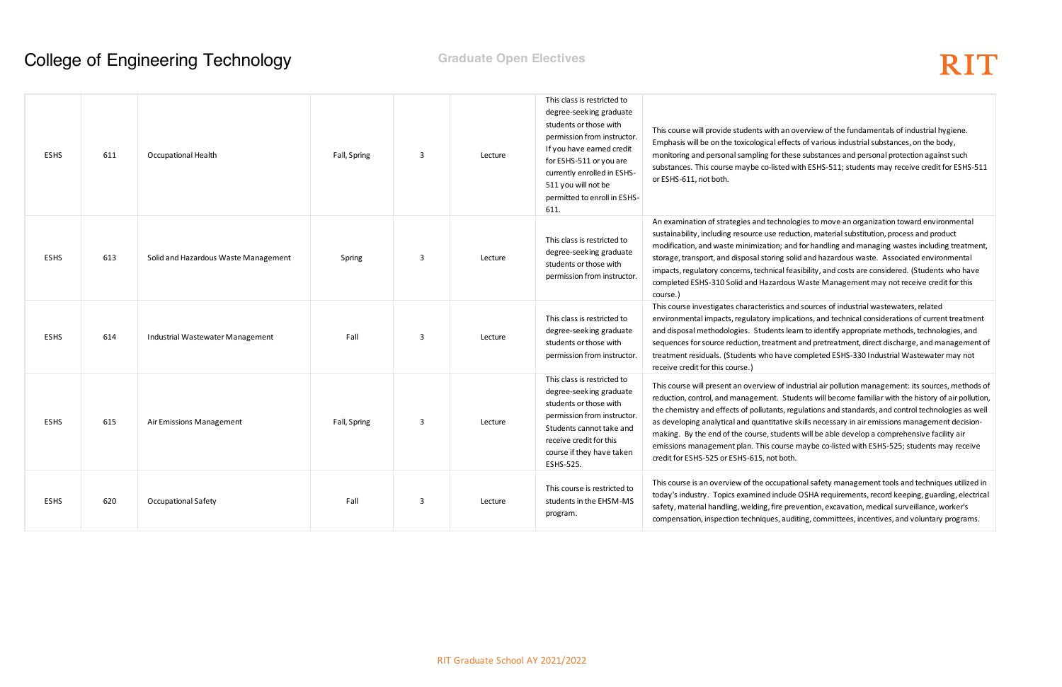an overview of the fundamentals of industrial hygiene. effects of various industrial substances, on the body, these substances and personal protection against such ted with ESHS-511; students may receive credit for ESHS-511

an examination of strategies to move an organization toward environmental eduction, material substitution, process and product ; and for handling and managing wastes including treatment, g solid and hazardous waste. Associated environmental al feasibility, and costs are considered. (Students who have dous Waste Management may not receive credit for this

ts and sources of industrial wastewaters, related plications, and technical considerations of current treatment ts learn to identify appropriate methods, technologies, and ment and pretreatment, direct discharge, and management of ave completed ESHS-330 Industrial Wastewater may not

of industrial air pollution management: its sources, methods of Students will become familiar with the history of air pollution, s, regulations and standards, and control technologies as well tive skills necessary in air emissions management decisionudents will be able develop a comprehensive facility air urse maybe co-listed with ESHS-525; students may receive

ipational safety management tools and techniques utilized in lude OSHA requirements, record keeping, guarding, electrical  $e$  prevention, excavation, medical surveillance, worker's auditing, committees, incentives, and voluntary programs.

| <b>ESHS</b> | 611 | Occupational Health                  | Fall, Spring | 3            | Lecture | This class is restricted to<br>degree-seeking graduate<br>students or those with<br>permission from instructor.<br>If you have earned credit<br>for ESHS-511 or you are<br>currently enrolled in ESHS-<br>511 you will not be<br>permitted to enroll in ESHS-<br>611. | This course will provide students with an of<br>Emphasis will be on the toxicological effect<br>monitoring and personal sampling for thes<br>substances. This course maybe co-listed w<br>or ESHS-611, not both.                                                                                                            |
|-------------|-----|--------------------------------------|--------------|--------------|---------|-----------------------------------------------------------------------------------------------------------------------------------------------------------------------------------------------------------------------------------------------------------------------|-----------------------------------------------------------------------------------------------------------------------------------------------------------------------------------------------------------------------------------------------------------------------------------------------------------------------------|
| <b>ESHS</b> | 613 | Solid and Hazardous Waste Management | Spring       | $\mathbf{3}$ | Lecture | This class is restricted to<br>degree-seeking graduate<br>students or those with<br>permission from instructor.                                                                                                                                                       | An examination of strategies and technolo<br>sustainability, including resource use reduc<br>modification, and waste minimization; and<br>storage, transport, and disposal storing sol<br>impacts, regulatory concerns, technical fea<br>completed ESHS-310 Solid and Hazardous<br>course.)                                 |
| <b>ESHS</b> | 614 | Industrial Wastewater Management     | Fall         | $\mathbf{3}$ | Lecture | This class is restricted to<br>degree-seeking graduate<br>students or those with<br>permission from instructor.                                                                                                                                                       | This course investigates characteristics and<br>environmental impacts, regulatory implica<br>and disposal methodologies. Students lea<br>sequences for source reduction, treatment<br>treatment residuals. (Students who have o<br>receive credit for this course.)                                                         |
| <b>ESHS</b> | 615 | Air Emissions Management             | Fall, Spring | 3            | Lecture | This class is restricted to<br>degree-seeking graduate<br>students or those with<br>permission from instructor.<br>Students cannot take and<br>receive credit for this<br>course if they have taken<br>ESHS-525.                                                      | This course will present an overview of ind<br>reduction, control, and management. Stud<br>the chemistry and effects of pollutants, reg<br>as developing analytical and quantitative :<br>making. By the end of the course, student<br>emissions management plan. This course<br>credit for ESHS-525 or ESHS-615, not both. |
| <b>ESHS</b> | 620 | Occupational Safety                  | Fall         | 3            | Lecture | This course is restricted to<br>students in the EHSM-MS<br>program.                                                                                                                                                                                                   | This course is an overview of the occupation<br>today's industry. Topics examined include<br>safety, material handling, welding, fire pre<br>compensation, inspection techniques, audi                                                                                                                                      |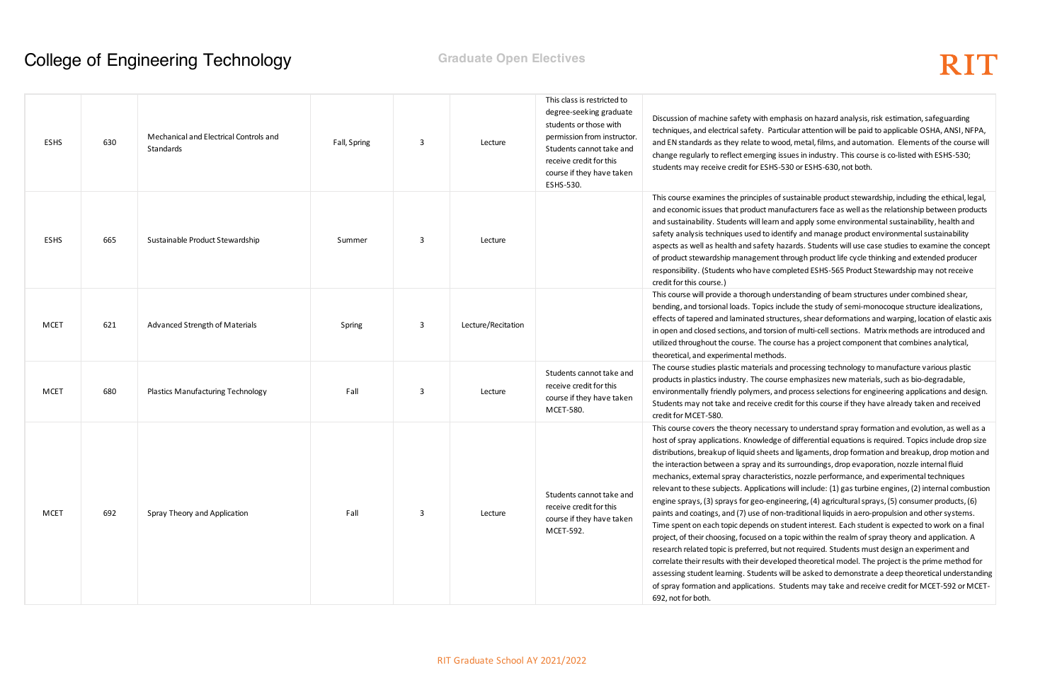nphasis on hazard analysis, risk estimation, safeguarding rticular attention will be paid to applicable OSHA, ANSI, NFPA, ood, metal, films, and automation. Elements of the course will issues in industry. This course is co-listed with ESHS-530; -530 or ESHS-630, not both.

f sustainable product stewardship, including the ethical, legal, inufacturers face as well as the relationship between products and apply some environmental sustainability, health and entify and manage product environmental sustainability hazards. Students will use case studies to examine the concept t through product life cycle thinking and extended producer ompleted ESHS-565 Product Stewardship may not receive

nderstanding of beam structures under combined shear, nclude the study of semi-monocoque structure idealizations, ictures, shear deformations and warping, location of elastic axis ion of multi-cell sections. Matrix methods are introduced and burse has a project component that combines analytical,

Ind processing technology to manufacture various plastic rse emphasizes new materials, such as bio-degradable, nd process selections for engineering applications and design. redit for this course if they have already taken and received

ary to understand spray formation and evolution, as well as a e of differential equations is required. Topics include drop size and ligaments, drop formation and breakup, drop motion and its surroundings, drop evaporation, nozzle internal fluid stics, nozzle performance, and experimental techniques ns will include: (1) gas turbine engines, (2) internal combustion ineering, (4) agricultural sprays, (5) consumer products, (6) on-traditional liquids in aero-propulsion and other systems. I student interest. Each student is expected to work on a final a topic within the realm of spray theory and application. A it not required. Students must design an experiment and loped theoretical model. The project is the prime method for will be asked to demonstrate a deep theoretical understanding Students may take and receive credit for MCET-592 or MCET-

| <b>ESHS</b> | 630 | Mechanical and Electrical Controls and<br>Standards | Fall, Spring | 3 | Lecture            | This class is restricted to<br>degree-seeking graduate<br>students or those with<br>permission from instructor.<br>Students cannot take and<br>receive credit for this<br>course if they have taken<br>ESHS-530. | Discussion of machine safety with emp<br>techniques, and electrical safety. Partic<br>and EN standards as they relate to woo<br>change regularly to reflect emerging iss<br>students may receive credit for ESHS-5                                                                                                                                                                                                                                                                                                                                                                                                                                       |
|-------------|-----|-----------------------------------------------------|--------------|---|--------------------|------------------------------------------------------------------------------------------------------------------------------------------------------------------------------------------------------------------|----------------------------------------------------------------------------------------------------------------------------------------------------------------------------------------------------------------------------------------------------------------------------------------------------------------------------------------------------------------------------------------------------------------------------------------------------------------------------------------------------------------------------------------------------------------------------------------------------------------------------------------------------------|
| <b>ESHS</b> | 665 | Sustainable Product Stewardship                     | Summer       | 3 | Lecture            |                                                                                                                                                                                                                  | This course examines the principles of s<br>and economic issues that product manu<br>and sustainability. Students will learn a<br>safety analysis techniques used to iden<br>aspects as well as health and safety hat<br>of product stewardship management th<br>responsibility. (Students who have com<br>credit for this course.)                                                                                                                                                                                                                                                                                                                      |
| <b>MCET</b> | 621 | Advanced Strength of Materials                      | Spring       | 3 | Lecture/Recitation |                                                                                                                                                                                                                  | This course will provide a thorough und<br>bending, and torsional loads. Topics inc<br>effects of tapered and laminated struct<br>in open and closed sections, and torsion<br>utilized throughout the course. The cou<br>theoretical, and experimental methods.                                                                                                                                                                                                                                                                                                                                                                                          |
| <b>MCET</b> | 680 | Plastics Manufacturing Technology                   | Fall         | 3 | Lecture            | Students cannot take and<br>receive credit for this<br>course if they have taken<br>MCET-580.                                                                                                                    | The course studies plastic materials and<br>products in plastics industry. The course<br>environmentally friendly polymers, and<br>Students may not take and receive cred<br>credit for MCET-580.                                                                                                                                                                                                                                                                                                                                                                                                                                                        |
| <b>MCET</b> | 692 | Spray Theory and Application                        | Fall         | 3 | Lecture            | Students cannot take and<br>receive credit for this<br>course if they have taken<br>MCET-592.                                                                                                                    | This course covers the theory necessary<br>host of spray applications. Knowledge o<br>distributions, breakup of liquid sheets a<br>the interaction between a spray and its<br>mechanics, external spray characteristic<br>relevant to these subjects. Applications<br>engine sprays, (3) sprays for geo-engin<br>paints and coatings, and (7) use of non-<br>Time spent on each topic depends on st<br>project, of their choosing, focused on a t<br>research related topic is preferred, but r<br>correlate their results with their develop<br>assessing student learning. Students w<br>of spray formation and applications. St<br>692, not for both. |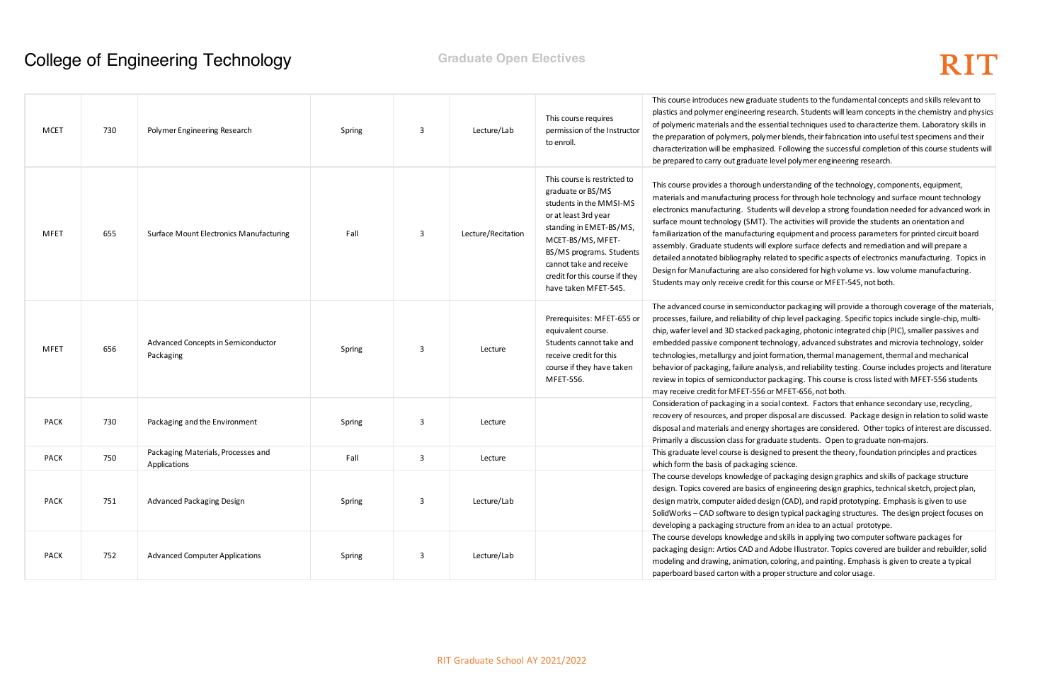students to the fundamental concepts and skills relevant to earch. Students will learn concepts in the chemistry and physics tial techniques used to characterize them. Laboratory skills in r blends, their fabrication into useful test specimens and their Following the successful completion of this course students will rel polymer engineering research.

erstanding of the technology, components, equipment, for through hole technology and surface mount technology will develop a strong foundation needed for advanced work in e activities will provide the students an orientation and equipment and process parameters for printed circuit board blore surface defects and remediation and will prepare a ted to specific aspects of electronics manufacturing. Topics in Insidered for high volume vs. low volume manufacturing. this course or MFET-545, not both.

tor packaging will provide a thorough coverage of the materials, hip level packaging. Specific topics include single-chip, multikaging, photonic integrated chip (PIC), smaller passives and ology, advanced substrates and microvia technology, solder rmation, thermal management, thermal and mechanical is, and reliability testing. Course includes projects and literature ckaging. This course is cross listed with MFET-556 students MFET-656, not both.

I context. Factors that enhance secondary use, recycling, posal are discussed. Package design in relation to solid waste nortages are considered. Other topics of interest are discussed. ate students. Open to graduate non-majors.

d to present the theory, foundation principles and practices ience.

ackaging design graphics and skills of package structure engineering design graphics, technical sketch, project plan, n (CAD), and rapid prototyping. Emphasis is given to use I typical packaging structures. The design project focuses on m an idea to an actual prototype.

skills in applying two computer software packages for lobe Illustrator. Topics covered are builder and rebuilder, solid loring, and painting. Emphasis is given to create a typical er structure and color usage.

| <b>MCET</b> | 730 | Polymer Engineering Research                       | Spring | 3            | Lecture/Lab        | This course requires<br>permission of the Instructor<br>to enroll.                                                                                                                                                                                                    | This course introduces new graduate<br>plastics and polymer engineering res<br>of polymeric materials and the essen<br>the preparation of polymers, polyme<br>characterization will be emphasized.<br>be prepared to carry out graduate lev                                                                                                                       |
|-------------|-----|----------------------------------------------------|--------|--------------|--------------------|-----------------------------------------------------------------------------------------------------------------------------------------------------------------------------------------------------------------------------------------------------------------------|-------------------------------------------------------------------------------------------------------------------------------------------------------------------------------------------------------------------------------------------------------------------------------------------------------------------------------------------------------------------|
| <b>MFET</b> | 655 | <b>Surface Mount Electronics Manufacturing</b>     | Fall   | $\mathbf{3}$ | Lecture/Recitation | This course is restricted to<br>graduate or BS/MS<br>students in the MMSI-MS<br>or at least 3rd year<br>standing in EMET-BS/MS,<br>MCET-BS/MS, MFET-<br>BS/MS programs. Students<br>cannot take and receive<br>credit for this course if they<br>have taken MFET-545. | This course provides a thorough unde<br>materials and manufacturing process<br>electronics manufacturing. Students<br>surface mount technology (SMT). Th<br>familiarization of the manufacturing<br>assembly. Graduate students will exp<br>detailed annotated bibliography relat<br>Design for Manufacturing are also co<br>Students may only receive credit for |
| <b>MFET</b> | 656 | Advanced Concepts in Semiconductor<br>Packaging    | Spring | 3            | Lecture            | Prerequisites: MFET-655 or<br>equivalent course.<br>Students cannot take and<br>receive credit for this<br>course if they have taken<br>MFET-556.                                                                                                                     | The advanced course in semiconduct<br>processes, failure, and reliability of ch<br>chip, wafer level and 3D stacked pacl<br>embedded passive component techn<br>technologies, metallurgy and joint for<br>behavior of packaging, failure analys<br>review in topics of semiconductor par<br>may receive credit for MFET-556 or I                                  |
| <b>PACK</b> | 730 | Packaging and the Environment                      | Spring | 3            | Lecture            |                                                                                                                                                                                                                                                                       | Consideration of packaging in a socia<br>recovery of resources, and proper dis<br>disposal and materials and energy sh<br>Primarily a discussion class for gradua                                                                                                                                                                                                 |
| <b>PACK</b> | 750 | Packaging Materials, Processes and<br>Applications | Fall   | $\mathbf{3}$ | Lecture            |                                                                                                                                                                                                                                                                       | This graduate level course is designe<br>which form the basis of packaging sc                                                                                                                                                                                                                                                                                     |
| <b>PACK</b> | 751 | Advanced Packaging Design                          | Spring | 3            | Lecture/Lab        |                                                                                                                                                                                                                                                                       | The course develops knowledge of p<br>design. Topics covered are basics of<br>design matrix, computer aided desigr<br>SolidWorks - CAD software to design<br>developing a packaging structure fro                                                                                                                                                                 |
| <b>PACK</b> | 752 | <b>Advanced Computer Applications</b>              | Spring | $\mathbf{3}$ | Lecture/Lab        |                                                                                                                                                                                                                                                                       | The course develops knowledge and<br>packaging design: Artios CAD and Ad<br>modeling and drawing, animation, co<br>paperboard based carton with a prop                                                                                                                                                                                                            |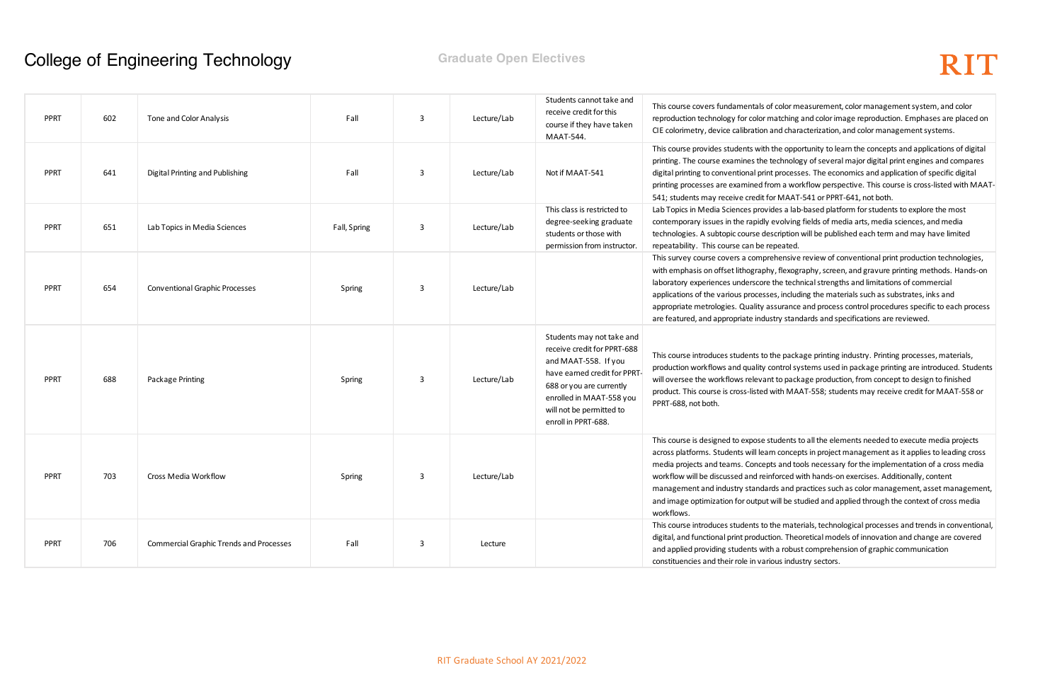tolor measurement, color management system, and color tching and color image reproduction. Emphases are placed on d characterization, and color management systems.

e opportunity to learn the concepts and applications of digital chnology of several major digital print engines and compares processes. The economics and application of specific digital 1 a workflow perspective. This course is cross-listed with MAAT-MAAT-541 or PPRT-641, not both.

es a lab-based platform for students to explore the most olving fields of media arts, media sciences, and media ription will be published each term and may have limited eated.

ensive review of conventional print production technologies, flexography, screen, and gravure printing methods. Hands-on le technical strengths and limitations of commercial , including the materials such as substrates, inks and urance and process control procedures specific to each process y standards and specifications are reviewed.

package printing industry. Printing processes, materials, ntrol systems used in package printing are introduced. Students to package production, from concept to design to finished th MAAT-558; students may receive credit for MAAT-558 or

dents to all the elements needed to execute media projects concepts in project management as it applies to leading cross and tools necessary for the implementation of a cross media prced with hands-on exercises. Additionally, content s and practices such as color management, asset management, ill be studied and applied through the context of cross media

materials, technological processes and trends in conventional, n. Theoretical models of innovation and change are covered robust comprehension of graphic communication is industry sectors.

| <b>PPRT</b> | 602 | Tone and Color Analysis                        | Fall         | $\mathbf{3}$ | Lecture/Lab | Students cannot take and<br>receive credit for this<br>course if they have taken<br>MAAT-544.                                                                                                                              | This course covers fundamentals of co<br>reproduction technology for color mat<br>CIE colorimetry, device calibration and                                                                                                                                      |
|-------------|-----|------------------------------------------------|--------------|--------------|-------------|----------------------------------------------------------------------------------------------------------------------------------------------------------------------------------------------------------------------------|----------------------------------------------------------------------------------------------------------------------------------------------------------------------------------------------------------------------------------------------------------------|
| <b>PPRT</b> | 641 | Digital Printing and Publishing                | Fall         | 3            | Lecture/Lab | Not if MAAT-541                                                                                                                                                                                                            | This course provides students with the<br>printing. The course examines the tec<br>digital printing to conventional print p<br>printing processes are examined from<br>541; students may receive credit for I                                                  |
| <b>PPRT</b> | 651 | Lab Topics in Media Sciences                   | Fall, Spring | 3            | Lecture/Lab | This class is restricted to<br>degree-seeking graduate<br>students or those with<br>permission from instructor.                                                                                                            | Lab Topics in Media Sciences provide<br>contemporary issues in the rapidly ev<br>technologies. A subtopic course descr<br>repeatability. This course can be repe                                                                                               |
| <b>PPRT</b> | 654 | <b>Conventional Graphic Processes</b>          | Spring       | 3            | Lecture/Lab |                                                                                                                                                                                                                            | This survey course covers a comprehe<br>with emphasis on offset lithography, I<br>laboratory experiences underscore th<br>applications of the various processes,<br>appropriate metrologies. Quality assu<br>are featured, and appropriate industry            |
| <b>PPRT</b> | 688 | Package Printing                               | Spring       | 3            | Lecture/Lab | Students may not take and<br>receive credit for PPRT-688<br>and MAAT-558. If you<br>have earned credit for PPRT<br>688 or you are currently<br>enrolled in MAAT-558 you<br>will not be permitted to<br>enroll in PPRT-688. | This course introduces students to the<br>production workflows and quality con<br>will oversee the workflows relevant to<br>product. This course is cross-listed wit<br>PPRT-688, not both.                                                                    |
| <b>PPRT</b> | 703 | Cross Media Workflow                           | Spring       | 3            | Lecture/Lab |                                                                                                                                                                                                                            | This course is designed to expose stud<br>across platforms. Students will learn o<br>media projects and teams. Concepts a<br>workflow will be discussed and reinfo<br>management and industry standards<br>and image optimization for output wil<br>workflows. |
| <b>PPRT</b> | 706 | <b>Commercial Graphic Trends and Processes</b> | Fall         | $\mathbf{3}$ | Lecture     |                                                                                                                                                                                                                            | This course introduces students to the<br>digital, and functional print production<br>and applied providing students with a<br>constituencies and their role in variou                                                                                         |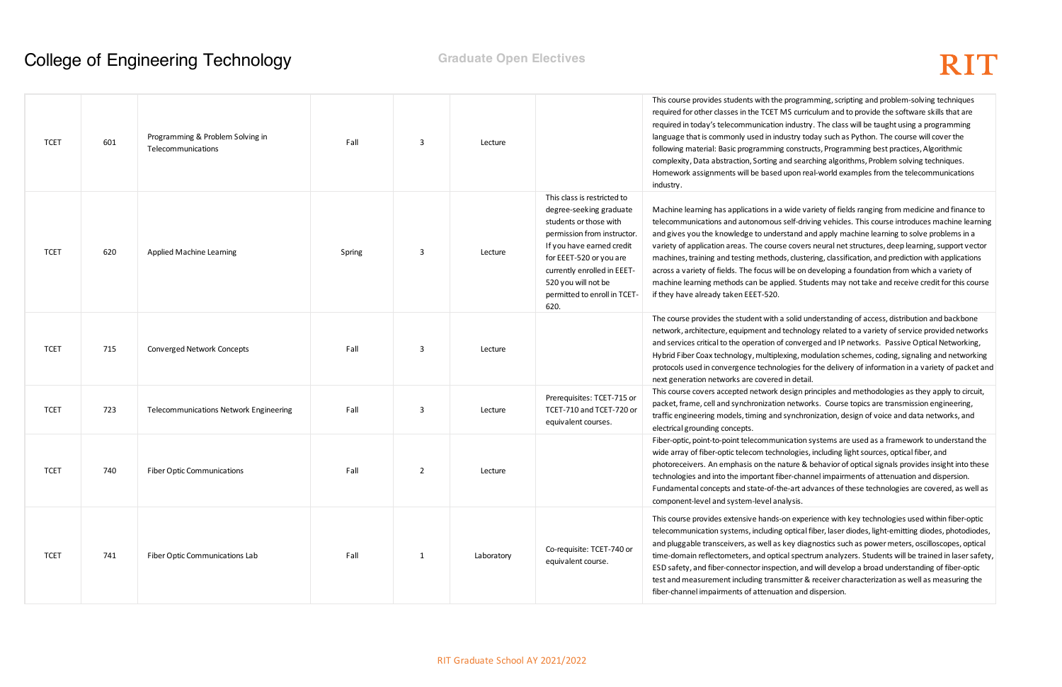Ie programming, scripting and problem-solving techniques MS curriculum and to provide the software skills that are on industry. The class will be taught using a programming idustry today such as Python. The course will cover the g constructs, Programming best practices, Algorithmic and searching algorithms, Problem solving techniques. d upon real-world examples from the telecommunications

a wide variety of fields ranging from medicine and finance to is self-driving vehicles. This course introduces machine learning erstand and apply machine learning to solve problems in a rse covers neural net structures, deep learning, support vector ods, clustering, classification, and prediction with applications vill be on developing a foundation from which a variety of plied. Students may not take and receive credit for this course

a solid understanding of access, distribution and backbone d technology related to a variety of service provided networks of converged and IP networks. Passive Optical Networking, lexing, modulation schemes, coding, signaling and networking plogies for the delivery of information in a variety of packet and d in detail.

design principles and methodologies as they apply to circuit, on networks. Course topics are transmission engineering, d synchronization, design of voice and data networks, and

inication systems are used as a framework to understand the anologies, including light sources, optical fiber, and nature & behavior of optical signals provides insight into these iber-channel impairments of attenuation and dispersion. the-art advances of these technologies are covered, as well as nalysis.

Fon experience with key technologies used within fiber-optic g optical fiber, laser diodes, light-emitting diodes, photodiodes, s key diagnostics such as power meters, oscilloscopes, optical ical spectrum analyzers. Students will be trained in laser safety, ection, and will develop a broad understanding of fiber-optic smitter & receiver characterization as well as measuring the ation and dispersion.

| <b>TCET</b> | 601 | Programming & Problem Solving in<br>Telecommunications | Fall   | 3              | Lecture    |                                                                                                                                                                                                                                                                       | This course provides students with the<br>required for other classes in the TCET<br>required in today's telecommunicatio<br>language that is commonly used in in<br>following material: Basic programmin<br>complexity, Data abstraction, Sorting<br>Homework assignments will be based<br>industry.                        |
|-------------|-----|--------------------------------------------------------|--------|----------------|------------|-----------------------------------------------------------------------------------------------------------------------------------------------------------------------------------------------------------------------------------------------------------------------|-----------------------------------------------------------------------------------------------------------------------------------------------------------------------------------------------------------------------------------------------------------------------------------------------------------------------------|
| <b>TCET</b> | 620 | Applied Machine Learning                               | Spring | 3              | Lecture    | This class is restricted to<br>degree-seeking graduate<br>students or those with<br>permission from instructor.<br>If you have earned credit<br>for EEET-520 or you are<br>currently enrolled in EEET-<br>520 you will not be<br>permitted to enroll in TCET-<br>620. | Machine learning has applications in<br>telecommunications and autonomous<br>and gives you the knowledge to unde<br>variety of application areas. The cour<br>machines, training and testing metho<br>across a variety of fields. The focus w<br>machine learning methods can be ap<br>if they have already taken EEET-520. |
| <b>TCET</b> | 715 | <b>Converged Network Concepts</b>                      | Fall   | 3              | Lecture    |                                                                                                                                                                                                                                                                       | The course provides the student with<br>network, architecture, equipment and<br>and services critical to the operation o<br>Hybrid Fiber Coax technology, multipl<br>protocols used in convergence techno<br>next generation networks are covere                                                                            |
| <b>TCET</b> | 723 | <b>Telecommunications Network Engineering</b>          | Fall   | 3              | Lecture    | Prerequisites: TCET-715 or<br>TCET-710 and TCET-720 or<br>equivalent courses.                                                                                                                                                                                         | This course covers accepted network<br>packet, frame, cell and synchronizatio<br>traffic engineering models, timing and<br>electrical grounding concepts.                                                                                                                                                                   |
| <b>TCET</b> | 740 | <b>Fiber Optic Communications</b>                      | Fall   | $\overline{2}$ | Lecture    |                                                                                                                                                                                                                                                                       | Fiber-optic, point-to-point telecommu<br>wide array of fiber-optic telecom tech<br>photoreceivers. An emphasis on the i<br>technologies and into the important f<br>Fundamental concepts and state-of-t<br>component-level and system-level ar                                                                              |
| <b>TCET</b> | 741 | Fiber Optic Communications Lab                         | Fall   | $\mathbf{1}$   | Laboratory | Co-requisite: TCET-740 or<br>equivalent course.                                                                                                                                                                                                                       | This course provides extensive hands<br>telecommunication systems, including<br>and pluggable transceivers, as well as<br>time-domain reflectometers, and opt<br>ESD safety, and fiber-connector inspe<br>test and measurement including trans<br>fiber-channel impairments of attenua                                      |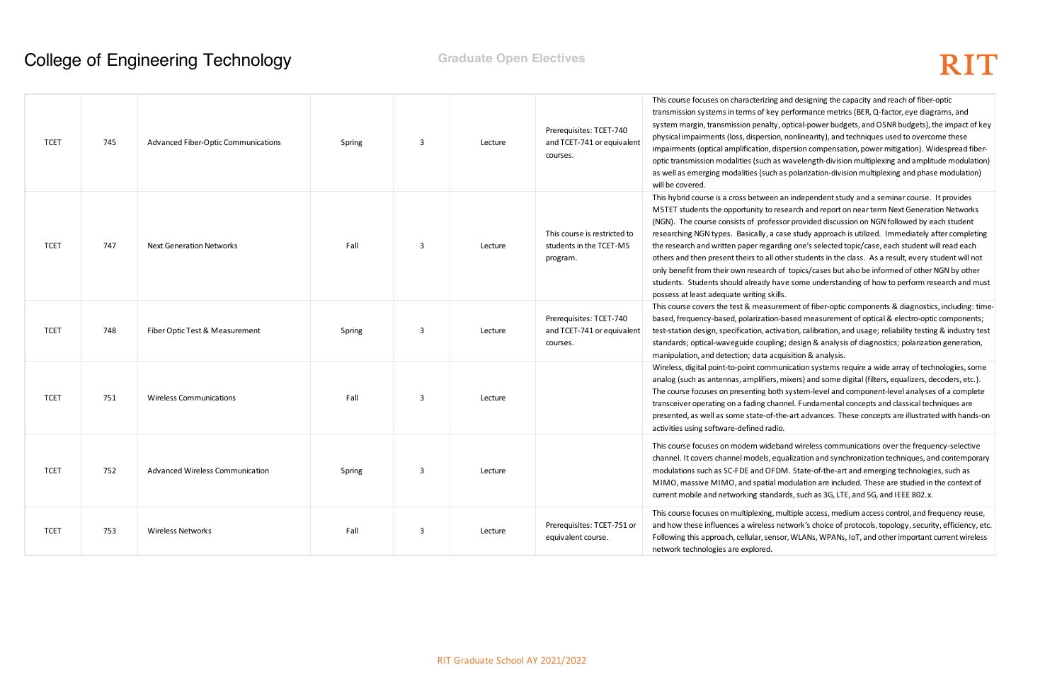and designing the capacity and reach of fiber-optic therformance metrics (BER, Q-factor, eye diagrams, and , optical-power budgets, and OSNR budgets), the impact of key n, nonlinearity), and techniques used to overcome these ispersion compensation, power mitigation). Widespread fiberwavelength-division multiplexing and amplitude modulation) as polarization-division multiplexing and phase modulation)

an independent study and a seminar course. It provides esearch and report on near term Next Generation Networks sor provided discussion on NGN followed by each student rase study approach is utilized. Immediately after completing ding one's selected topic/case, each student will read each other students in the class. As a result, every student will not of topics/cases but also be informed of other NGN by other ave some understanding of how to perform research and must

ement of fiber-optic components & diagnostics, including: time--based measurement of optical & electro-optic components; vation, calibration, and usage; reliability testing & industry test ng; design & analysis of diagnostics; polarization generation, quisition & analysis.

unication systems require a wide array of technologies, some mixers) and some digital (filters, equalizers, decoders, etc.). th system-level and component-level analyses of a complete innel. Fundamental concepts and classical techniques are he-art advances. These concepts are illustrated with hands-on

oand wireless communications over the frequency-selective qualization and synchronization techniques, and contemporary DM. State-of-the-art and emerging technologies, such as modulation are included. These are studied in the context of ards, such as 3G, LTE, and 5G, and IEEE 802.x.

multiple access, medium access control, and frequency reuse, network's choice of protocols, topology, security, efficiency, etc. sor, WLANs, WPANs, IoT, and other important current wireless

| <b>TCET</b> | 745 | Advanced Fiber-Optic Communications | Spring | 3 | Lecture | Prerequisites: TCET-740<br>and TCET-741 or equivalent<br>courses.   | This course focuses on characterizing a<br>transmission systems in terms of key p<br>system margin, transmission penalty, o<br>physical impairments (loss, dispersion, i<br>impairments (optical amplification, disp<br>optic transmission modalities (such as v<br>as well as emerging modalities (such as<br>will be covered.                                                                   |
|-------------|-----|-------------------------------------|--------|---|---------|---------------------------------------------------------------------|---------------------------------------------------------------------------------------------------------------------------------------------------------------------------------------------------------------------------------------------------------------------------------------------------------------------------------------------------------------------------------------------------|
| <b>TCET</b> | 747 | <b>Next Generation Networks</b>     | Fall   | 3 | Lecture | This course is restricted to<br>students in the TCET-MS<br>program. | This hybrid course is a cross between ar<br>MSTET students the opportunity to rese<br>(NGN). The course consists of professo<br>researching NGN types. Basically, a cas<br>the research and written paper regardir<br>others and then present theirs to all oth<br>only benefit from their own research of<br>students. Students should already have<br>possess at least adequate writing skills. |
| <b>TCET</b> | 748 | Fiber Optic Test & Measurement      | Spring | 3 | Lecture | Prerequisites: TCET-740<br>and TCET-741 or equivalent<br>courses.   | This course covers the test & measuren<br>based, frequency-based, polarization-b<br>test-station design, specification, activa<br>standards; optical-waveguide coupling;<br>manipulation, and detection; data acqu                                                                                                                                                                                |
| <b>TCET</b> | 751 | <b>Wireless Communications</b>      | Fall   | 3 | Lecture |                                                                     | Wireless, digital point-to-point commun<br>analog (such as antennas, amplifiers, m<br>The course focuses on presenting both:<br>transceiver operating on a fading chanr<br>presented, as well as some state-of-the<br>activities using software-defined radio.                                                                                                                                    |
| <b>TCET</b> | 752 | Advanced Wireless Communication     | Spring | 3 | Lecture |                                                                     | This course focuses on modern widebar<br>channel. It covers channel models, equ<br>modulations such as SC-FDE and OFDN<br>MIMO, massive MIMO, and spatial mo<br>current mobile and networking standar                                                                                                                                                                                             |
| <b>TCET</b> | 753 | <b>Wireless Networks</b>            | Fall   | 3 | Lecture | Prerequisites: TCET-751 or<br>equivalent course.                    | This course focuses on multiplexing, mu<br>and how these influences a wireless net<br>Following this approach, cellular, sensor<br>network technologies are explored.                                                                                                                                                                                                                             |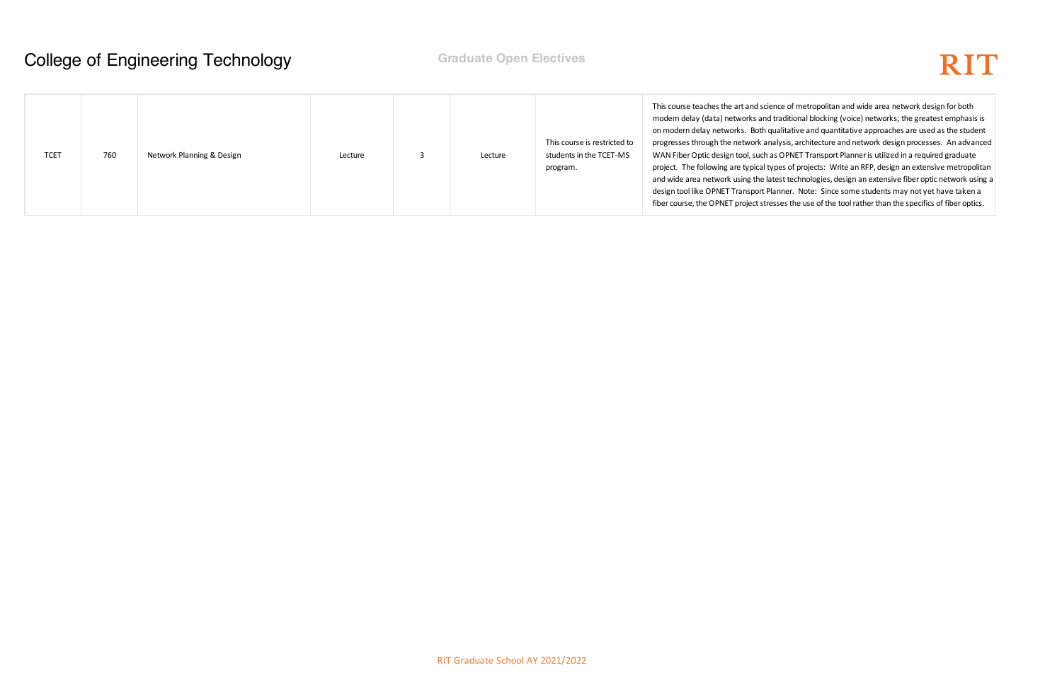ce of metropolitan and wide area network design for both aditional blocking (voice) networks; the greatest emphasis is litative and quantitative approaches are used as the student sis, architecture and network design processes. An advanced OPNET Transport Planner is utilized in a required graduate es of projects: Write an RFP, design an extensive metropolitan st technologies, design an extensive fiber optic network using a ner. Note: Since some students may not yet have taken a es the use of the tool rather than the specifics of fiber optics.

| <b>TCET</b> | 760 | Network Planning & Design | Lecture |  | Lecture | This course is restricted to<br>students in the TCET-MS<br>program. | This course teaches the art and science<br>modern delay (data) networks and tra<br>on modern delay networks. Both qual<br>progresses through the network analy<br>WAN Fiber Optic design tool, such as O<br>project. The following are typical type<br>and wide area network using the lates<br>design tool like OPNET Transport Plan<br>fiber course, the OPNET project stresse |
|-------------|-----|---------------------------|---------|--|---------|---------------------------------------------------------------------|----------------------------------------------------------------------------------------------------------------------------------------------------------------------------------------------------------------------------------------------------------------------------------------------------------------------------------------------------------------------------------|
|-------------|-----|---------------------------|---------|--|---------|---------------------------------------------------------------------|----------------------------------------------------------------------------------------------------------------------------------------------------------------------------------------------------------------------------------------------------------------------------------------------------------------------------------------------------------------------------------|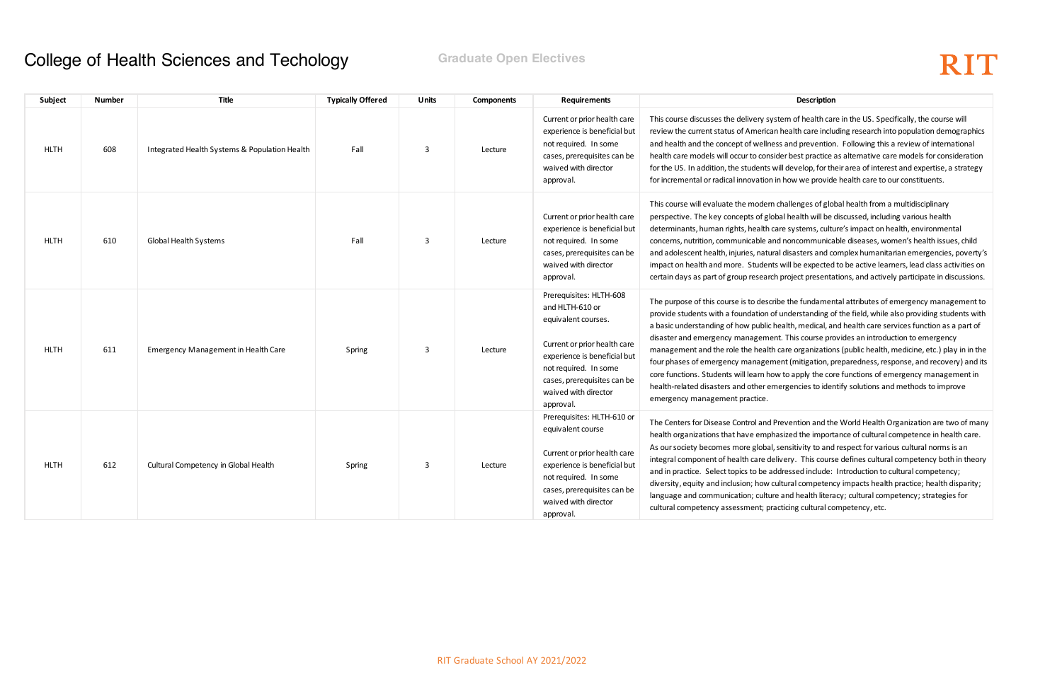# RIT

tem of health care in the US. Specifically, the course will health care including research into population demographics is and prevention. Following this a review of international der best practice as alternative care models for consideration ill develop, for their area of interest and expertise, a strategy n how we provide health care to our constituents.

challenges of global health from a multidisciplinary pal health will be discussed, including various health are systems, culture's impact on health, environmental d noncommunicable diseases, women's health issues, child al disasters and complex humanitarian emergencies, poverty's will be expected to be active learners, lead class activities on project presentations, and actively participate in discussions.

be the fundamental attributes of emergency management to  $\epsilon$  understanding of the field, while also providing students with ealth, medical, and health care services function as a part of it. This course provides an introduction to emergency care organizations (public health, medicine, etc.) play in in the ent (mitigation, preparedness, response, and recovery) and its w to apply the core functions of emergency management in ergencies to identify solutions and methods to improve

revention and the World Health Organization are two of many asized the importance of cultural competence in health care. sensitivity to and respect for various cultural norms is an ivery. This course defines cultural competency both in theory dressed include: Introduction to cultural competency; altural competency impacts health practice; health disparity; e and health literacy; cultural competency; strategies for cticing cultural competency, etc.

| Subject     | Number | Title                                         | <b>Typically Offered</b> | <b>Units</b>            | <b>Components</b> | <b>Requirements</b>                                                                                                                                                                                                            | Description                                                                                                                                                                                                                                                                                                                                                                                                                                                                                            |
|-------------|--------|-----------------------------------------------|--------------------------|-------------------------|-------------------|--------------------------------------------------------------------------------------------------------------------------------------------------------------------------------------------------------------------------------|--------------------------------------------------------------------------------------------------------------------------------------------------------------------------------------------------------------------------------------------------------------------------------------------------------------------------------------------------------------------------------------------------------------------------------------------------------------------------------------------------------|
| <b>HLTH</b> | 608    | Integrated Health Systems & Population Health | Fall                     | 3                       | Lecture           | Current or prior health care<br>experience is beneficial but<br>not required. In some<br>cases, prerequisites can be<br>waived with director<br>approval.                                                                      | This course discusses the delivery system of health car<br>review the current status of American health care inclu<br>and health and the concept of wellness and prevention<br>health care models will occur to consider best practice a<br>for the US. In addition, the students will develop, for th<br>for incremental or radical innovation in how we provide                                                                                                                                      |
| <b>HLTH</b> | 610    | <b>Global Health Systems</b>                  | Fall                     | $\mathbf{3}$            | Lecture           | Current or prior health care<br>experience is beneficial but<br>not required. In some<br>cases, prerequisites can be<br>waived with director<br>approval.                                                                      | This course will evaluate the modern challenges of glol<br>perspective. The key concepts of global health will be<br>determinants, human rights, health care systems, cultu<br>concerns, nutrition, communicable and noncommunica<br>and adolescent health, injuries, natural disasters and co<br>impact on health and more. Students will be expected<br>certain days as part of group research project presenta                                                                                      |
| <b>HLTH</b> | 611    | Emergency Management in Health Care           | Spring                   | $\overline{\mathbf{3}}$ | Lecture           | Prerequisites: HLTH-608<br>and HLTH-610 or<br>equivalent courses.<br>Current or prior health care<br>experience is beneficial but<br>not required. In some<br>cases, prerequisites can be<br>waived with director<br>approval. | The purpose of this course is to describe the fundamen<br>provide students with a foundation of understanding o<br>a basic understanding of how public health, medical, ar<br>disaster and emergency management. This course pro<br>management and the role the health care organization<br>four phases of emergency management (mitigation, p<br>core functions. Students will learn how to apply the cor<br>health-related disasters and other emergencies to ider<br>emergency management practice. |
| <b>HLTH</b> | 612    | Cultural Competency in Global Health          | Spring                   | 3                       | Lecture           | Prerequisites: HLTH-610 or<br>equivalent course<br>Current or prior health care<br>experience is beneficial but<br>not required. In some<br>cases, prerequisites can be<br>waived with director<br>approval.                   | The Centers for Disease Control and Prevention and the<br>health organizations that have emphasized the import<br>As our society becomes more global, sensitivity to and<br>integral component of health care delivery. This cours<br>and in practice. Select topics to be addressed include:<br>diversity, equity and inclusion; how cultural competend<br>language and communication; culture and health litera<br>cultural competency assessment; practicing cultural co                            |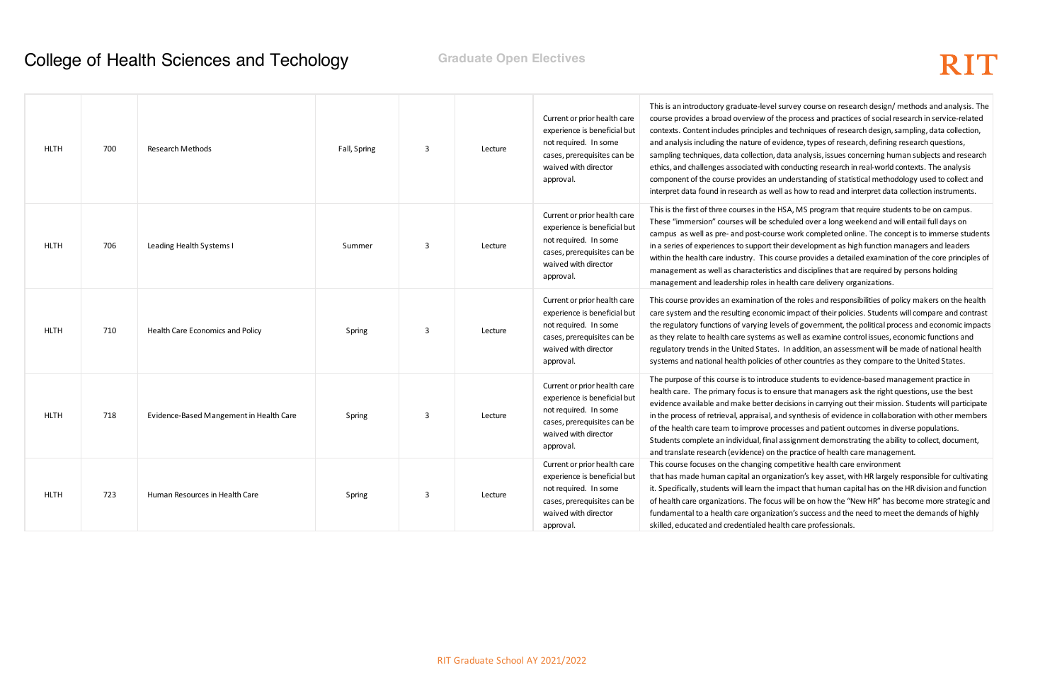# RIT

survey course on research design/ methods and analysis. The he process and practices of social research in service-related nd techniques of research design, sampling, data collection, vidence, types of research, defining research questions, data analysis, issues concerning human subjects and research conducting research in real-world contexts. The analysis understanding of statistical methodology used to collect and Il as how to read and interpret data collection instruments.

HSA, MS program that require students to be on campus. eduled over a long weekend and will entail full days on se work completed online. The concept is to immerse students ieir development as high function managers and leaders ourse provides a detailed examination of the core principles of and disciplines that are required by persons holding nealth care delivery organizations.

of the roles and responsibilities of policy makers on the health ic impact of their policies. Students will compare and contrast rels of government, the political process and economic impacts as well as examine control issues, economic functions and In addition, an assessment will be made of national health other countries as they compare to the United States.

Ice students to evidence-based management practice in nsure that managers ask the right questions, use the best lecisions in carrying out their mission. Students will participate nd synthesis of evidence in collaboration with other members ocesses and patient outcomes in diverse populations. assignment demonstrating the ability to collect, document, he practice of health care management.

ompetitive health care environment

iization's key asset, with HR largely responsible for cultivating mpact that human capital has on the HR division and function will be on how the "New HR" has become more strategic and ation's success and the need to meet the demands of highly alth care professionals.

| <b>HLTH</b> | 700 | Research Methods                        | Fall, Spring | 3 | Lecture | Current or prior health care<br>experience is beneficial but<br>not required. In some<br>cases, prerequisites can be<br>waived with director<br>approval. | This is an introductory graduate-level s<br>course provides a broad overview of th<br>contexts. Content includes principles a<br>and analysis including the nature of ev<br>sampling techniques, data collection, d<br>ethics, and challenges associated with<br>component of the course provides an u<br>interpret data found in research as wel |
|-------------|-----|-----------------------------------------|--------------|---|---------|-----------------------------------------------------------------------------------------------------------------------------------------------------------|---------------------------------------------------------------------------------------------------------------------------------------------------------------------------------------------------------------------------------------------------------------------------------------------------------------------------------------------------|
| <b>HLTH</b> | 706 | Leading Health Systems I                | Summer       | 3 | Lecture | Current or prior health care<br>experience is beneficial but<br>not required. In some<br>cases, prerequisites can be<br>waived with director<br>approval. | This is the first of three courses in the H<br>These "immersion" courses will be sch<br>campus as well as pre- and post-cours<br>in a series of experiences to support th<br>within the health care industry. This co<br>management as well as characteristics<br>management and leadership roles in h                                            |
| <b>HLTH</b> | 710 | Health Care Economics and Policy        | Spring       | 3 | Lecture | Current or prior health care<br>experience is beneficial but<br>not required. In some<br>cases, prerequisites can be<br>waived with director<br>approval. | This course provides an examination o<br>care system and the resulting econom<br>the regulatory functions of varying lev<br>as they relate to health care systems a<br>regulatory trends in the United States.<br>systems and national health policies of                                                                                         |
| <b>HLTH</b> | 718 | Evidence-Based Mangement in Health Care | Spring       | 3 | Lecture | Current or prior health care<br>experience is beneficial but<br>not required. In some<br>cases, prerequisites can be<br>waived with director<br>approval. | The purpose of this course is to introdu<br>health care. The primary focus is to er<br>evidence available and make better de<br>in the process of retrieval, appraisal, ar<br>of the health care team to improve pro<br>Students complete an individual, final<br>and translate research (evidence) on tl                                         |
| <b>HLTH</b> | 723 | Human Resources in Health Care          | Spring       | 3 | Lecture | Current or prior health care<br>experience is beneficial but<br>not required. In some<br>cases, prerequisites can be<br>waived with director<br>approval. | This course focuses on the changing co<br>that has made human capital an orgar<br>it. Specifically, students will learn the ir<br>of health care organizations. The focus<br>fundamental to a health care organiza<br>skilled, educated and credentialed hea                                                                                      |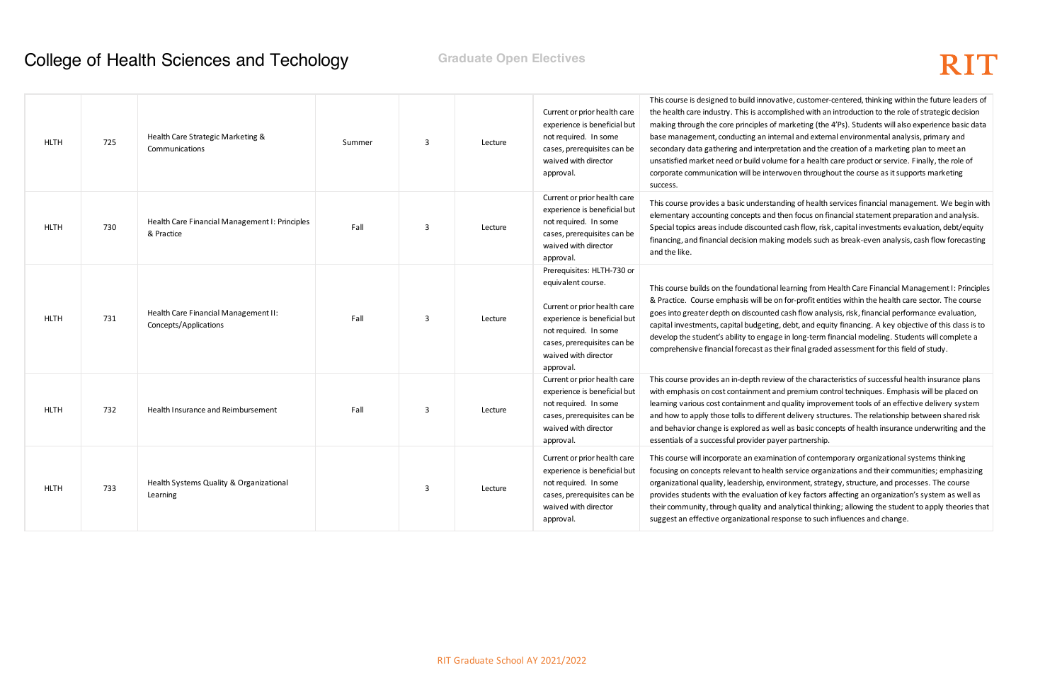## RIT

ative, customer-centered, thinking within the future leaders of nplished with an introduction to the role of strategic decision marketing (the 4'Ps). Students will also experience basic data ernal and external environmental analysis, primary and etation and the creation of a marketing plan to meet an me for a health care product or service. Finally, the role of woven throughout the course as it supports marketing

Iding of health services financial management. We begin with then focus on financial statement preparation and analysis. I cash flow, risk, capital investments evaluation, debt/equity g models such as break-even analysis, cash flow forecasting

learning from Health Care Financial Management I: Principles n for-profit entities within the health care sector. The course I cash flow analysis, risk, financial performance evaluation, debt, and equity financing. A key objective of this class is to e in long-term financial modeling. Students will complete a neir final graded assessment for this field of study.

w of the characteristics of successful health insurance plans nd premium control techniques. Emphasis will be placed on I quality improvement tools of an effective delivery system nt delivery structures. The relationship between shared risk ell as basic concepts of health insurance underwriting and the er partnership.

ation of contemporary organizational systems thinking th service organizations and their communities; emphasizing ironment, strategy, structure, and processes. The course of key factors affecting an organization's system as well as analytical thinking; allowing the student to apply theories that sponse to such influences and change.

| Current or prior health care<br>experience is beneficial but<br>Health Care Financial Management I: Principles<br>not required. In some<br>Fall<br><b>HLTH</b><br>730<br>3<br>Lecture<br>& Practice<br>cases, prerequisites can be<br>waived with director<br>and the like.<br>approval.<br>Prerequisites: HLTH-730 or<br>equivalent course.<br>Current or prior health care<br>Health Care Financial Management II:<br>Fall<br><b>HLTH</b><br>731<br>3<br>experience is beneficial but<br>Lecture<br>Concepts/Applications<br>not required. In some<br>cases, prerequisites can be<br>waived with director<br>approval.<br>Current or prior health care<br>experience is beneficial but<br>not required. In some<br><b>HLTH</b><br>732<br>Health Insurance and Reimbursement<br>Fall<br>3<br>Lecture<br>cases, prerequisites can be<br>waived with director<br>approval.<br>Current or prior health care<br>experience is beneficial but<br>Health Systems Quality & Organizational<br>not required. In some<br><b>HLTH</b><br>733<br>3<br>Lecture<br>cases, prerequisites can be<br>Learning<br>waived with director<br>approval. | <b>HLTH</b> | 725 | Health Care Strategic Marketing &<br>Communications | Summer | 3 | Lecture | Current or prior health care<br>experience is beneficial but<br>not required. In some<br>cases, prerequisites can be<br>waived with director<br>approval. | This course is designed to build innoval<br>the health care industry. This is accom<br>making through the core principles of r<br>base management, conducting an inte<br>secondary data gathering and interpre<br>unsatisfied market need or build volun<br>corporate communication will be inten<br>success. |
|-------------------------------------------------------------------------------------------------------------------------------------------------------------------------------------------------------------------------------------------------------------------------------------------------------------------------------------------------------------------------------------------------------------------------------------------------------------------------------------------------------------------------------------------------------------------------------------------------------------------------------------------------------------------------------------------------------------------------------------------------------------------------------------------------------------------------------------------------------------------------------------------------------------------------------------------------------------------------------------------------------------------------------------------------------------------------------------------------------------------------------------|-------------|-----|-----------------------------------------------------|--------|---|---------|-----------------------------------------------------------------------------------------------------------------------------------------------------------|---------------------------------------------------------------------------------------------------------------------------------------------------------------------------------------------------------------------------------------------------------------------------------------------------------------|
|                                                                                                                                                                                                                                                                                                                                                                                                                                                                                                                                                                                                                                                                                                                                                                                                                                                                                                                                                                                                                                                                                                                                     |             |     |                                                     |        |   |         |                                                                                                                                                           | This course provides a basic understan<br>elementary accounting concepts and t<br>Special topics areas include discounted<br>financing, and financial decision makin                                                                                                                                          |
|                                                                                                                                                                                                                                                                                                                                                                                                                                                                                                                                                                                                                                                                                                                                                                                                                                                                                                                                                                                                                                                                                                                                     |             |     |                                                     |        |   |         |                                                                                                                                                           | This course builds on the foundational<br>& Practice. Course emphasis will be or<br>goes into greater depth on discounted<br>capital investments, capital budgeting,<br>develop the student's ability to engage<br>comprehensive financial forecast as th                                                     |
|                                                                                                                                                                                                                                                                                                                                                                                                                                                                                                                                                                                                                                                                                                                                                                                                                                                                                                                                                                                                                                                                                                                                     |             |     |                                                     |        |   |         |                                                                                                                                                           | This course provides an in-depth revier<br>with emphasis on cost containment an<br>learning various cost containment and<br>and how to apply those tolls to differer<br>and behavior change is explored as we<br>essentials of a successful provider pay                                                      |
|                                                                                                                                                                                                                                                                                                                                                                                                                                                                                                                                                                                                                                                                                                                                                                                                                                                                                                                                                                                                                                                                                                                                     |             |     |                                                     |        |   |         |                                                                                                                                                           | This course will incorporate an examina<br>focusing on concepts relevant to healtl<br>organizational quality, leadership, envi<br>provides students with the evaluation<br>their community, through quality and a<br>suggest an effective organizational res                                                  |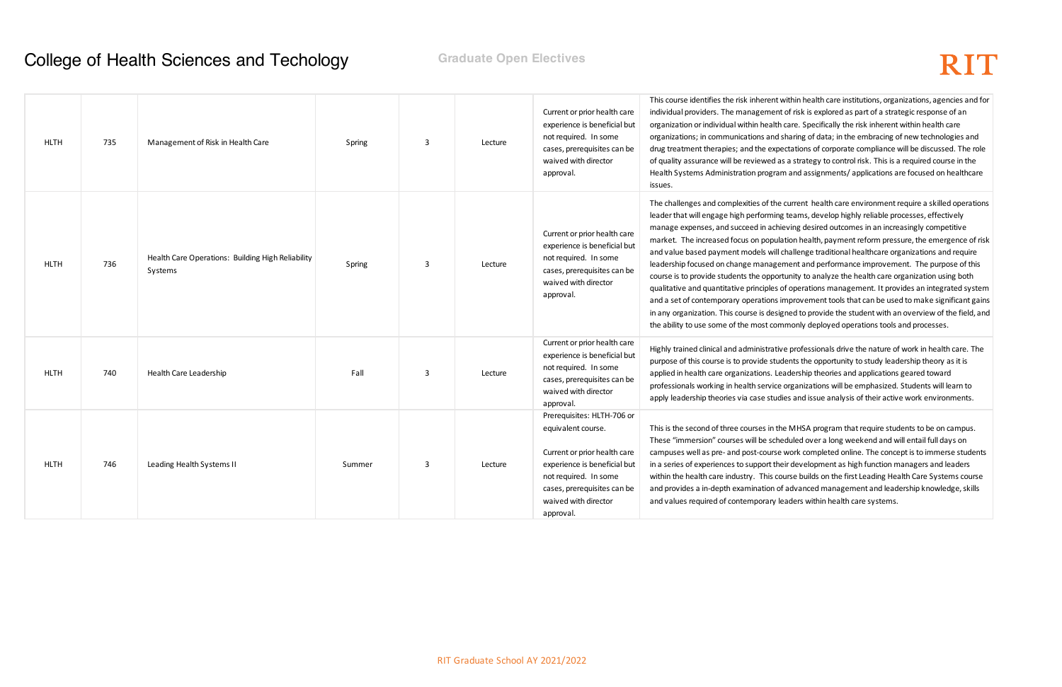# RIT

within health care institutions, organizations, agencies and for nt of risk is explored as part of a strategic response of an organization or individual or individual within health care. Specifically the risk inherent within health care I sharing of data; in the embracing of new technologies and ectations of corporate compliance will be discussed. The role as a strategy to control risk. This is a required course in the Im and assignments/ applications are focused on healthcare

current health care environment require a skilled operations leams, develop highly reliable processes, effectively ieving desired outcomes in an increasingly competitive lation health, payment reform pressure, the emergence of risk I challenge traditional healthcare organizations and require ement and performance improvement. The purpose of this rtunity to analyze the health care organization using both of operations management. It provides an integrated system improvement tools that can be used to make significant gains igned to provide the student with an overview of the field, and mmonly deployed operations tools and processes.

ive professionals drive the nature of work in health care. The udents the opportunity to study leadership theory as it is eadership theories and applications geared toward organizations will be emphasized. Students will learn to lies and issue analysis of their active work environments.

he MHSA program that require students to be on campus. eduled over a long weekend and will entail full days on work completed online. The concept is to immerse students eir development as high function managers and leaders ourse builds on the first Leading Health Care Systems course of advanced management and leadership knowledge, skills leaders within health care systems.

| <b>HLTH</b> | 735 | Management of Risk in Health Care                            | Spring | 3 | Lecture | Current or prior health care<br>experience is beneficial but<br>not required. In some<br>cases, prerequisites can be<br>waived with director<br>approval.                                                     | This course identifies the risk inherent<br>individual providers. The managemen<br>organization or individual within health<br>organizations; in communications and<br>drug treatment therapies; and the exp<br>of quality assurance will be reviewed a<br>Health Systems Administration progra<br>issues.                                                                                                                                                         |
|-------------|-----|--------------------------------------------------------------|--------|---|---------|---------------------------------------------------------------------------------------------------------------------------------------------------------------------------------------------------------------|--------------------------------------------------------------------------------------------------------------------------------------------------------------------------------------------------------------------------------------------------------------------------------------------------------------------------------------------------------------------------------------------------------------------------------------------------------------------|
| <b>HLTH</b> | 736 | Health Care Operations: Building High Reliability<br>Systems | Spring | 3 | Lecture | Current or prior health care<br>experience is beneficial but<br>not required. In some<br>cases, prerequisites can be<br>waived with director<br>approval.                                                     | The challenges and complexities of the<br>leader that will engage high performin<br>manage expenses, and succeed in ach<br>market. The increased focus on popul<br>and value based payment models will<br>leadership focused on change manage<br>course is to provide students the oppor<br>qualitative and quantitative principles<br>and a set of contemporary operations<br>in any organization. This course is desi<br>the ability to use some of the most cor |
| <b>HLTH</b> | 740 | Health Care Leadership                                       | Fall   | 3 | Lecture | Current or prior health care<br>experience is beneficial but<br>not required. In some<br>cases, prerequisites can be<br>waived with director<br>approval.                                                     | Highly trained clinical and administrativ<br>purpose of this course is to provide stu<br>applied in health care organizations. Le<br>professionals working in health service<br>apply leadership theories via case stuc                                                                                                                                                                                                                                            |
| <b>HLTH</b> | 746 | Leading Health Systems II                                    | Summer | 3 | Lecture | Prerequisites: HLTH-706 or<br>equivalent course.<br>Current or prior health care<br>experience is beneficial but<br>not required. In some<br>cases, prerequisites can be<br>waived with director<br>approval. | This is the second of three courses in th<br>These "immersion" courses will be sch<br>campuses well as pre- and post-course<br>in a series of experiences to support th<br>within the health care industry. This co<br>and provides a in-depth examination o<br>and values required of contemporary I                                                                                                                                                              |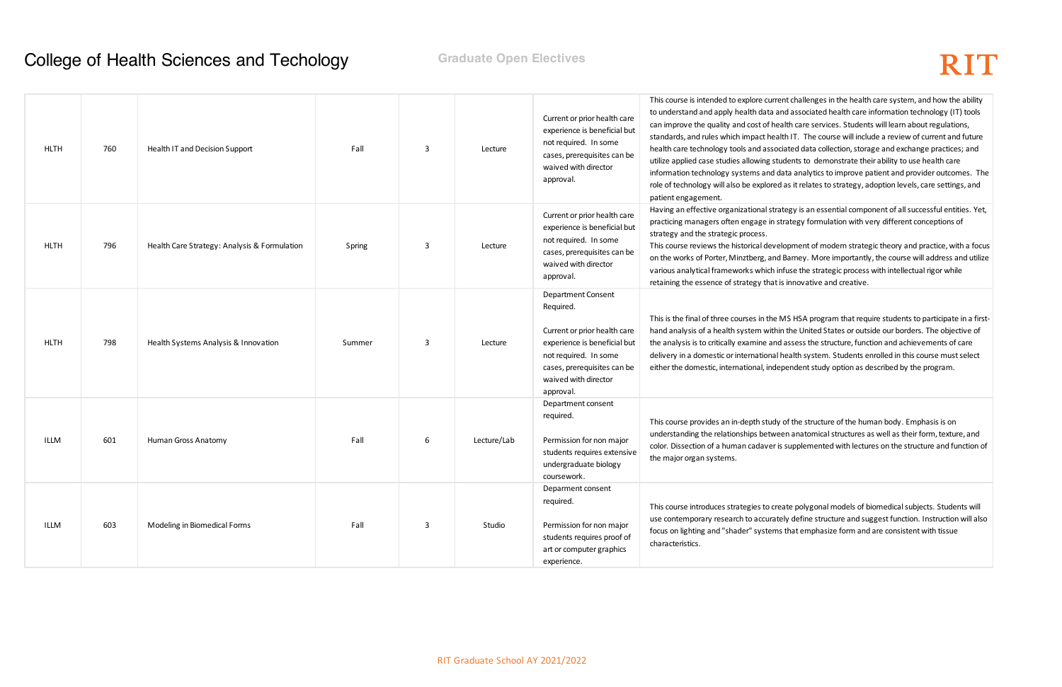ent challenges in the health care system, and how the ability and associated health care information technology (IT) tools ealth care services. Students will learn about regulations, alth IT. The course will include a review of current and future ociated data collection, storage and exchange practices; and tudents to demonstrate their ability to use health care data analytics to improve patient and provider outcomes. The d as it relates to strategy, adoption levels, care settings, and

ategy is an essential component of all successful entities. Yet, strategy formulation with very different conceptions of

elopment of modern strategic theory and practice, with a focus d Barney. More importantly, the course will address and utilize infuse the strategic process with intellectual rigor while is innovative and creative.

MS HSA program that require students to participate in a firsthand the United States or outside our borders. The objective of d assess the structure, function and achievements of care I health system. Students enrolled in this course must select ependent study option as described by the program.

y of the structure of the human body. Emphasis is on een anatomical structures as well as their form, texture, and is supplemented with lectures on the structure and function of

eate polygonal models of biomedical subjects. Students will tely define structure and suggest function. Instruction will also is that emphasize form and are consistent with tissue

### **College of Health Sciences and Techology Finally College of Health Sciences and Techology Graduate Open Electives**

| <b>HLTH</b> | 760 | Health IT and Decision Support               | Fall   | 3 | Lecture     | Current or prior health care<br>experience is beneficial but<br>not required. In some<br>cases, prerequisites can be<br>waived with director<br>approval.                                           | This course is intended to explore curre<br>to understand and apply health data a<br>can improve the quality and cost of he<br>standards, and rules which impact hea<br>health care technology tools and asso<br>utilize applied case studies allowing st<br>information technology systems and o<br>role of technology will also be explore<br>patient engagement. |
|-------------|-----|----------------------------------------------|--------|---|-------------|-----------------------------------------------------------------------------------------------------------------------------------------------------------------------------------------------------|---------------------------------------------------------------------------------------------------------------------------------------------------------------------------------------------------------------------------------------------------------------------------------------------------------------------------------------------------------------------|
| <b>HLTH</b> | 796 | Health Care Strategy: Analysis & Formulation | Spring | 3 | Lecture     | Current or prior health care<br>experience is beneficial but<br>not required. In some<br>cases, prerequisites can be<br>waived with director<br>approval.                                           | Having an effective organizational stra<br>practicing managers often engage in s<br>strategy and the strategic process.<br>This course reviews the historical deve<br>on the works of Porter, Minztberg, and<br>various analytical frameworks which i<br>retaining the essence of strategy that                                                                     |
| <b>HLTH</b> | 798 | Health Systems Analysis & Innovation         | Summer | 3 | Lecture     | <b>Department Consent</b><br>Required.<br>Current or prior health care<br>experience is beneficial but<br>not required. In some<br>cases, prerequisites can be<br>waived with director<br>approval. | This is the final of three courses in the<br>hand analysis of a health system with<br>the analysis is to critically examine and<br>delivery in a domestic or international<br>either the domestic, international, inde                                                                                                                                              |
| ILLM        | 601 | Human Gross Anatomy                          | Fall   | 6 | Lecture/Lab | Department consent<br>required.<br>Permission for non major<br>students requires extensive<br>undergraduate biology<br>coursework.                                                                  | This course provides an in-depth study<br>understanding the relationships betwe<br>color. Dissection of a human cadaver i<br>the major organ systems.                                                                                                                                                                                                               |
| ILLM        | 603 | Modeling in Biomedical Forms                 | Fall   | 3 | Studio      | Deparment consent<br>required.<br>Permission for non major<br>students requires proof of<br>art or computer graphics<br>experience.                                                                 | This course introduces strategies to cre<br>use contemporary research to accurat<br>focus on lighting and "shader" system<br>characteristics.                                                                                                                                                                                                                       |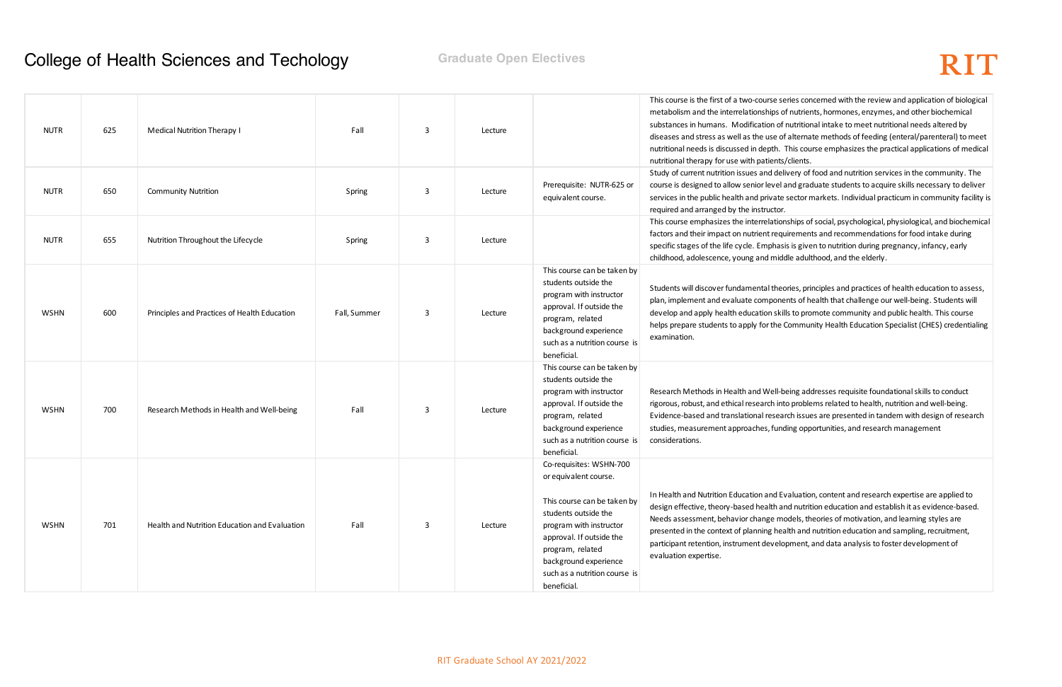series concerned with the review and application of biological s of nutrients, hormones, enzymes, and other biochemical of nutritional intake to meet nutritional needs altered by of alternate methods of feeding (enteral/parenteral) to meet n. This course emphasizes the practical applications of medical nts/clients.

lelivery of food and nutrition services in the community. The el and graduate students to acquire skills necessary to deliver ate sector markets. Individual practicum in community facility is

tionships of social, psychological, physiological, and biochemical equirements and recommendations for food intake during iasis is given to nutrition during pregnancy, infancy, early iddle adulthood, and the elderly.

eories, principles and practices of health education to assess, phents of health that challenge our well-being. Students will skills to promote community and public health. This course he Community Health Education Specialist (CHES) credentialing

I-being addresses requisite foundational skills to conduct into problems related to health, nutrition and well-being. earch issues are presented in tandem with design of research inding opportunities, and research management

Evaluation, content and research expertise are applied to and nutrition education and establish it as evidence-based. models, theories of motivation, and learning styles are ealth and nutrition education and sampling, recruitment, elopment, and data analysis to foster development of

### **College of Health Sciences and Techology Finally College of Health Sciences and Techology Graduate Open Electives**

| <b>NUTR</b> | 625 | Medical Nutrition Therapy I                   | Fall         | 3 | Lecture |                                                                                                                                                                                                                                                             | This course is the first of a two-course se<br>metabolism and the interrelationships o<br>substances in humans. Modification of<br>diseases and stress as well as the use of<br>nutritional needs is discussed in depth.<br>nutritional therapy for use with patients, |
|-------------|-----|-----------------------------------------------|--------------|---|---------|-------------------------------------------------------------------------------------------------------------------------------------------------------------------------------------------------------------------------------------------------------------|------------------------------------------------------------------------------------------------------------------------------------------------------------------------------------------------------------------------------------------------------------------------|
| <b>NUTR</b> | 650 | <b>Community Nutrition</b>                    | Spring       | 3 | Lecture | Prerequisite: NUTR-625 or<br>equivalent course.                                                                                                                                                                                                             | Study of current nutrition issues and deli<br>course is designed to allow senior level a<br>services in the public health and private<br>required and arranged by the instructor.                                                                                      |
| <b>NUTR</b> | 655 | Nutrition Throughout the Lifecycle            | Spring       | 3 | Lecture |                                                                                                                                                                                                                                                             | This course emphasizes the interrelation<br>factors and their impact on nutrient requ<br>specific stages of the life cycle. Emphasi<br>childhood, adolescence, young and mido                                                                                          |
| <b>WSHN</b> | 600 | Principles and Practices of Health Education  | Fall, Summer | 3 | Lecture | This course can be taken by<br>students outside the<br>program with instructor<br>approval. If outside the<br>program, related<br>background experience<br>such as a nutrition course is<br>beneficial.                                                     | Students will discover fundamental thed<br>plan, implement and evaluate compone<br>develop and apply health education skil<br>helps prepare students to apply for the (<br>examination.                                                                                |
| <b>WSHN</b> | 700 | Research Methods in Health and Well-being     | Fall         | 3 | Lecture | This course can be taken by<br>students outside the<br>program with instructor<br>approval. If outside the<br>program, related<br>background experience<br>such as a nutrition course is<br>beneficial.                                                     | Research Methods in Health and Well-b<br>rigorous, robust, and ethical research int<br>Evidence-based and translational resea<br>studies, measurement approaches, fund<br>considerations.                                                                              |
| <b>WSHN</b> | 701 | Health and Nutrition Education and Evaluation | Fall         | 3 | Lecture | Co-requisites: WSHN-700<br>or equivalent course.<br>This course can be taken by<br>students outside the<br>program with instructor<br>approval. If outside the<br>program, related<br>background experience<br>such as a nutrition course is<br>beneficial. | In Health and Nutrition Education and Ev<br>design effective, theory-based health ar<br>Needs assessment, behavior change mo<br>presented in the context of planning hea<br>participant retention, instrument develo<br>evaluation expertise.                          |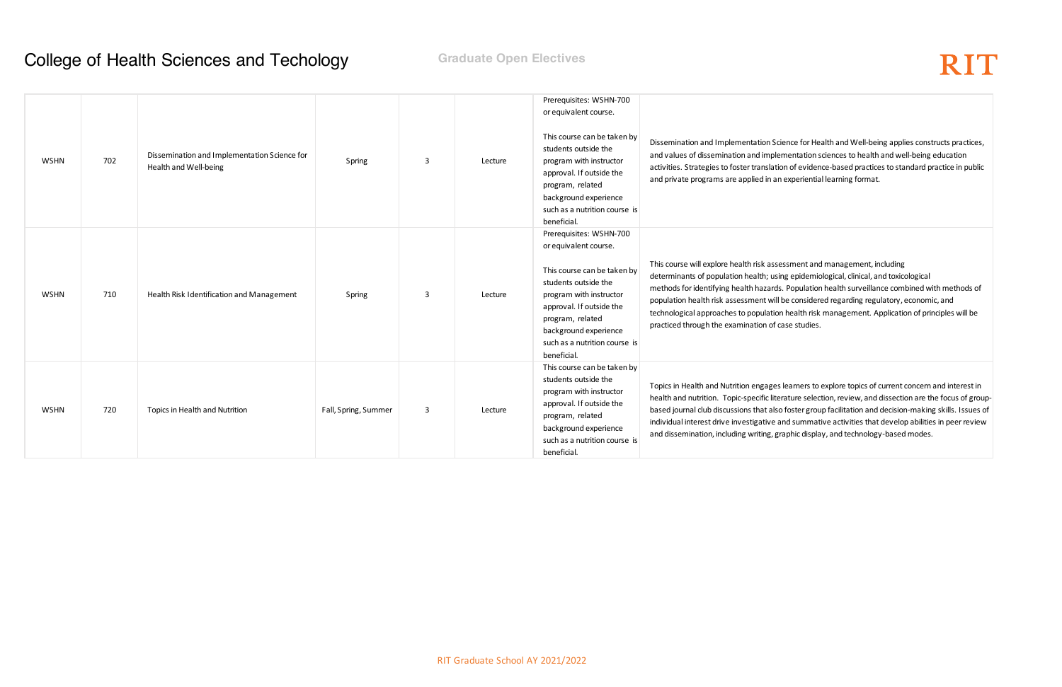cience for Health and Well-being applies constructs practices, ementation sciences to health and well-being education ion of evidence-based practices to standard practice in public and experiential learning format.

essment and management, including ing epidemiological, clinical, and toxicological s. Population health surveillance combined with methods of I be considered regarding regulatory, economic, and on health risk management. Application of principles will be case studies.

learners to explore topics of current concern and interest in erature selection, review, and dissection are the focus of groupo foster group facilitation and decision-making skills. Issues of and summative activities that develop abilities in peer review raphic display, and technology-based modes.

### **College of Health Sciences and Techology Finanduate Open Electives**

| <b>WSHN</b> | 702 | Dissemination and Implementation Science for<br>Health and Well-being | Spring               | 3 | Lecture | Prerequisites: WSHN-700<br>or equivalent course.<br>This course can be taken by<br>students outside the<br>program with instructor<br>approval. If outside the<br>program, related<br>background experience<br>such as a nutrition course is<br>beneficial. | Dissemination and Implementation Sc<br>and values of dissemination and imple<br>activities. Strategies to foster translation<br>and private programs are applied in ar                                                                                      |
|-------------|-----|-----------------------------------------------------------------------|----------------------|---|---------|-------------------------------------------------------------------------------------------------------------------------------------------------------------------------------------------------------------------------------------------------------------|-------------------------------------------------------------------------------------------------------------------------------------------------------------------------------------------------------------------------------------------------------------|
| <b>WSHN</b> | 710 | Health Risk Identification and Management                             | Spring               | 3 | Lecture | Prerequisites: WSHN-700<br>or equivalent course.<br>This course can be taken by<br>students outside the<br>program with instructor<br>approval. If outside the<br>program, related<br>background experience<br>such as a nutrition course is<br>beneficial. | This course will explore health risk asse<br>determinants of population health; usi<br>methods for identifying health hazards<br>population health risk assessment will<br>technological approaches to population<br>practiced through the examination of c |
| <b>WSHN</b> | 720 | Topics in Health and Nutrition                                        | Fall, Spring, Summer | 3 | Lecture | This course can be taken by<br>students outside the<br>program with instructor<br>approval. If outside the<br>program, related<br>background experience<br>such as a nutrition course is<br>beneficial.                                                     | Topics in Health and Nutrition engages<br>health and nutrition. Topic-specific lite<br>based journal club discussions that also<br>individual interest drive investigative a<br>and dissemination, including writing, gi                                    |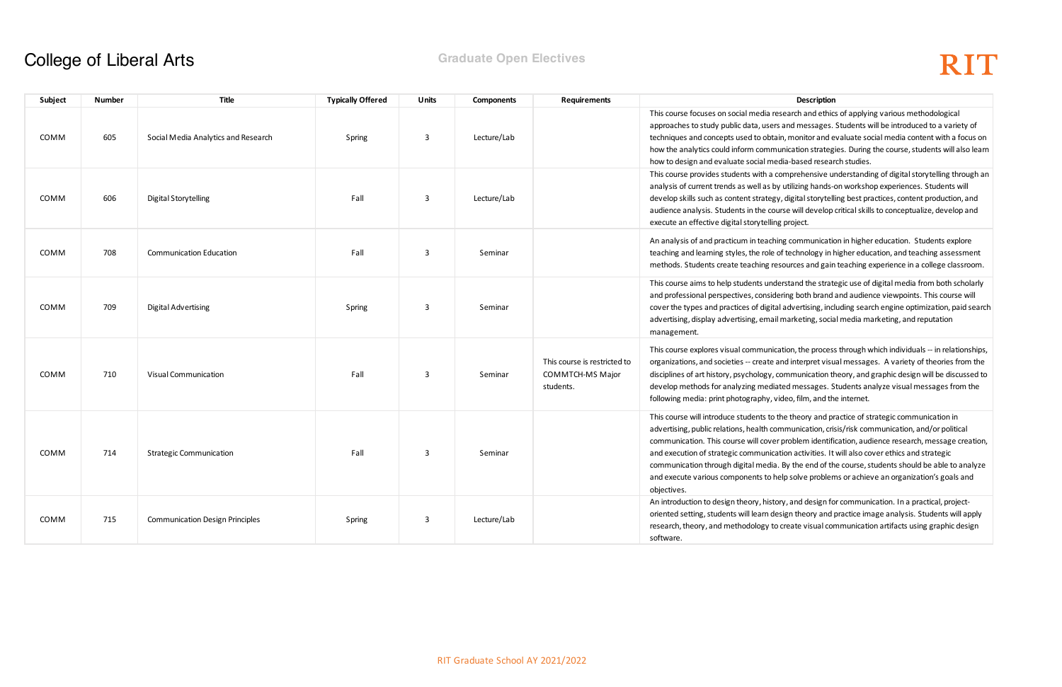search and ethics of applying various methodological and messages. Students will be introduced to a variety of in, monitor and evaluate social media content with a focus on unication strategies. During the course, students will also learn dia-based research studies.

omprehensive understanding of digital storytelling through an utilizing hands-on workshop experiences. Students will y, digital storytelling best practices, content production, and arse will develop critical skills to conceptualize, develop and g project.

ing communication in higher education. Students explore of technology in higher education, and teaching assessment sources and gain teaching experience in a college classroom.

erstand the strategic use of digital media from both scholarly ering both brand and audience viewpoints. This course will I advertising, including search engine optimization, paid search marketing, social media marketing, and reputation

ation, the process through which individuals -- in relationships, and interpret visual messages. A variety of theories from the communication theory, and graphic design will be discussed to ted messages. Students analyze visual messages from the ideo, film, and the internet.

the theory and practice of strategic communication in mmunication, crisis/risk communication, and/or political r problem identification, audience research, message creation, ation activities. It will also cover ethics and strategic . By the end of the course, students should be able to analyze elp solve problems or achieve an organization's goals and

bry, and design for communication. In a practical, projectesign theory and practice image analysis. Students will apply create visual communication artifacts using graphic design

### College of Liberal Arts **Graduate Open Electives**

| Subject     | Number | Title                                  | <b>Typically Offered</b> | <b>Units</b> | <b>Components</b> | <b>Requirements</b>                                           | Description                                                                                                                                                                                                                                                                                                                                                                |
|-------------|--------|----------------------------------------|--------------------------|--------------|-------------------|---------------------------------------------------------------|----------------------------------------------------------------------------------------------------------------------------------------------------------------------------------------------------------------------------------------------------------------------------------------------------------------------------------------------------------------------------|
| COMM        | 605    | Social Media Analytics and Research    | Spring                   | 3            | Lecture/Lab       |                                                               | This course focuses on social media research and ethic<br>approaches to study public data, users and messages.<br>techniques and concepts used to obtain, monitor and e<br>how the analytics could inform communication strateg<br>how to design and evaluate social media-based resear                                                                                    |
| COMM        | 606    | <b>Digital Storytelling</b>            | Fall                     | 3            | Lecture/Lab       |                                                               | This course provides students with a comprehensive ur<br>analysis of current trends as well as by utilizing hands-<br>develop skills such as content strategy, digital storytell<br>audience analysis. Students in the course will develop<br>execute an effective digital storytelling project.                                                                           |
| COMM        | 708    | <b>Communication Education</b>         | Fall                     | 3            | Seminar           |                                                               | An analysis of and practicum in teaching communication<br>teaching and learning styles, the role of technology in h<br>methods. Students create teaching resources and gain                                                                                                                                                                                                |
| COMM        | 709    | <b>Digital Advertising</b>             | Spring                   | 3            | Seminar           |                                                               | This course aims to help students understand the strate<br>and professional perspectives, considering both brand<br>cover the types and practices of digital advertising, incl<br>advertising, display advertising, email marketing, socia<br>management.                                                                                                                  |
| COMM        | 710    | <b>Visual Communication</b>            | Fall                     | 3            | Seminar           | This course is restricted to<br>COMMTCH-MS Major<br>students. | This course explores visual communication, the process<br>organizations, and societies -- create and interpret visu<br>disciplines of art history, psychology, communication th<br>develop methods for analyzing mediated messages. S<br>following media: print photography, video, film, and th                                                                           |
| <b>COMM</b> | 714    | <b>Strategic Communication</b>         | Fall                     | 3            | Seminar           |                                                               | This course will introduce students to the theory and pr<br>advertising, public relations, health communication, cris<br>communication. This course will cover problem identifi<br>and execution of strategic communication activities. It<br>communication through digital media. By the end of th<br>and execute various components to help solve problen<br>objectives. |
| COMM        | 715    | <b>Communication Design Principles</b> | Spring                   | 3            | Lecture/Lab       |                                                               | An introduction to design theory, history, and design fo<br>oriented setting, students will learn design theory and<br>research, theory, and methodology to create visual cor<br>software.                                                                                                                                                                                 |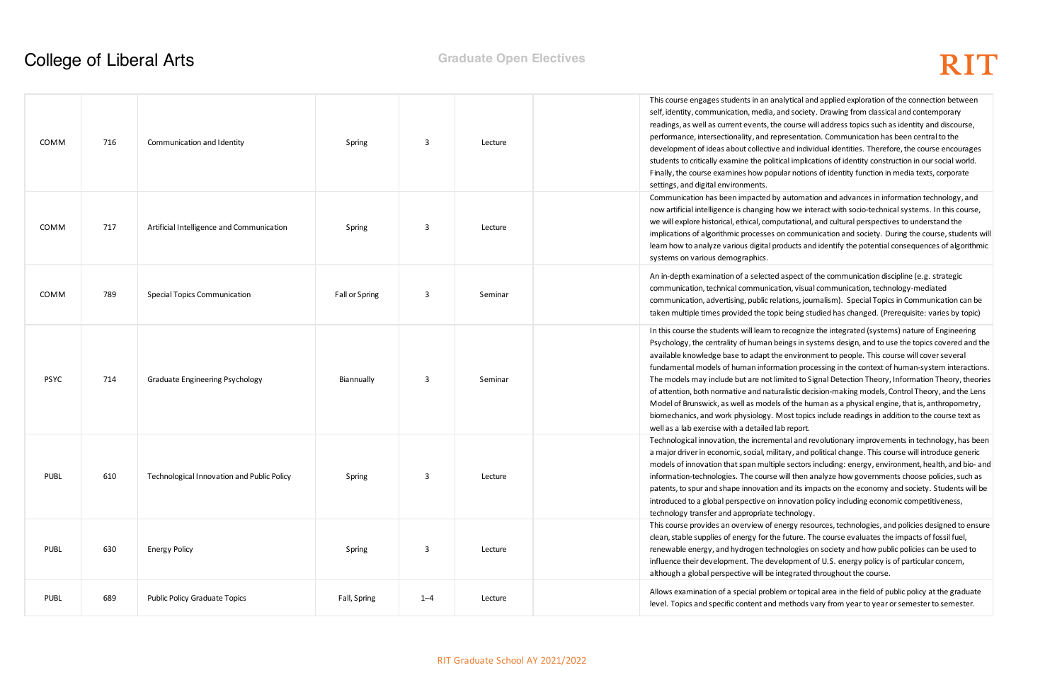nalytical and applied exploration of the connection between and society. Drawing from classical and contemporary he course will address topics such as identity and discourse, epresentation. Communication has been central to the e and individual identities. Therefore, the course encourages itical implications of identity construction in our social world. pular notions of identity function in media texts, corporate

by automation and advances in information technology, and how we interact with socio-technical systems. In this course, putational, and cultural perspectives to understand the on communication and society. During the course, students will roducts and identify the potential consequences of algorithmic

d aspect of the communication discipline (e.g. strategic tion, visual communication, technology-mediated elations, journalism). Special Topics in Communication can be pic being studied has changed. (Prerequisite: varies by topic)

to recognize the integrated (systems) nature of Engineering peings in systems design, and to use the topics covered and the he environment to people. This course will cover several mation processing in the context of human-system interactions. imited to Signal Detection Theory, Information Theory, theories uralistic decision-making models, Control Theory, and the Lens Is of the human as a physical engine, that is, anthropometry, Most topics include readings in addition to the course text as lab report.

ental and revolutionary improvements in technology, has been litary, and political change. This course will introduce generic ple sectors including: energy, environment, health, and bio- and will then analyze how governments choose policies, such as i and its impacts on the economy and society. Students will be innovation policy including economic competitiveness, technology.

nergy resources, technologies, and policies designed to ensure ne future. The course evaluates the impacts of fossil fuel, hnologies on society and how public policies can be used to elopment of U.S. energy policy is of particular concern, integrated throughout the course.

lem or topical area in the field of public policy at the graduate methods vary from year to year or semester to semester.

### **College of Liberal Arts Graduate Open Electives**

| COMM        | 716 | Communication and Identity                 | Spring         | 3       | Lecture | This course engages students in an ar<br>self, identity, communication, media,<br>readings, as well as current events, th<br>performance, intersectionality, and re<br>development of ideas about collective<br>students to critically examine the poli-<br>Finally, the course examines how pop<br>settings, and digital environments.                                     |
|-------------|-----|--------------------------------------------|----------------|---------|---------|-----------------------------------------------------------------------------------------------------------------------------------------------------------------------------------------------------------------------------------------------------------------------------------------------------------------------------------------------------------------------------|
| COMM        | 717 | Artificial Intelligence and Communication  | Spring         | 3       | Lecture | Communication has been impacted b<br>now artificial intelligence is changing<br>we will explore historical, ethical, com<br>implications of algorithmic processes<br>learn how to analyze various digital p<br>systems on various demographics.                                                                                                                             |
| COMM        | 789 | <b>Special Topics Communication</b>        | Fall or Spring | 3       | Seminar | An in-depth examination of a selected<br>communication, technical communica<br>communication, advertising, public re<br>taken multiple times provided the top                                                                                                                                                                                                               |
| <b>PSYC</b> | 714 | Graduate Engineering Psychology            | Biannually     | 3       | Seminar | In this course the students will learn to<br>Psychology, the centrality of human b<br>available knowledge base to adapt th<br>fundamental models of human inforn<br>The models may include but are not li<br>of attention, both normative and natu<br>Model of Brunswick, as well as mode<br>biomechanics, and work physiology.<br>well as a lab exercise with a detailed I |
| <b>PUBL</b> | 610 | Technological Innovation and Public Policy | Spring         | 3       | Lecture | Technological innovation, the increme<br>a major driver in economic, social, mil<br>models of innovation that span multip<br>information-technologies. The course<br>patents, to spur and shape innovation<br>introduced to a global perspective on<br>technology transfer and appropriate t                                                                                |
| <b>PUBL</b> | 630 | <b>Energy Policy</b>                       | Spring         | 3       | Lecture | This course provides an overview of e<br>clean, stable supplies of energy for th<br>renewable energy, and hydrogen tec<br>influence their development. The dev<br>although a global perspective will be                                                                                                                                                                     |
| <b>PUBL</b> | 689 | <b>Public Policy Graduate Topics</b>       | Fall, Spring   | $1 - 4$ | Lecture | Allows examination of a special proble<br>level. Topics and specific content and                                                                                                                                                                                                                                                                                            |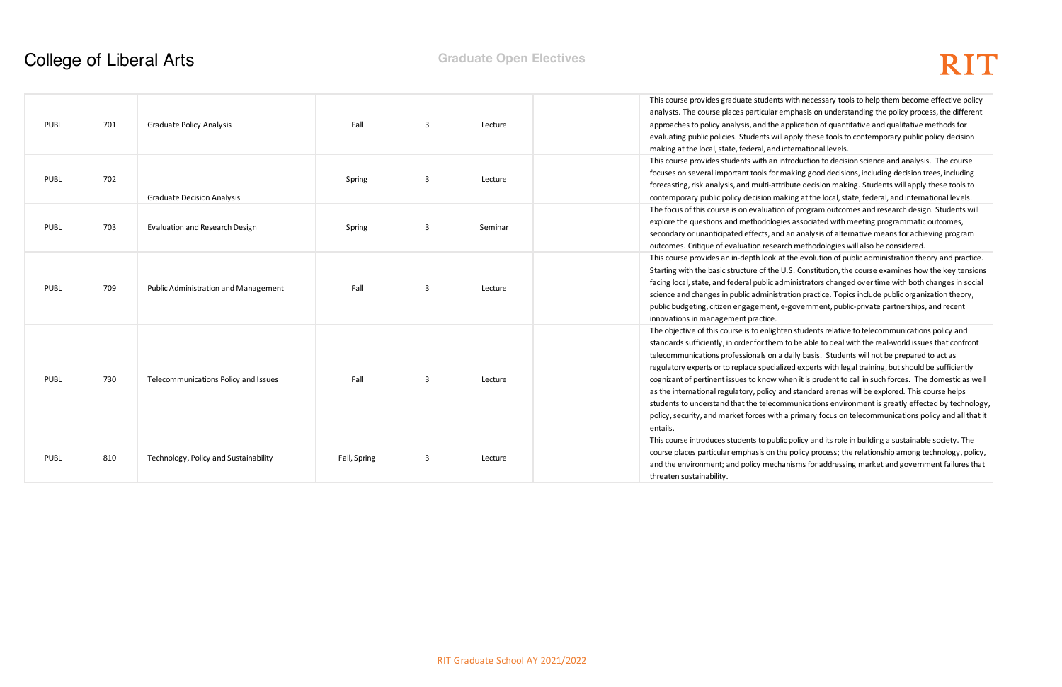Its with necessary tools to help them become effective policy emphasis on understanding the policy process, the different application of quantitative and qualitative methods for vill apply these tools to contemporary public policy decision d international levels.

introduction to decision science and analysis. The course making good decisions, including decision trees, including ttribute decision making. Students will apply these tools to naking at the local, state, federal, and international levels. ion of program outcomes and research design. Students will explore associated with meeting programmatic outcomes, nd an analysis of alternative means for achieving program earch methodologies will also be considered.

at the evolution of public administration theory and practice. e U.S. Constitution, the course examines how the key tensions administrators changed over time with both changes in social stration practice. Topics include public organization theory, , e-government, public-private partnerships, and recent

hten students relative to telecommunications policy and m to be able to deal with the real-world issues that confront a daily basis. Students will not be prepared to act as ialized experts with legal training, but should be sufficiently when it is prudent to call in such forces. The domestic as well and standard arenas will be explored. This course helps ommunications environment is greatly effected by technology, th a primary focus on telecommunications policy and all that it

blic policy and its role in building a sustainable society. The the policy process; the relationship among technology, policy, chanisms for addressing market and government failures that

### **College of Liberal Arts Graduate Open Electives**

|             |     |                                             |              |              |         | This course provides graduate studen      |
|-------------|-----|---------------------------------------------|--------------|--------------|---------|-------------------------------------------|
|             |     |                                             |              |              |         | analysts. The course places particular    |
| <b>PUBL</b> | 701 | <b>Graduate Policy Analysis</b>             | Fall         | 3            | Lecture | approaches to policy analysis, and the    |
|             |     |                                             |              |              |         | evaluating public policies. Students w    |
|             |     |                                             |              |              |         | making at the local, state, federal, and  |
|             |     |                                             |              |              |         | This course provides students with an     |
| <b>PUBL</b> | 702 |                                             | Spring       | 3            | Lecture | focuses on several important tools for    |
|             |     |                                             |              |              |         | forecasting, risk analysis, and multi-at  |
|             |     | <b>Graduate Decision Analysis</b>           |              |              |         | contemporary public policy decision n     |
|             |     |                                             |              |              |         | The focus of this course is on evaluation |
| <b>PUBL</b> | 703 | Evaluation and Research Design              | Spring       | 3            | Seminar | explore the questions and methodolog      |
|             |     |                                             |              |              |         | secondary or unanticipated effects, ar    |
|             |     |                                             |              |              |         | outcomes. Critique of evaluation rese     |
|             |     |                                             |              |              |         | This course provides an in-depth look     |
|             |     |                                             |              |              |         | Starting with the basic structure of the  |
| <b>PUBL</b> | 709 | <b>Public Administration and Management</b> | Fall         | 3            | Lecture | facing local, state, and federal public a |
|             |     |                                             |              |              |         | science and changes in public adminis     |
|             |     |                                             |              |              |         | public budgeting, citizen engagement      |
|             |     |                                             |              |              |         | innovations in management practice.       |
|             |     |                                             |              |              |         | The objective of this course is to enlig  |
|             |     |                                             |              |              |         | standards sufficiently, in order for the  |
|             |     |                                             |              |              |         | telecommunications professionals on       |
|             |     |                                             |              |              |         | regulatory experts or to replace specia   |
| <b>PUBL</b> | 730 | Telecommunications Policy and Issues        | Fall         | $\mathbf{3}$ | Lecture | cognizant of pertinent issues to know     |
|             |     |                                             |              |              |         | as the international regulatory, policy   |
|             |     |                                             |              |              |         | students to understand that the teleco    |
|             |     |                                             |              |              |         | policy, security, and market forces wit   |
|             |     |                                             |              |              |         | entails.                                  |
|             |     |                                             |              |              |         | This course introduces students to pul    |
| <b>PUBL</b> | 810 | Technology, Policy and Sustainability       | Fall, Spring | 3            | Lecture | course places particular emphasis on      |
|             |     |                                             |              |              |         | and the environment; and policy mec       |
|             |     |                                             |              |              |         | threaten sustainability.                  |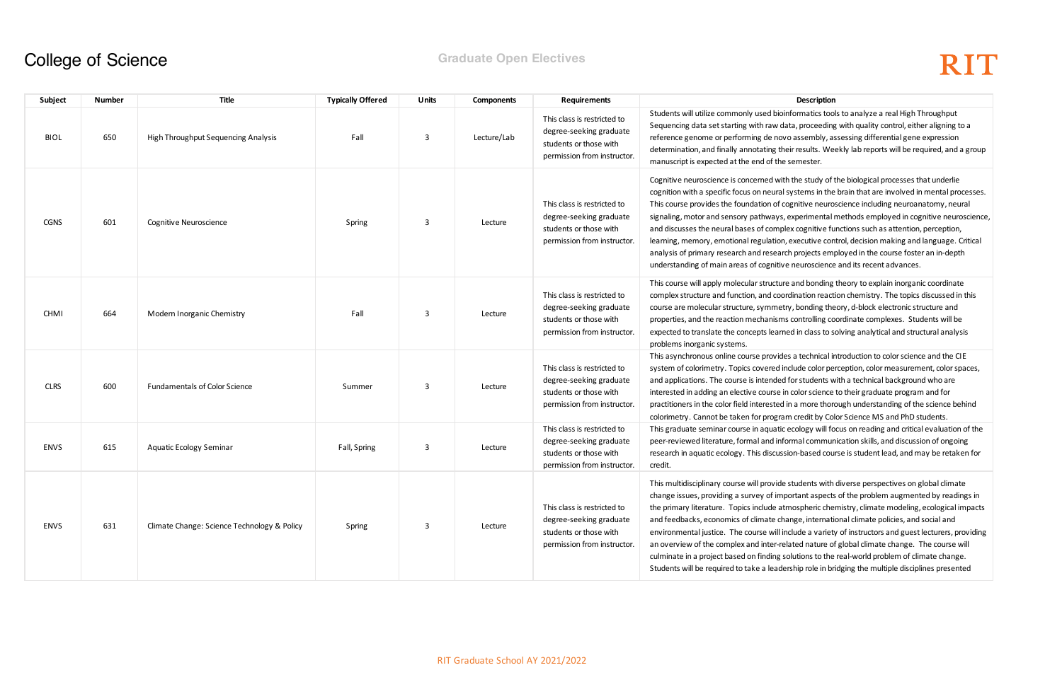oinformatics tools to analyze a real High Throughput data, proceeding with quality control, either aligning to a ovo assembly, assessing differential gene expression heir results. Weekly lab reports will be required, and a group ne semester.

ith the study of the biological processes that underlie al systems in the brain that are involved in mental processes. cognitive neuroscience including neuroanatomy, neural s, experimental methods employed in cognitive neuroscience, plex cognitive functions such as attention, perception, In, executive control, decision making and language. Critical arch projects employed in the course foster an in-depth ive neuroscience and its recent advances.

Ire and bonding theory to explain inorganic coordinate ordination reaction chemistry. The topics discussed in this etry, bonding theory, d-block electronic structure and ms controlling coordinate complexes. Students will be  $\epsilon$  the concepted in class to solving analytical and structural analysis

des a technical introduction to color science and the CIE include color perception, color measurement, color spaces, ed for students with a technical background who are in color science to their graduate program and for ed in a more thorough understanding of the science behind ram credit by Color Science MS and PhD students. ic ecology will focus on reading and critical evaluation of the iformal communication skills, and discussion of ongoing ssion-based course is student lead, and may be retaken for

te students with diverse perspectives on global climate nportant aspects of the problem augmented by readings in atmospheric chemistry, climate modeling, ecological impacts hange, international climate policies, and social and include a variety of instructors and guest lecturers, providing related nature of global climate change. The course will solutions to the real-world problem of climate change. dership role in bridging the multiple disciplines presented

### **College of Science Graduate Open Electives**

| Subject     | <b>Number</b> | Title                                       | <b>Typically Offered</b> | Units | <b>Components</b> | <b>Requirements</b>                                                                                             | Description                                                                                                                                                                                                                                                                                                                                                                                                                                                                          |
|-------------|---------------|---------------------------------------------|--------------------------|-------|-------------------|-----------------------------------------------------------------------------------------------------------------|--------------------------------------------------------------------------------------------------------------------------------------------------------------------------------------------------------------------------------------------------------------------------------------------------------------------------------------------------------------------------------------------------------------------------------------------------------------------------------------|
| <b>BIOL</b> | 650           | High Throughput Sequencing Analysis         | Fall                     | 3     | Lecture/Lab       | This class is restricted to<br>degree-seeking graduate<br>students or those with<br>permission from instructor. | Students will utilize commonly used bioinformatics too<br>Sequencing data set starting with raw data, proceeding<br>reference genome or performing de novo assembly, as<br>determination, and finally annotating their results. We<br>manuscript is expected at the end of the semester.                                                                                                                                                                                             |
| <b>CGNS</b> | 601           | Cognitive Neuroscience                      | Spring                   | 3     | Lecture           | This class is restricted to<br>degree-seeking graduate<br>students or those with<br>permission from instructor. | Cognitive neuroscience is concerned with the study of t<br>cognition with a specific focus on neural systems in the<br>This course provides the foundation of cognitive neuro<br>signaling, motor and sensory pathways, experimental<br>and discusses the neural bases of complex cognitive fu<br>learning, memory, emotional regulation, executive con<br>analysis of primary research and research projects emp<br>understanding of main areas of cognitive neuroscience           |
| <b>CHMI</b> | 664           | Modern Inorganic Chemistry                  | Fall                     | 3     | Lecture           | This class is restricted to<br>degree-seeking graduate<br>students or those with<br>permission from instructor. | This course will apply molecular structure and bonding<br>complex structure and function, and coordination react<br>course are molecular structure, symmetry, bonding the<br>properties, and the reaction mechanisms controlling co<br>expected to translate the concepts learned in class to s<br>problems inorganic systems.                                                                                                                                                       |
| <b>CLRS</b> | 600           | <b>Fundamentals of Color Science</b>        | Summer                   | 3     | Lecture           | This class is restricted to<br>degree-seeking graduate<br>students or those with<br>permission from instructor. | This asynchronous online course provides a technical ir<br>system of colorimetry. Topics covered include color pe<br>and applications. The course is intended for students w<br>interested in adding an elective course in color science<br>practitioners in the color field interested in a more thore<br>colorimetry. Cannot be taken for program credit by Col                                                                                                                    |
| <b>ENVS</b> | 615           | Aquatic Ecology Seminar                     | Fall, Spring             | 3     | Lecture           | This class is restricted to<br>degree-seeking graduate<br>students or those with<br>permission from instructor. | This graduate seminar course in aquatic ecology will fo<br>peer-reviewed literature, formal and informal commun<br>research in aquatic ecology. This discussion-based cou<br>credit.                                                                                                                                                                                                                                                                                                 |
| <b>ENVS</b> | 631           | Climate Change: Science Technology & Policy | Spring                   | 3     | Lecture           | This class is restricted to<br>degree-seeking graduate<br>students or those with<br>permission from instructor. | This multidisciplinary course will provide students with<br>change issues, providing a survey of important aspects<br>the primary literature. Topics include atmospheric che<br>and feedbacks, economics of climate change, internati<br>environmental justice. The course will include a variety<br>an overview of the complex and inter-related nature of<br>culminate in a project based on finding solutions to the<br>Students will be required to take a leadership role in br |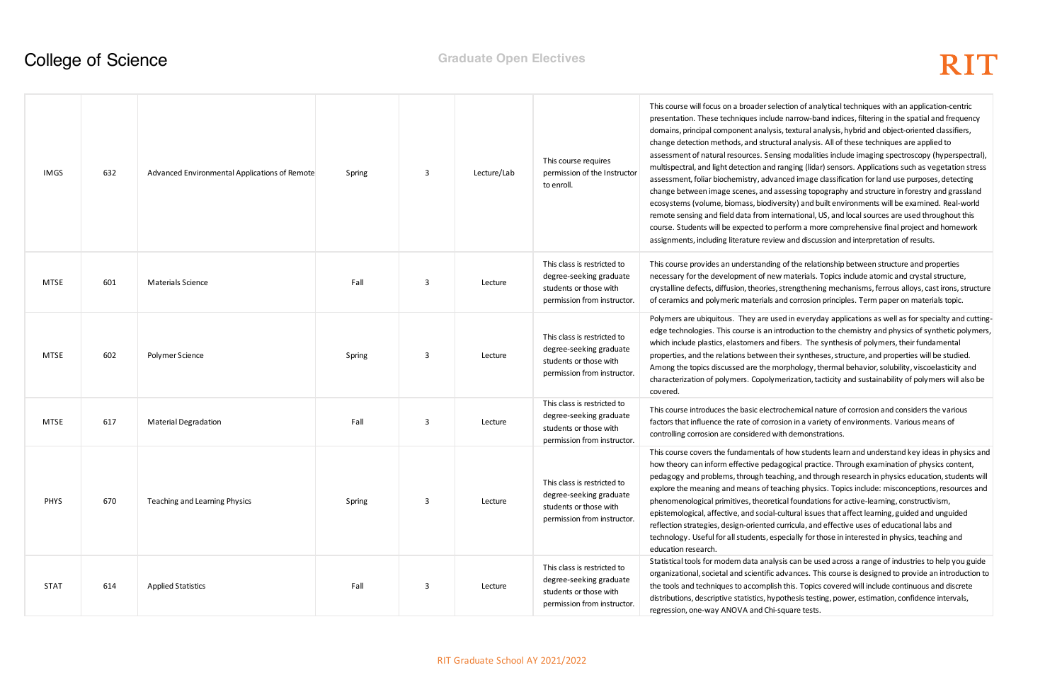ection of analytical techniques with an application-centric le narrow-band indices, filtering in the spatial and frequency is, textural analysis, hybrid and object-oriented classifiers, cural analysis. All of these techniques are applied to sing modalities include imaging spectroscopy (hyperspectral), ranging (lidar) sensors. Applications such as vegetation stress nced image classification for land use purposes, detecting issessing topography and structure in forestry and grassland ersity) and built environments will be examined. Real-world ternational, US, and local sources are used throughout this erform a more comprehensive final project and homework as and discussion and interpretation of results.

g of the relationship between structure and properties w materials. Topics include atomic and crystal structure, strengthening mechanisms, ferrous alloys, cast irons, structure and corrosion principles. Term paper on materials topic.

ed in everyday applications as well as for specialty and cuttingntroduction to the chemistry and physics of synthetic polymers, I fibers. The synthesis of polymers, their fundamental their syntheses, structure, and properties will be studied. horphology, thermal behavior, solubility, viscoelasticity and nerization, tacticity and sustainability of polymers will also be

rochemical nature of corrosion and considers the various sion in a variety of environments. Various means of rith demonstrations.

of how students learn and understand key ideas in physics and gogical practice. Through examination of physics content, ching, and through research in physics education, students will aching physics. Topics include: misconceptions, resources and ical foundations for active-learning, constructivism, cultural issues that affect learning, guided and unguided curricula, and effective uses of educational labs and pecially for those in interested in physics, teaching and

sis can be used across a range of industries to help you guide advances. This course is designed to provide an introduction to h this. Topics covered will include continuous and discrete oothesis testing, power, estimation, confidence intervals, square tests.

### **College of Science Graduate Open Electives**

| <b>IMGS</b> | 632 | Advanced Environmental Applications of Remote | Spring | 3 | Lecture/Lab | This course requires<br>permission of the Instructor<br>to enroll.                                              | This course will focus on a broader sel-<br>presentation. These techniques includ<br>domains, principal component analysi<br>change detection methods, and struct<br>assessment of natural resources. Sen:<br>multispectral, and light detection and<br>assessment, foliar biochemistry, adva<br>change between image scenes, and a<br>ecosystems (volume, biomass, biodiv<br>remote sensing and field data from in<br>course. Students will be expected to p<br>assignments, including literature revie |
|-------------|-----|-----------------------------------------------|--------|---|-------------|-----------------------------------------------------------------------------------------------------------------|----------------------------------------------------------------------------------------------------------------------------------------------------------------------------------------------------------------------------------------------------------------------------------------------------------------------------------------------------------------------------------------------------------------------------------------------------------------------------------------------------------|
| <b>MTSE</b> | 601 | <b>Materials Science</b>                      | Fall   | 3 | Lecture     | This class is restricted to<br>degree-seeking graduate<br>students or those with<br>permission from instructor. | This course provides an understanding<br>necessary for the development of nev<br>crystalline defects, diffusion, theories,<br>of ceramics and polymeric materials a                                                                                                                                                                                                                                                                                                                                      |
| MTSE        | 602 | Polymer Science                               | Spring | 3 | Lecture     | This class is restricted to<br>degree-seeking graduate<br>students or those with<br>permission from instructor. | Polymers are ubiquitous. They are us<br>edge technologies. This course is an ir<br>which include plastics, elastomers and<br>properties, and the relations between<br>Among the topics discussed are the m<br>characterization of polymers. Copolyn<br>covered.                                                                                                                                                                                                                                          |
| <b>MTSE</b> | 617 | <b>Material Degradation</b>                   | Fall   | 3 | Lecture     | This class is restricted to<br>degree-seeking graduate<br>students or those with<br>permission from instructor. | This course introduces the basic electr<br>factors that influence the rate of corro<br>controlling corrosion are considered w                                                                                                                                                                                                                                                                                                                                                                            |
| <b>PHYS</b> | 670 | Teaching and Learning Physics                 | Spring | 3 | Lecture     | This class is restricted to<br>degree-seeking graduate<br>students or those with<br>permission from instructor. | This course covers the fundamentals<br>how theory can inform effective peda<br>pedagogy and problems, through tead<br>explore the meaning and means of te<br>phenomenological primitives, theoret<br>epistemological, affective, and social-<br>reflection strategies, design-oriented<br>technology. Useful for all students, es<br>education research.                                                                                                                                                 |
| <b>STAT</b> | 614 | <b>Applied Statistics</b>                     | Fall   | 3 | Lecture     | This class is restricted to<br>degree-seeking graduate<br>students or those with<br>permission from instructor. | Statistical tools for modern data analy<br>organizational, societal and scientific a<br>the tools and techniques to accomplis<br>distributions, descriptive statistics, hyp<br>regression, one-way ANOVA and Chi-                                                                                                                                                                                                                                                                                        |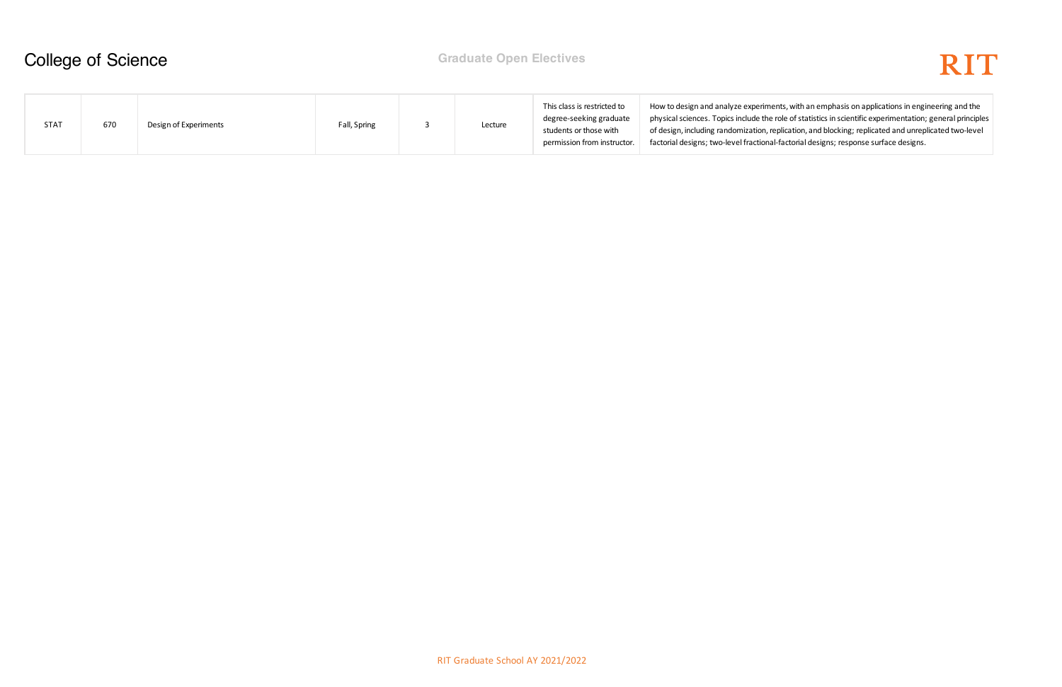

nts, with an emphasis on applications in engineering and the ple of statistics in scientific experimentation; general principles plication, and blocking; replicated and unreplicated two-level factorial designs; response surface designs.

## College of Science **Graduate Open Electives**

| STAT | 670 | Design of Experiments | Fall, Spring |  | Lecture | This class is restricted to<br>degree-seeking graduate<br>students or those with<br>permission from instructor. | How to design and analyze experimen<br>physical sciences. Topics include the ro<br>of design, including randomization, rep<br>factorial designs; two-level fractional-f |
|------|-----|-----------------------|--------------|--|---------|-----------------------------------------------------------------------------------------------------------------|-------------------------------------------------------------------------------------------------------------------------------------------------------------------------|
|------|-----|-----------------------|--------------|--|---------|-----------------------------------------------------------------------------------------------------------------|-------------------------------------------------------------------------------------------------------------------------------------------------------------------------|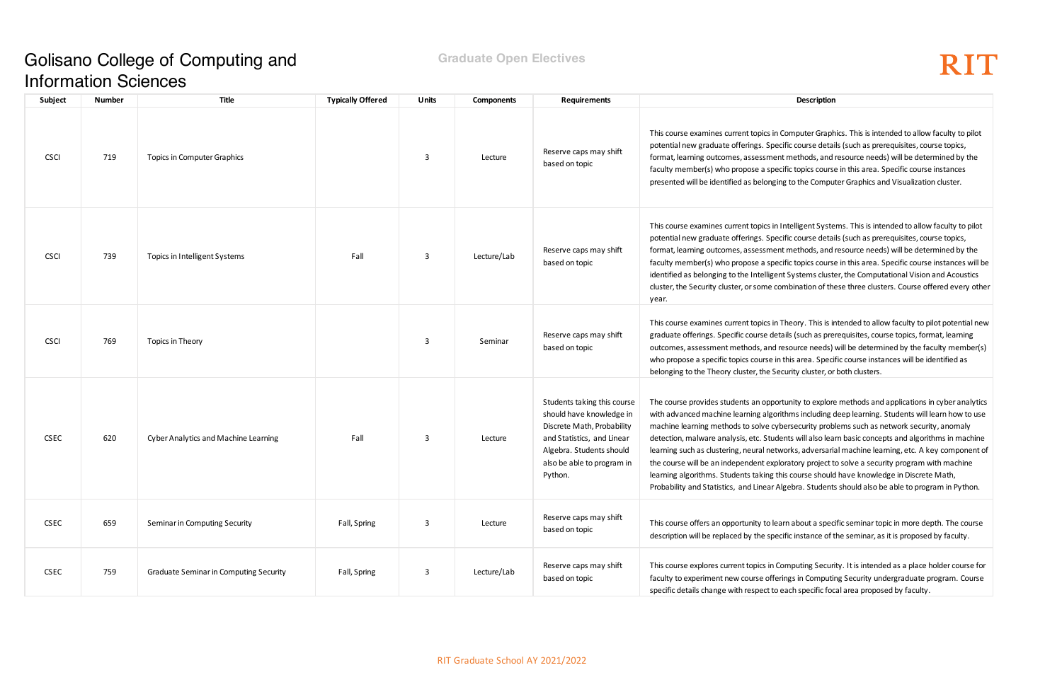## Golisano College of Computing and Information Sciences

### **Graduate Open Electives**

# RIT

Computer Graphics. This is intended to allow faculty to pilot ecific course details (such as prerequisites, course topics, ent methods, and resource needs) will be determined by the ecific topics course in this area. Specific course instances ing to the Computer Graphics and Visualization cluster.

Intelligent Systems. This is intended to allow faculty to pilot ecific course details (such as prerequisites, course topics, ent methods, and resource needs) will be determined by the ecific topics course in this area. Specific course instances will be Int Systems cluster, the Computational Vision and Acoustics combination of these three clusters. Course offered every other

Theory. This is intended to allow faculty to pilot potential new tails (such as prerequisites, course topics, format, learning resource needs) will be determined by the faculty member(s) in this area. Specific course instances will be identified as ecurity cluster, or both clusters.

ortunity to explore methods and applications in cyber analytics vrithms including deep learning. Students will learn how to use bersecurity problems such as network security, anomaly dents will also learn basic concepts and algorithms in machine works, adversarial machine learning, etc. A key component of loratory project to solve a security program with machine this course should have knowledge in Discrete Math, Algebra. Students should also be able to program in Python.

earn about a specific seminar topic in more depth. The course ecific instance of the seminar, as it is proposed by faculty.

Computing Security. It is intended as a place holder course for erings in Computing Security undergraduate program. Course each specific focal area proposed by faculty.

| Subject     | <b>Number</b> | Title                                         | <b>Typically Offered</b> | <b>Units</b> | <b>Components</b> | <b>Requirements</b>                                                                                                                                                                      | Description                                                                                                                                                                                                                                                                                                                                                                                                                                                                       |
|-------------|---------------|-----------------------------------------------|--------------------------|--------------|-------------------|------------------------------------------------------------------------------------------------------------------------------------------------------------------------------------------|-----------------------------------------------------------------------------------------------------------------------------------------------------------------------------------------------------------------------------------------------------------------------------------------------------------------------------------------------------------------------------------------------------------------------------------------------------------------------------------|
| <b>CSCI</b> | 719           | Topics in Computer Graphics                   |                          | 3            | Lecture           | Reserve caps may shift<br>based on topic                                                                                                                                                 | This course examines current topics in Computer Graph<br>potential new graduate offerings. Specific course detai<br>format, learning outcomes, assessment methods, and<br>faculty member(s) who propose a specific topics course<br>presented will be identified as belonging to the Compu                                                                                                                                                                                        |
| <b>CSCI</b> | 739           | Topics in Intelligent Systems                 | Fall                     | 3            | Lecture/Lab       | Reserve caps may shift<br>based on topic                                                                                                                                                 | This course examines current topics in Intelligent Syste<br>potential new graduate offerings. Specific course detai<br>format, learning outcomes, assessment methods, and<br>faculty member(s) who propose a specific topics course<br>identified as belonging to the Intelligent Systems clust<br>cluster, the Security cluster, or some combination of the<br>year.                                                                                                             |
| <b>CSCI</b> | 769           | Topics in Theory                              |                          | 3            | Seminar           | Reserve caps may shift<br>based on topic                                                                                                                                                 | This course examines current topics in Theory. This is in<br>graduate offerings. Specific course details (such as pre<br>outcomes, assessment methods, and resource needs)<br>who propose a specific topics course in this area. Speci<br>belonging to the Theory cluster, the Security cluster, or                                                                                                                                                                               |
| <b>CSEC</b> | 620           | Cyber Analytics and Machine Learning          | Fall                     | 3            | Lecture           | Students taking this course<br>should have knowledge in<br>Discrete Math, Probability<br>and Statistics, and Linear<br>Algebra. Students should<br>also be able to program in<br>Python. | The course provides students an opportunity to explore<br>with advanced machine learning algorithms including o<br>machine learning methods to solve cybersecurity prob<br>detection, malware analysis, etc. Students will also lea<br>learning such as clustering, neural networks, adversaria<br>the course will be an independent exploratory project t<br>learning algorithms. Students taking this course should<br>Probability and Statistics, and Linear Algebra. Students |
| <b>CSEC</b> | 659           | Seminar in Computing Security                 | Fall, Spring             | 3            | Lecture           | Reserve caps may shift<br>based on topic                                                                                                                                                 | This course offers an opportunity to learn about a spec<br>description will be replaced by the specific instance of t                                                                                                                                                                                                                                                                                                                                                             |
| <b>CSEC</b> | 759           | <b>Graduate Seminar in Computing Security</b> | Fall, Spring             | 3            | Lecture/Lab       | Reserve caps may shift<br>based on topic                                                                                                                                                 | This course explores current topics in Computing Securi<br>faculty to experiment new course offerings in Computi<br>specific details change with respect to each specific foc                                                                                                                                                                                                                                                                                                     |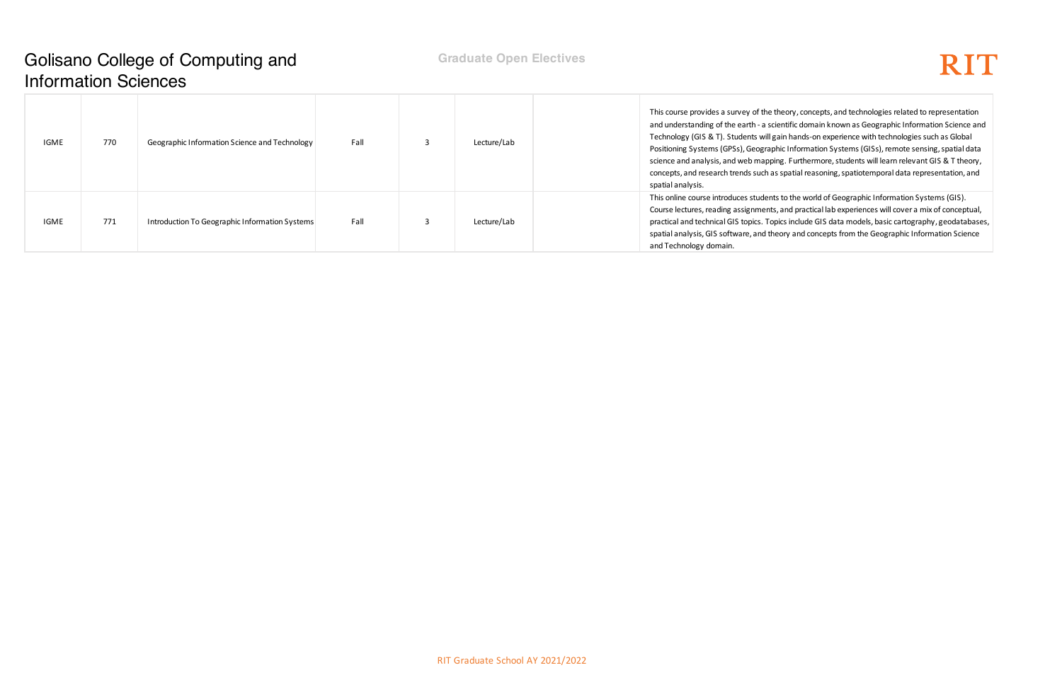### Golisano College of Computing and Information Sciences

# RIT

theory, concepts, and technologies related to representation cientific domain known as Geographic Information Science and gain hands-on experience with technologies such as Global phic Information Systems (GISs), remote sensing, spatial data ing. Furthermore, students will learn relevant GIS & T theory, s spatial reasoning, spatiotemporal data representation, and

ts to the world of Geographic Information Systems (GIS). s, and practical lab experiences will cover a mix of conceptual, pics include GIS data models, basic cartography, geodatabases, eory and concepts from the Geographic Information Science

| <b>IGME</b> | 770 | Geographic Information Science and Technology  | Fall | Lecture/Lab | This course provides a survey of the t<br>and understanding of the earth - a sci<br>Technology (GIS & T). Students will g<br>Positioning Systems (GPSs), Geograp<br>science and analysis, and web mappi<br>concepts, and research trends such as<br>spatial analysis. |
|-------------|-----|------------------------------------------------|------|-------------|-----------------------------------------------------------------------------------------------------------------------------------------------------------------------------------------------------------------------------------------------------------------------|
| IGME        | 771 | Introduction To Geographic Information Systems | Fall | Lecture/Lab | This online course introduces students<br>Course lectures, reading assignments<br>practical and technical GIS topics. Top<br>spatial analysis, GIS software, and the<br>and Technology domain.                                                                        |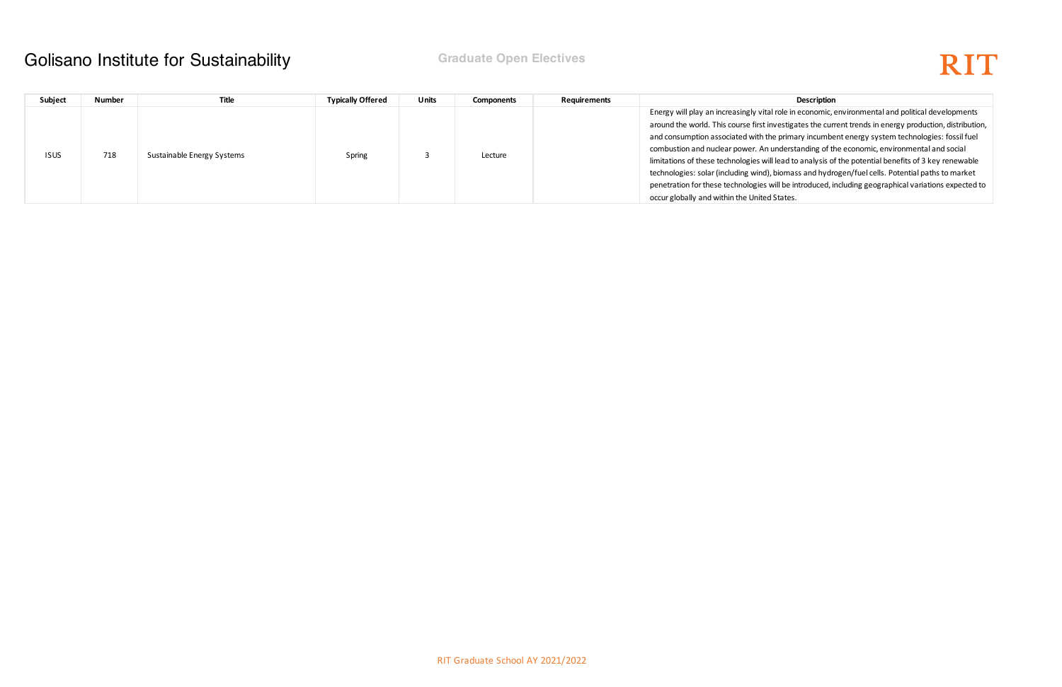ole in economic, environmental and political developments estigates the current trends in energy production, distribution, primary incumbent energy system technologies: fossil fuel derstanding of the economic, environmental and social ead to analysis of the potential benefits of 3 key renewable omass and hydrogen/fuel cells. Potential paths to market I be introduced, including geographical variations expected to tates.

### Golisano Institute for Sustainability **Graduate Open Electives**

| Subject     | <b>Number</b> | <b>Title</b>               | <b>Typically Offered</b> | Units | Components | <b>Requirements</b> | <b>Description</b>                                                                                                                                                                                                                                                                                                                                                                                                                                                         |
|-------------|---------------|----------------------------|--------------------------|-------|------------|---------------------|----------------------------------------------------------------------------------------------------------------------------------------------------------------------------------------------------------------------------------------------------------------------------------------------------------------------------------------------------------------------------------------------------------------------------------------------------------------------------|
| <b>ISUS</b> | 718           | Sustainable Energy Systems | Spring                   |       | Lecture    |                     | Energy will play an increasingly vital role in economic,<br>around the world. This course first investigates the curr<br>and consumption associated with the primary incumbe<br>combustion and nuclear power. An understanding of th<br>limitations of these technologies will lead to analysis of<br>technologies: solar (including wind), biomass and hydre<br>penetration for these technologies will be introduced, in<br>occur globally and within the United States. |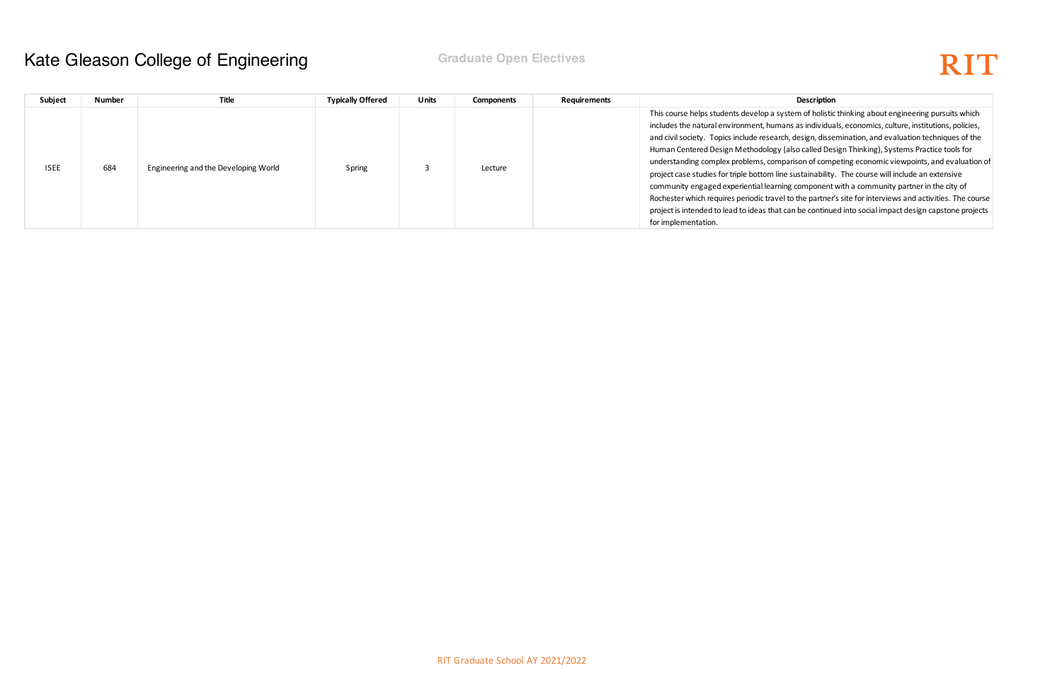system of holistic thinking about engineering pursuits which mans as individuals, economics, culture, institutions, policies, rch, design, dissemination, and evaluation techniques of the (also called Design Thinking), Systems Practice tools for nparison of competing economic viewpoints, and evaluation of ine sustainability. The course will include an extensive ning component with a community partner in the city of rel to the partner's site for interviews and activities. The course at can be continued into social impact design capstone projects

### Kate Gleason College of Engineering **Fig. 10 Graduate Open Electives**

| Subject     | <b>Number</b> | <b>Title</b>                         | <b>Typically Offered</b> | Units | <b>Components</b> | <b>Requirements</b> | Description                                                                                                                                                                                                                                                                                                                                                                                                                                                                                                                                                 |
|-------------|---------------|--------------------------------------|--------------------------|-------|-------------------|---------------------|-------------------------------------------------------------------------------------------------------------------------------------------------------------------------------------------------------------------------------------------------------------------------------------------------------------------------------------------------------------------------------------------------------------------------------------------------------------------------------------------------------------------------------------------------------------|
| <b>ISEE</b> | 684           | Engineering and the Developing World | Spring                   |       | Lecture           |                     | This course helps students develop a system of holistic<br>includes the natural environment, humans as individua<br>and civil society. Topics include research, design, disse<br>Human Centered Design Methodology (also called Des<br>understanding complex problems, comparison of comp<br>project case studies for triple bottom line sustainability<br>community engaged experiential learning component<br>Rochester which requires periodic travel to the partner<br>project is intended to lead to ideas that can be continue<br>for implementation. |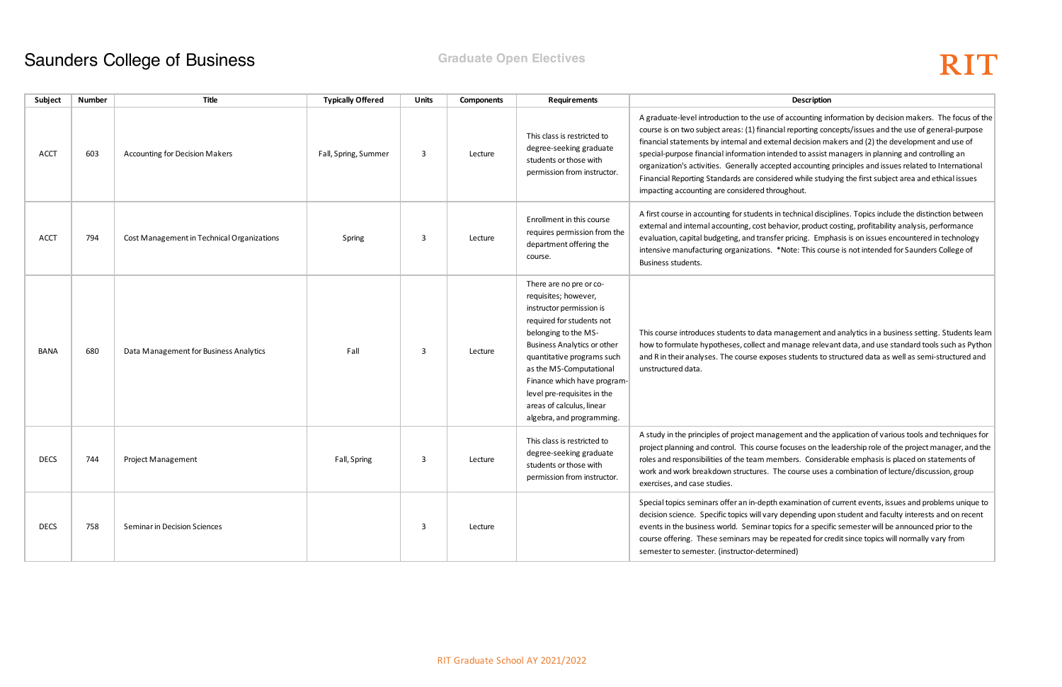of accounting information by decision makers. The focus of the ial reporting concepts/issues and the use of general-purpose rmal decision makers and (2) the development and use of ended to assist managers in planning and controlling an pted accounting principles and issues related to International ered while studying the first subject area and ethical issues bughout.

n technical disciplines. Topics include the distinction between havior, product costing, profitability analysis, performance er pricing. Emphasis is on issues encountered in technology \*Note: This course is not intended for Saunders College of

nanagement and analytics in a business setting. Students learn d manage relevant data, and use standard tools such as Python ses students to structured data as well as semi-structured and

gement and the application of various tools and techniques for focuses on the leadership role of the project manager, and the mbers. Considerable emphasis is placed on statements of he course uses a combination of lecture/discussion, group

examination of current events, issues and problems unique to depending upon student and faculty interests and on recent ppics for a specific semester will be announced prior to the e repeated for credit since topics will normally vary from nined)

| Subject     | <b>Number</b> | <b>Title</b>                               | <b>Typically Offered</b> | <b>Units</b> | <b>Components</b> | <b>Requirements</b>                                                                                                                                                                                                                                                                                                                                     | Description                                                                                                                                                                                                                                                                                                                                                                                                                    |
|-------------|---------------|--------------------------------------------|--------------------------|--------------|-------------------|---------------------------------------------------------------------------------------------------------------------------------------------------------------------------------------------------------------------------------------------------------------------------------------------------------------------------------------------------------|--------------------------------------------------------------------------------------------------------------------------------------------------------------------------------------------------------------------------------------------------------------------------------------------------------------------------------------------------------------------------------------------------------------------------------|
| <b>ACCT</b> | 603           | <b>Accounting for Decision Makers</b>      | Fall, Spring, Summer     | 3            | Lecture           | This class is restricted to<br>degree-seeking graduate<br>students or those with<br>permission from instructor.                                                                                                                                                                                                                                         | A graduate-level introduction to the use of accounting in<br>course is on two subject areas: (1) financial reporting cor<br>financial statements by internal and external decision ma<br>special-purpose financial information intended to assist r<br>organization's activities. Generally accepted accounting<br>Financial Reporting Standards are considered while study<br>impacting accounting are considered throughout. |
| <b>ACCT</b> | 794           | Cost Management in Technical Organizations | Spring                   | 3            | Lecture           | Enrollment in this course<br>requires permission from the<br>department offering the<br>course.                                                                                                                                                                                                                                                         | A first course in accounting for students in technical disci<br>external and internal accounting, cost behavior, product<br>evaluation, capital budgeting, and transfer pricing. Empl<br>intensive manufacturing organizations. *Note: This cour<br>Business students.                                                                                                                                                         |
| <b>BANA</b> | 680           | Data Management for Business Analytics     | Fall                     | 3            | Lecture           | There are no pre or co-<br>requisites; however,<br>instructor permission is<br>required for students not<br>belonging to the MS-<br><b>Business Analytics or other</b><br>quantitative programs such<br>as the MS-Computational<br>Finance which have program-<br>level pre-requisites in the<br>areas of calculus, linear<br>algebra, and programming. | This course introduces students to data management an<br>how to formulate hypotheses, collect and manage releva<br>and R in their analyses. The course exposes students to s<br>unstructured data.                                                                                                                                                                                                                             |
| <b>DECS</b> | 744           | <b>Project Management</b>                  | Fall, Spring             | 3            | Lecture           | This class is restricted to<br>degree-seeking graduate<br>students or those with<br>permission from instructor.                                                                                                                                                                                                                                         | A study in the principles of project management and the<br>project planning and control. This course focuses on the<br>roles and responsibilities of the team members. Conside<br>work and work breakdown structures. The course uses a<br>exercises, and case studies.                                                                                                                                                        |
| <b>DECS</b> | 758           | Seminar in Decision Sciences               |                          | 3            | Lecture           |                                                                                                                                                                                                                                                                                                                                                         | Special topics seminars offer an in-depth examination of<br>decision science. Specific topics will vary depending upo<br>events in the business world. Seminar topics for a specif<br>course offering. These seminars may be repeated for cr<br>semester to semester. (instructor-determined)                                                                                                                                  |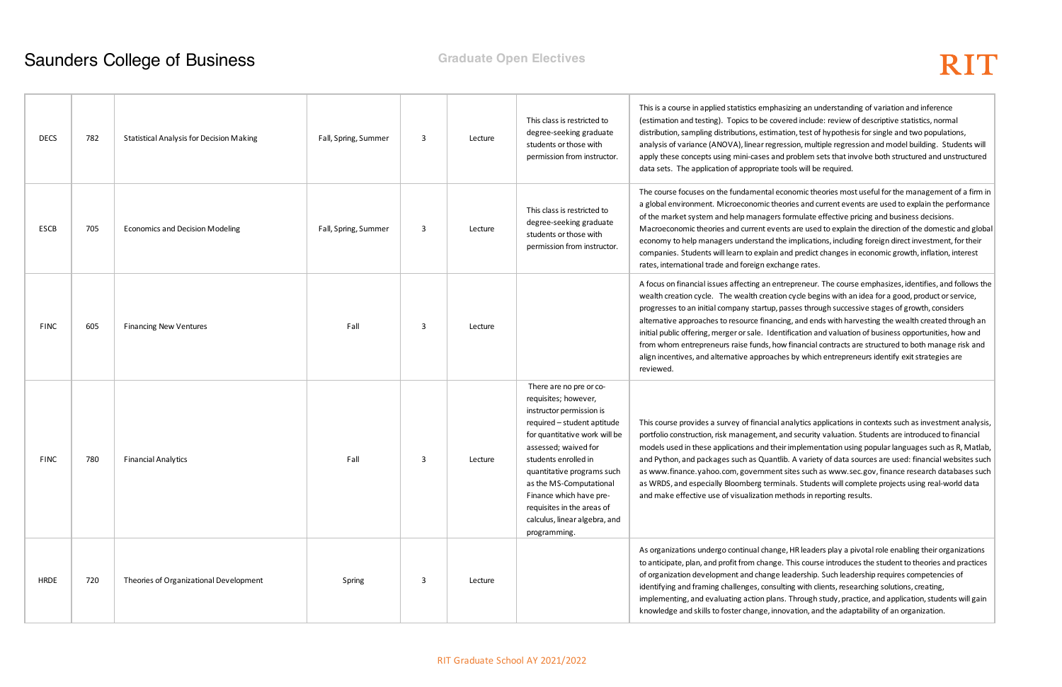asizing an understanding of variation and inference vered include: review of descriptive statistics, normal ation, test of hypothesis for single and two populations, ression, multiple regression and model building. Students will ad problem sets that involve both structured and unstructured data is do tools will be required.

economic theories most useful for the management of a firm in eories and current events are used to explain the performance s formulate effective pricing and business decisions. ents are used to explain the direction of the domestic and global  $\vert$ he implications, including foreign direct investment, for their and predict changes in economic growth, inflation, interest hange rates.

ntrepreneur. The course emphasizes, identifies, and follows the ion cycle begins with an idea for a good, product or service, passes through successive stages of growth, considers cing, and ends with harvesting the wealth created through an ntification and valuation of business opportunities, how and ow financial contracts are structured to both manage risk and hes by which entrepreneurs identify exit strategies are

I analytics applications in contexts such as investment analysis, and security valuation. Students are introduced to financial eir implementation using popular languages such as R, Matlab, tlib. A variety of data sources are used: financial websites such at sites such as www.sec.gov, finance research databases such hinals. Students will complete projects using real-world data nethods in reporting results.

ge, HR leaders play a pivotal role enabling their organizations e. This course introduces the student to theories and practices definization development and change leadership. Such leadership. Such leadership requires competencies of ulting with clients, researching solutions, creating, ns. Through study, practice, and application, students will gain novation, and the adaptability of an organization.

| <b>DECS</b> | 782 | <b>Statistical Analysis for Decision Making</b> | Fall, Spring, Summer | 3 | Lecture | This class is restricted to<br>degree-seeking graduate<br>students or those with<br>permission from instructor.                                                                                                                                                                                                                                                | This is a course in applied statistics empha<br>(estimation and testing). Topics to be cov<br>distribution, sampling distributions, estima<br>analysis of variance (ANOVA), linear regr<br>apply these concepts using mini-cases an<br>data sets. The application of appropriate                                                           |
|-------------|-----|-------------------------------------------------|----------------------|---|---------|----------------------------------------------------------------------------------------------------------------------------------------------------------------------------------------------------------------------------------------------------------------------------------------------------------------------------------------------------------------|--------------------------------------------------------------------------------------------------------------------------------------------------------------------------------------------------------------------------------------------------------------------------------------------------------------------------------------------|
| ESCB        | 705 | <b>Economics and Decision Modeling</b>          | Fall, Spring, Summer | 3 | Lecture | This class is restricted to<br>degree-seeking graduate<br>students or those with<br>permission from instructor.                                                                                                                                                                                                                                                | The course focuses on the fundamental e<br>a global environment. Microeconomic the<br>of the market system and help managers<br>Macroeconomic theories and current eve<br>economy to help managers understand tl<br>companies. Students will learn to explain<br>rates, international trade and foreign exch                               |
| <b>FINC</b> | 605 | <b>Financing New Ventures</b>                   | Fall                 | 3 | Lecture |                                                                                                                                                                                                                                                                                                                                                                | A focus on financial issues affecting an en<br>wealth creation cycle. The wealth creation<br>progresses to an initial company startup,<br>alternative approaches to resource finand<br>initial public offering, merger or sale. Ider<br>from whom entrepreneurs raise funds, ho<br>align incentives, and alternative approach<br>reviewed. |
| <b>FINC</b> | 780 | <b>Financial Analytics</b>                      | Fall                 | 3 | Lecture | There are no pre or co-<br>requisites; however,<br>instructor permission is<br>required - student aptitude<br>for quantitative work will be<br>assessed; waived for<br>students enrolled in<br>quantitative programs such<br>as the MS-Computational<br>Finance which have pre-<br>requisites in the areas of<br>calculus, linear algebra, and<br>programming. | This course provides a survey of financial<br>portfolio construction, risk management,<br>models used in these applications and the<br>and Python, and packages such as Quant<br>as www.finance.yahoo.com, governmen<br>as WRDS, and especially Bloomberg term<br>and make effective use of visualization m                                |
| <b>HRDE</b> | 720 | Theories of Organizational Development          | Spring               | 3 | Lecture |                                                                                                                                                                                                                                                                                                                                                                | As organizations undergo continual chang<br>to anticipate, plan, and profit from change<br>of organization development and change<br>identifying and framing challenges, consu<br>implementing, and evaluating action plan<br>knowledge and skills to foster change, inr                                                                   |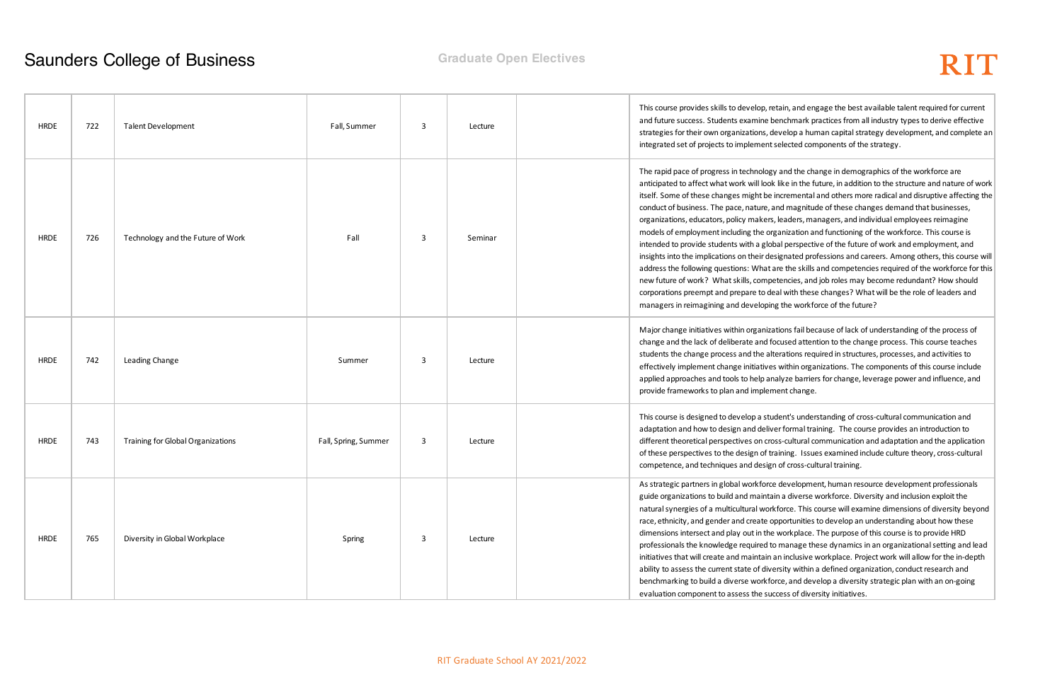tain, and engage the best available talent required for current enchmark practices from all industry types to derive effective velop a human capital strategy development, and complete an elected components of the strategy.

and the change in demographics of the workforce are like in the future, in addition to the structure and nature of work itself. Some of the some containal and disruptive affecting the d magnitude of these changes demand that businesses, leaders, managers, and individual employees reimagine anization and functioning of the workforce. This course is al perspective of the future of work and employment, and ignated professions and careers. Among others, this course will re the skills and competencies required of the workforce for this tencies, and job roles may become redundant? How should al with these changes? What will be the role of leaders and the workforce of the future?

ions fail because of lack of understanding of the process of cused attention to the change process. This course teaches erations required in structures, processes, and activities to within organizations. The components of this course include alyze barriers for change, leverage power and influence, and ent change.

ent's understanding of cross-cultural communication and r formal training. The course provides an introduction to s-cultural communication and adaptation and the application ining. Issues examined include culture theory, cross-cultural of cross-cultural training.

development, human resource development professionals a diverse workforce. Diversity and inclusion exploit the force. This course will examine dimensions of diversity beyond portunities to develop an understanding about how these workplace. The purpose of this course is to provide HRD manage these dynamics in an organizational setting and lead n inclusive workplace. Project work will allow for the in-depth rsity within a defined organization, conduct research and ce, and develop a diversity strategic plan with an on-going ess of diversity initiatives.

| <b>HRDE</b> | 722 | <b>Talent Development</b>         | Fall, Summer         | 3 | Lecture | This course provides skills to develop, ret<br>and future success. Students examine be<br>strategies for their own organizations, de<br>integrated set of projects to implement so                                                                                                                                                                                                                                                                                                                                                                  |
|-------------|-----|-----------------------------------|----------------------|---|---------|-----------------------------------------------------------------------------------------------------------------------------------------------------------------------------------------------------------------------------------------------------------------------------------------------------------------------------------------------------------------------------------------------------------------------------------------------------------------------------------------------------------------------------------------------------|
| <b>HRDE</b> | 726 | Technology and the Future of Work | Fall                 | 3 | Seminar | The rapid pace of progress in technology<br>anticipated to affect what work will look I<br>itself. Some of these changes might be ir<br>conduct of business. The pace, nature, ar<br>organizations, educators, policy makers, I<br>models of employment including the orga<br>intended to provide students with a globa<br>insights into the implications on their desi<br>address the following questions: What ar<br>new future of work? What skills, compet<br>corporations preempt and prepare to dea<br>managers in reimagining and developing |
| <b>HRDE</b> | 742 | Leading Change                    | Summer               | 3 | Lecture | Major change initiatives within organizat<br>change and the lack of deliberate and for<br>students the change process and the alte<br>effectively implement change initiatives<br>applied approaches and tools to help ana<br>provide frameworks to plan and impleme                                                                                                                                                                                                                                                                                |
| <b>HRDE</b> | 743 | Training for Global Organizations | Fall, Spring, Summer | 3 | Lecture | This course is designed to develop a stud<br>adaptation and how to design and delive<br>different theoretical perspectives on cros<br>of these perspectives to the design of tra<br>competence, and techniques and design                                                                                                                                                                                                                                                                                                                           |
| <b>HRDE</b> | 765 | Diversity in Global Workplace     | Spring               | 3 | Lecture | As strategic partners in global workforce<br>guide organizations to build and maintair<br>natural synergies of a multicultural workf<br>race, ethnicity, and gender and create op<br>dimensions intersect and play out in the v<br>professionals the knowledge required to<br>initiatives that will create and maintain a<br>ability to assess the current state of diver<br>benchmarking to build a diverse workfor<br>evaluation component to assess the succ                                                                                     |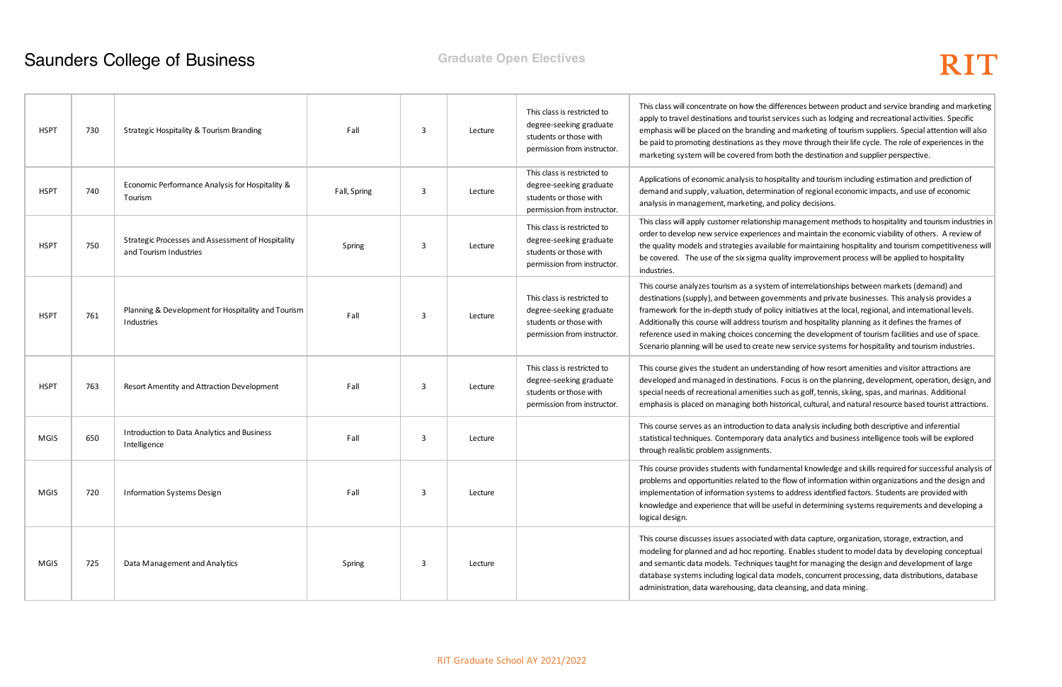ferences between product and service branding and marketing ervices such as lodging and recreational activities. Specific and marketing of tourism suppliers. Special attention will also move through their life cycle. The role of experiences in the oth the destination and supplier perspective.

pitality and tourism including estimation and prediction of ation of regional economic impacts, and use of economic I policy decisions.

 $\mathsf p$  management methods to hospitality and tourism industries in  $\mathsf |$ s and maintain the economic viability of others. A review of ble for maintaining hospitality and tourism competitiveness will ality improvement process will be applied to hospitality

of interrelationships between markets (demand) and rnments and private businesses. This analysis provides a y initiatives at the local, regional, and international levels. sm and hospitality planning as it defines the frames of ning the development of tourism facilities and use of space. new service systems for hospitality and tourism industries.

anding of how resort amenities and visitor attractions are . Focus is on the planning, development, operation, design, and uch as golf, tennis, skiing, spas, and marinas. Additional storical, cultural, and natural resource based tourist attractions.

lata analysis including both descriptive and inferential a analytics and business intelligence tools will be explored

mental knowledge and skills required for successful analysis of flow of information within organizations and the design and to address identified factors. Students are provided with seful in determining systems requirements and developing a

vith data capture, organization, storage, extraction, and ng. Enables student to model data by developing conceptual aught for managing the design and development of large models, concurrent processing, data distributions, database leansing, and data mining.

| <b>HSPT</b> | 730 | Strategic Hospitality & Tourism Branding                                    | Fall         | 3 | Lecture | This class is restricted to<br>degree-seeking graduate<br>students or those with<br>permission from instructor. | This class will concentrate on how the diff<br>apply to travel destinations and tourist se<br>emphasis will be placed on the branding a<br>be paid to promoting destinations as they<br>marketing system will be covered from b                                             |
|-------------|-----|-----------------------------------------------------------------------------|--------------|---|---------|-----------------------------------------------------------------------------------------------------------------|-----------------------------------------------------------------------------------------------------------------------------------------------------------------------------------------------------------------------------------------------------------------------------|
| <b>HSPT</b> | 740 | Economic Performance Analysis for Hospitality &<br>Tourism                  | Fall, Spring | 3 | Lecture | This class is restricted to<br>degree-seeking graduate<br>students or those with<br>permission from instructor. | Applications of economic analysis to hosp<br>demand and supply, valuation, determina<br>analysis in management, marketing, and                                                                                                                                              |
| <b>HSPT</b> | 750 | Strategic Processes and Assessment of Hospitality<br>and Tourism Industries | Spring       | 3 | Lecture | This class is restricted to<br>degree-seeking graduate<br>students or those with<br>permission from instructor. | This class will apply customer relationship<br>order to develop new service experiences<br>the quality models and strategies availab<br>be covered. The use of the six sigma qua<br>industries.                                                                             |
| <b>HSPT</b> | 761 | Planning & Development for Hospitality and Tourism<br>Industries            | Fall         | 3 | Lecture | This class is restricted to<br>degree-seeking graduate<br>students or those with<br>permission from instructor. | This course analyzes tourism as a system<br>destinations (supply), and between gover<br>framework for the in-depth study of polic<br>Additionally this course will address touris<br>reference used in making choices concerr<br>Scenario planning will be used to create n |
| <b>HSPT</b> | 763 | Resort Amentity and Attraction Development                                  | Fall         | 3 | Lecture | This class is restricted to<br>degree-seeking graduate<br>students or those with<br>permission from instructor. | This course gives the student an understa<br>developed and managed in destinations.<br>special needs of recreational amenities su<br>emphasis is placed on managing both his                                                                                                |
| MGIS        | 650 | Introduction to Data Analytics and Business<br>Intelligence                 | Fall         | 3 | Lecture |                                                                                                                 | This course serves as an introduction to d<br>statistical techniques. Contemporary data<br>through realistic problem assignments.                                                                                                                                           |
| <b>MGIS</b> | 720 | <b>Information Systems Design</b>                                           | Fall         | 3 | Lecture |                                                                                                                 | This course provides students with fundar<br>problems and opportunities related to the<br>implementation of information systems t<br>knowledge and experience that will be us<br>logical design.                                                                            |
| MGIS        | 725 | Data Management and Analytics                                               | Spring       | 3 | Lecture |                                                                                                                 | This course discusses issues associated w<br>modeling for planned and ad hoc reportin<br>and semantic data models. Techniques ta<br>database systems including logical data r<br>administration, data warehousing, data cl                                                  |
|             |     |                                                                             |              |   |         |                                                                                                                 |                                                                                                                                                                                                                                                                             |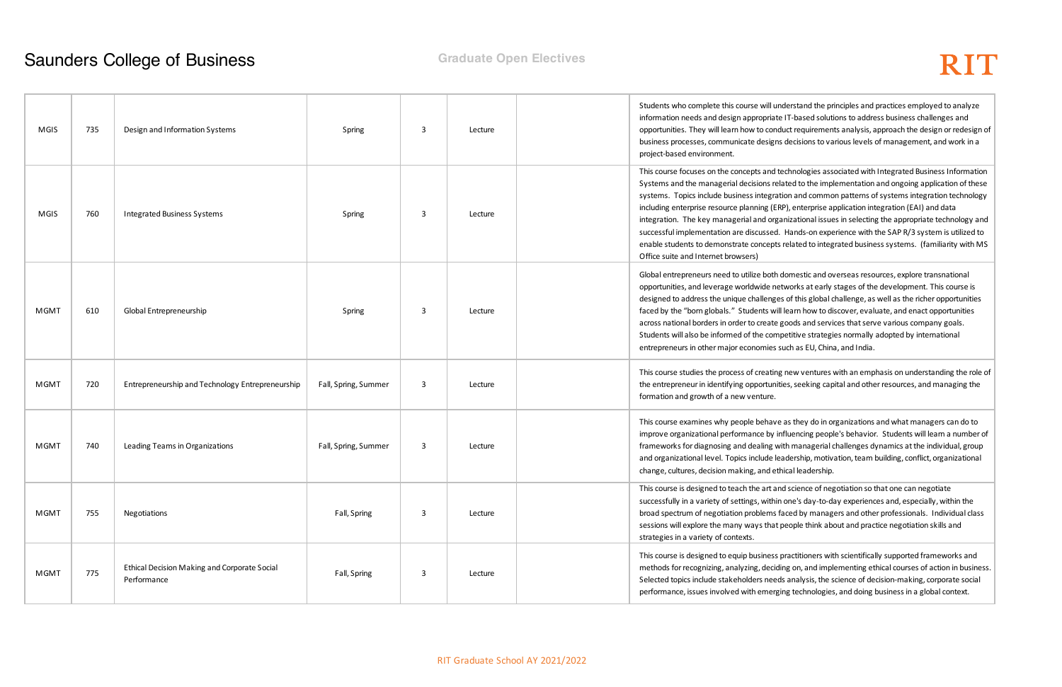nderstand the principles and practices employed to analyze te IT-based solutions to address business challenges and duct requirements analysis, approach the design or redesign of is decisions to various levels of management, and work in a

technologies associated with Integrated Business Information lated to the implementation and ongoing application of these ition and common patterns of systems integration technology RP), enterprise application integration (EAI) and data anizational issues in selecting the appropriate technology and Hands-on experience with the SAP R/3 system is utilized to s related to integrated business systems. (familiarity with MS

domestic and overseas resources, explore transnational etworks at early stages of the development. This course is es of this global challenge, as well as the richer opportunities ill learn how to discover, evaluate, and enact opportunities goods and services that serve various company goals. npetitive strategies normally adopted by international such as EU, China, and India.

g new ventures with an emphasis on understanding the role of ities, seeking capital and other resources, and managing the

e as they do in organizations and what managers can do to influencing people's behavior. Students will learn a number of vith managerial challenges dynamics at the individual, group eadership, motivation, team building, conflict, organizational thical leadership.

nd science of negotiation so that one can negotiate n one's day-to-day experiences and, especially, within the faced by managers and other professionals. Individual class sessions will export that incorple the many people think about and practice negotiation skills and

practitioners with scientifically supported frameworks and ding on, and implementing ethical courses of action in business. ds analysis, the science of decision-making, corporate social ging technologies, and doing business in a global context.

| MGIS        | 735 | Design and Information Systems                              | Spring               | 3 | Lecture | Students who complete this course will u<br>information needs and design appropriat<br>opportunities. They will learn how to con<br>business processes, communicate design<br>project-based environment.                                                                                                                                              |
|-------------|-----|-------------------------------------------------------------|----------------------|---|---------|-------------------------------------------------------------------------------------------------------------------------------------------------------------------------------------------------------------------------------------------------------------------------------------------------------------------------------------------------------|
| MGIS        | 760 | <b>Integrated Business Systems</b>                          | Spring               | 3 | Lecture | This course focuses on the concepts and t<br>Systems and the managerial decisions re<br>systems. Topics include business integra<br>including enterprise resource planning (E<br>integration. The key managerial and org<br>successful implementation are discussed<br>enable students to demonstrate concepts<br>Office suite and Internet browsers) |
| <b>MGMT</b> | 610 | Global Entrepreneurship                                     | Spring               | 3 | Lecture | Global entrepreneurs need to utilize both<br>opportunities, and leverage worldwide ne<br>designed to address the unique challenge<br>faced by the "born globals." Students wi<br>across national borders in order to create<br>Students will also be informed of the com<br>entrepreneurs in other major economies                                    |
| <b>MGMT</b> | 720 | Entrepreneurship and Technology Entrepreneurship            | Fall, Spring, Summer | 3 | Lecture | This course studies the process of creatin<br>the entrepreneur in identifying opportuni<br>formation and growth of a new venture.                                                                                                                                                                                                                     |
| <b>MGMT</b> | 740 | Leading Teams in Organizations                              | Fall, Spring, Summer | 3 | Lecture | This course examines why people behave<br>improve organizational performance by i<br>frameworks for diagnosing and dealing v<br>and organizational level. Topics include le<br>change, cultures, decision making, and et                                                                                                                              |
| <b>MGMT</b> | 755 | Negotiations                                                | Fall, Spring         | 3 | Lecture | This course is designed to teach the art ar<br>successfully in a variety of settings, withi<br>broad spectrum of negotiation problems<br>sessions will explore the many ways that<br>strategies in a variety of contexts.                                                                                                                             |
| <b>MGMT</b> | 775 | Ethical Decision Making and Corporate Social<br>Performance | Fall, Spring         | 3 | Lecture | This course is designed to equip business<br>methods for recognizing, analyzing, decid<br>Selected topics include stakeholders need<br>performance, issues involved with emerg                                                                                                                                                                        |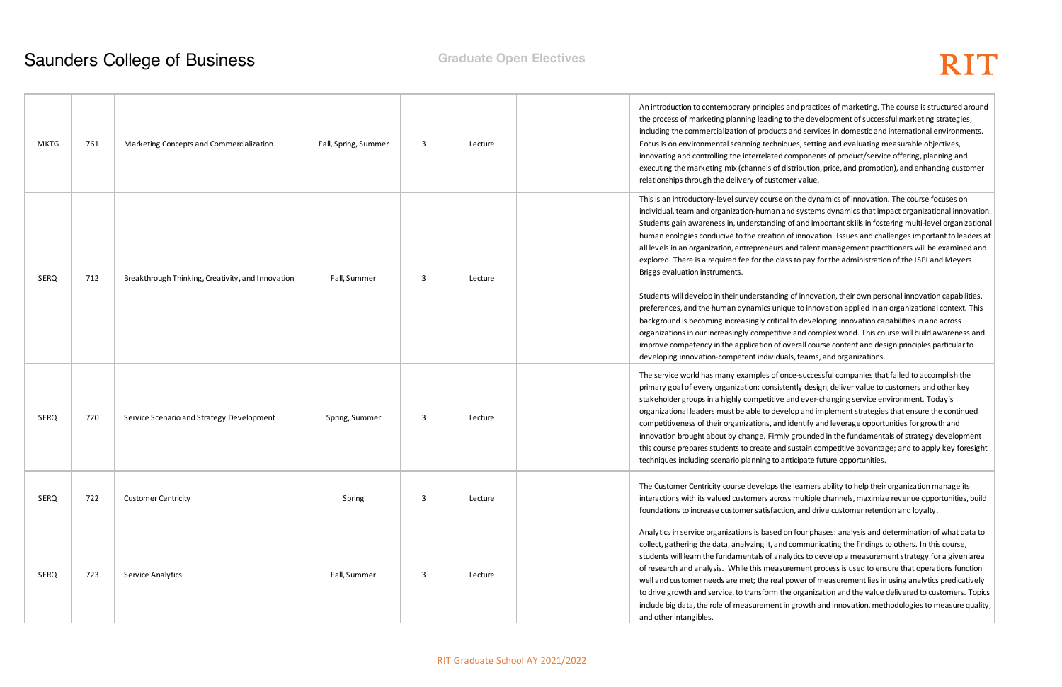les and practices of marketing. The course is structured around g to the development of successful marketing strategies, icts and services in domestic and international environments. Iniques, setting and evaluating measurable objectives, d components of product/service offering, planning and of distribution, price, and promotion), and enhancing customer tomer value.

se on the dynamics of innovation. The course focuses on n and systems dynamics that impact organizational innovation. ing of and important skills in fostering multi-level organizational ion of innovation. Issues and challenges important to leaders at ars and talent management practitioners will be examined and class to pay for the administration of the ISPI and Meyers

ling of innovation, their own personal innovation capabilities, nique to innovation applied in an organizational context. This tical to developing innovation capabilities in and across itive and complex world. This course will build awareness and of overall course content and design principles particular to duals, teams, and organizations.

once-successful companies that failed to accomplish the sistently design, deliver value to customers and other key ve and ever-changing service environment. Today's evelop and implement strategies that ensure the continued and identify and leverage opportunities for growth and mly grounded in the fundamentals of strategy development Ind sustain competitive advantage; and to apply key foresight o anticipate future opportunities.

the learners ability to help their organization manage its ross multiple channels, maximize revenue opportunities, build *iction, and drive customer retention and loyalty.* 

ed on four phases: analysis and determination of what data to nd communicating the findings to others. In this course, inalytics to develop a measurement strategy for a given area asurement process is used to ensure that operations function al power of measurement lies in using analytics predicatively the organization and the value delivered to customers. Topics nt in growth and innovation, methodologies to measure quality,

| <b>MKTG</b> | 761 | Marketing Concepts and Commercialization          | Fall, Spring, Summer | 3 | Lecture | An introduction to contemporary principle<br>the process of marketing planning leadin<br>including the commercialization of produ<br>Focus is on environmental scanning tech<br>innovating and controlling the interrelate<br>executing the marketing mix (channels o<br>relationships through the delivery of cust                                                                                                                                                                                                                                                             |
|-------------|-----|---------------------------------------------------|----------------------|---|---------|---------------------------------------------------------------------------------------------------------------------------------------------------------------------------------------------------------------------------------------------------------------------------------------------------------------------------------------------------------------------------------------------------------------------------------------------------------------------------------------------------------------------------------------------------------------------------------|
| <b>SERQ</b> | 712 | Breakthrough Thinking, Creativity, and Innovation | Fall, Summer         | 3 | Lecture | This is an introductory-level survey cours<br>individual, team and organization-humar<br>Students gain awareness in, understandi<br>human ecologies conducive to the creati<br>all levels in an organization, entrepreneu<br>explored. There is a required fee for the o<br>Briggs evaluation instruments.<br>Students will develop in their understand<br>preferences, and the human dynamics u<br>background is becoming increasingly crit<br>organizations in our increasingly competi<br>improve competency in the application o<br>developing innovation-competent individ |
| <b>SERQ</b> | 720 | Service Scenario and Strategy Development         | Spring, Summer       | 3 | Lecture | The service world has many examples of<br>primary goal of every organization: cons<br>stakeholder groups in a highly competitiv<br>organizational leaders must be able to de<br>competitiveness of their organizations, a<br>innovation brought about by change. Fin<br>this course prepares students to create a<br>techniques including scenario planning to                                                                                                                                                                                                                  |
| <b>SERQ</b> | 722 | <b>Customer Centricity</b>                        | Spring               | 3 | Lecture | The Customer Centricity course develops<br>interactions with its valued customers ac<br>foundations to increase customer satisfa                                                                                                                                                                                                                                                                                                                                                                                                                                                |
| <b>SERQ</b> | 723 | Service Analytics                                 | Fall, Summer         | 3 | Lecture | Analytics in service organizations is base<br>collect, gathering the data, analyzing it, a<br>students will learn the fundamentals of a<br>of research and analysis. While this mea<br>well and customer needs are met; the re<br>to drive growth and service, to transform<br>include big data, the role of measuremer<br>and other intangibles.                                                                                                                                                                                                                               |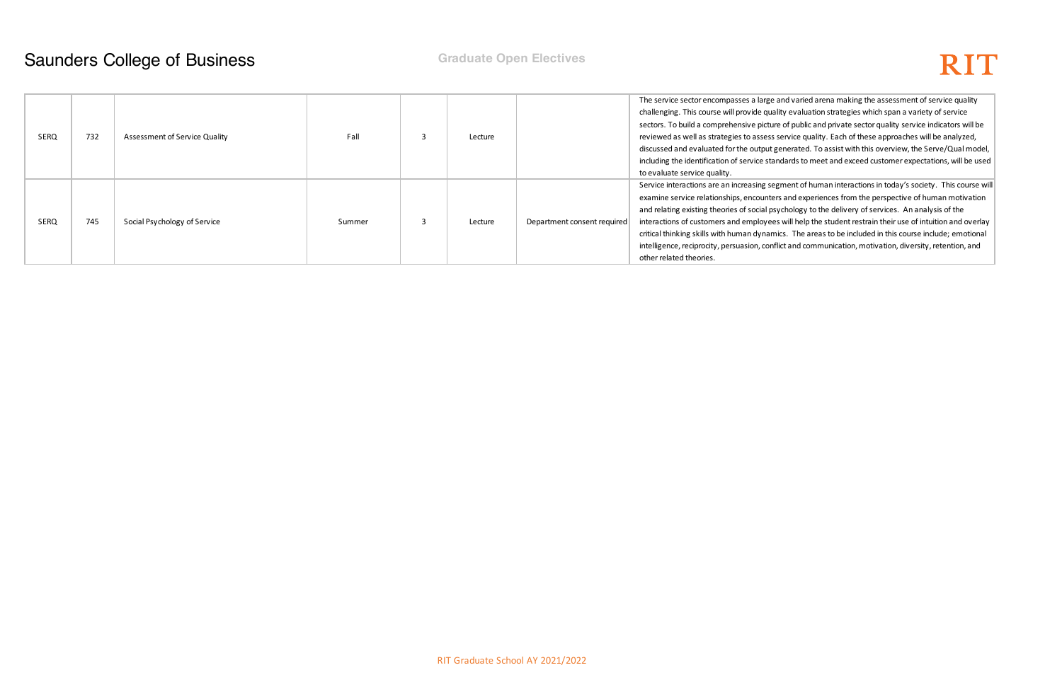

and varied arena making the assessment of service quality lity evaluation strategies which span a variety of service of public and private sector quality service indicators will be service quality. Each of these approaches will be analyzed, enerated. To assist with this overview, the Serve/Qual model, ndards to meet and exceed customer expectations, will be used

gment of human interactions in today's society. This course will s and experiences from the perspective of human motivation ychology to the delivery of services. An analysis of the s will help the student restrain their use of intuition and overlay ics. The areas to be included in this course include; emotional lict and communication, motivation, diversity, retention, and

| SERQ |  | 732 | Assessment of Service Quality | Fall   | 3 | Lecture |                             | The service sector encompasses a large a      |
|------|--|-----|-------------------------------|--------|---|---------|-----------------------------|-----------------------------------------------|
|      |  |     |                               |        |   |         |                             | challenging. This course will provide quali   |
|      |  |     |                               |        |   |         |                             | sectors. To build a comprehensive picture     |
|      |  |     |                               |        |   |         |                             | reviewed as well as strategies to assess s    |
|      |  |     |                               |        |   |         |                             | discussed and evaluated for the output go     |
|      |  |     |                               |        |   |         |                             | including the identification of service stan  |
|      |  |     |                               |        |   |         |                             | to evaluate service quality.                  |
|      |  | 745 | Social Psychology of Service  | Summer | 3 | Lecture | Department consent required | Service interactions are an increasing seg    |
| SERQ |  |     |                               |        |   |         |                             | examine service relationships, encounters     |
|      |  |     |                               |        |   |         |                             | and relating existing theories of social psy  |
|      |  |     |                               |        |   |         |                             | interactions of customers and employees       |
|      |  |     |                               |        |   |         |                             | critical thinking skills with human dynami    |
|      |  |     |                               |        |   |         |                             | intelligence, reciprocity, persuasion, confli |
|      |  |     |                               |        |   |         |                             | other related theories.                       |